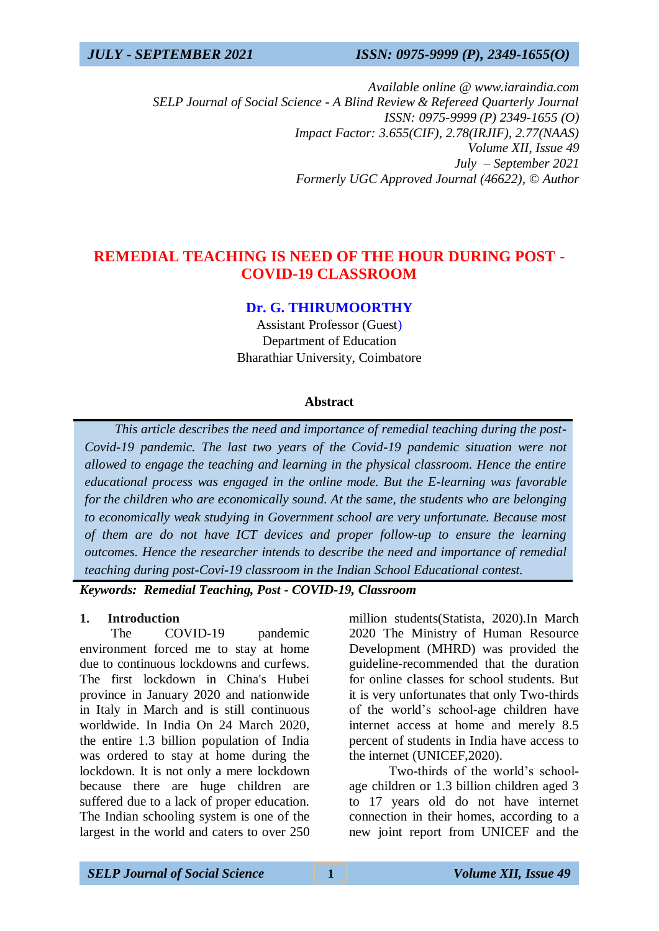*Available online @ www.iaraindia.com SELP Journal of Social Science - A Blind Review & Refereed Quarterly Journal ISSN: 0975-9999 (P) 2349-1655 (O) Impact Factor: 3.655(CIF), 2.78(IRJIF), 2.77(NAAS) Volume XII, Issue 49 July – September 2021 Formerly UGC Approved Journal (46622),* © *Author*

## **REMEDIAL TEACHING IS NEED OF THE HOUR DURING POST - COVID-19 CLASSROOM**

### **Dr. G. THIRUMOORTHY**

Assistant Professor (Guest) Department of Education Bharathiar University, Coimbatore

#### **Abstract**

 *This article describes the need and importance of remedial teaching during the post-Covid-19 pandemic. The last two years of the Covid-19 pandemic situation were not allowed to engage the teaching and learning in the physical classroom. Hence the entire educational process was engaged in the online mode. But the E-learning was favorable for the children who are economically sound. At the same, the students who are belonging to economically weak studying in Government school are very unfortunate. Because most of them are do not have ICT devices and proper follow-up to ensure the learning outcomes. Hence the researcher intends to describe the need and importance of remedial teaching during post-Covi-19 classroom in the Indian School Educational contest.*

*Keywords: Remedial Teaching, Post - COVID-19, Classroom*

#### **1. Introduction**

The COVID-19 pandemic environment forced me to stay at home due to continuous lockdowns and curfews. The first lockdown in China's Hubei province in January 2020 and nationwide in Italy in March and is still continuous worldwide. In India On 24 March 2020, the entire 1.3 billion population of India was ordered to stay at home during the lockdown. It is not only a mere lockdown because there are huge children are suffered due to a lack of proper education. The Indian schooling system is one of the largest in the world and caters to over 250 million students(Statista, 2020).In March 2020 The Ministry of Human Resource Development (MHRD) was provided the guideline-recommended that the duration for online classes for school students. But it is very unfortunates that only Two-thirds of the world's school-age children have internet access at home and merely 8.5 percent of students in India have access to the internet (UNICEF,2020).

Two-thirds of the world's schoolage children or 1.3 billion children aged 3 to 17 years old do not have internet connection in their homes, according to a new joint report from UNICEF and the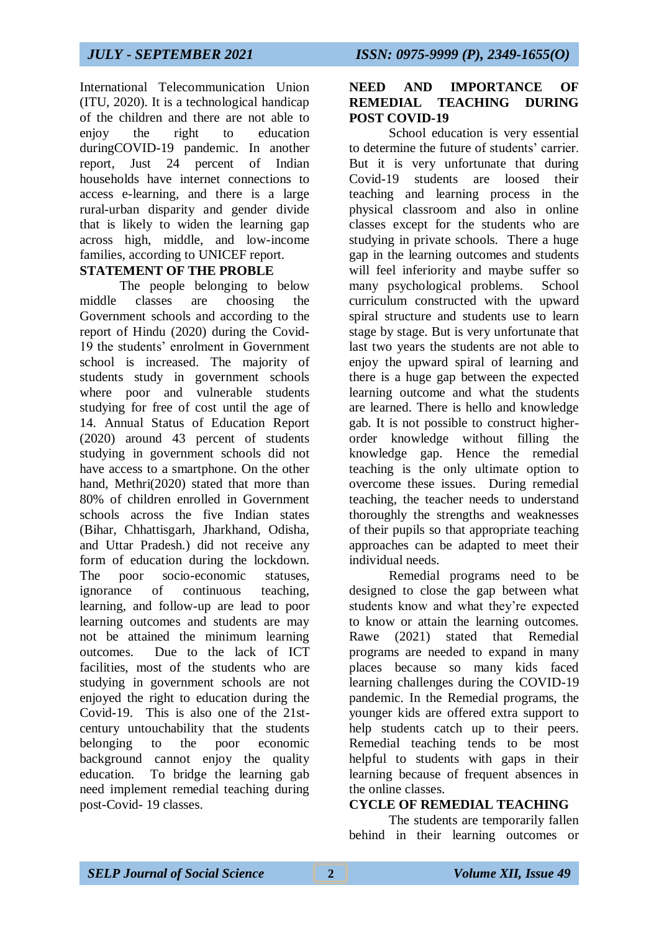International Telecommunication Union (ITU, 2020). It is a technological handicap of the children and there are not able to enjoy the right to education duringCOVID-19 pandemic. In another report, Just 24 percent of Indian households have internet connections to access e-learning, and there is a large rural-urban disparity and gender divide that is likely to widen the learning gap across high, middle, and low-income families, according to UNICEF report.

### **STATEMENT OF THE PROBLE**

The people belonging to below middle classes are choosing the Government schools and according to the report of Hindu (2020) during the Covid-19 the students' enrolment in Government school is increased. The majority of students study in government schools where poor and vulnerable students studying for free of cost until the age of 14. Annual Status of Education Report (2020) around 43 percent of students studying in government schools did not have access to a smartphone. On the other hand, Methri(2020) stated that more than 80% of children enrolled in Government schools across the five Indian states (Bihar, Chhattisgarh, Jharkhand, Odisha, and Uttar Pradesh.) did not receive any form of education during the lockdown. The poor socio-economic statuses, ignorance of continuous teaching, learning, and follow-up are lead to poor learning outcomes and students are may not be attained the minimum learning outcomes. Due to the lack of ICT facilities, most of the students who are studying in government schools are not enjoyed the right to education during the Covid-19. This is also one of the 21stcentury untouchability that the students belonging to the poor economic background cannot enjoy the quality education. To bridge the learning gab need implement remedial teaching during post-Covid- 19 classes.

## **NEED AND IMPORTANCE OF REMEDIAL TEACHING DURING POST COVID-19**

School education is very essential to determine the future of students' carrier. But it is very unfortunate that during Covid-19 students are loosed their teaching and learning process in the physical classroom and also in online classes except for the students who are studying in private schools. There a huge gap in the learning outcomes and students will feel inferiority and maybe suffer so many psychological problems. School curriculum constructed with the upward spiral structure and students use to learn stage by stage. But is very unfortunate that last two years the students are not able to enjoy the upward spiral of learning and there is a huge gap between the expected learning outcome and what the students are learned. There is hello and knowledge gab. It is not possible to construct higherorder knowledge without filling the knowledge gap. Hence the remedial teaching is the only ultimate option to overcome these issues. During remedial teaching, the teacher needs to understand thoroughly the strengths and weaknesses of their pupils so that appropriate teaching approaches can be adapted to meet their individual needs.

Remedial programs need to be designed to close the gap between what students know and what they're expected to know or attain the learning outcomes. Rawe (2021) stated that Remedial programs are needed to expand in many places because so many kids faced learning challenges during the COVID-19 pandemic. In the Remedial programs, the younger kids are offered extra support to help students catch up to their peers. Remedial teaching tends to be most helpful to students with gaps in their learning because of frequent absences in the online classes.

## **CYCLE OF REMEDIAL TEACHING**

The students are temporarily fallen behind in their learning outcomes or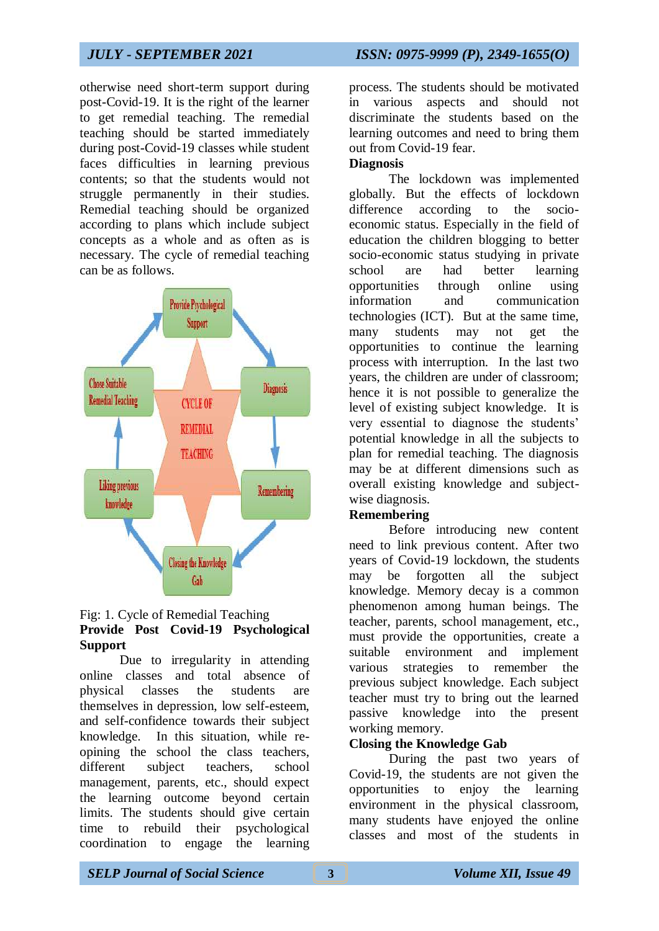otherwise need short-term support during post-Covid-19. It is the right of the learner to get remedial teaching. The remedial teaching should be started immediately during post-Covid-19 classes while student faces difficulties in learning previous contents; so that the students would not struggle permanently in their studies. Remedial teaching should be organized according to plans which include subject concepts as a whole and as often as is necessary. The cycle of remedial teaching can be as follows.



### Fig: 1. Cycle of Remedial Teaching **Provide Post Covid-19 Psychological Support**

Due to irregularity in attending online classes and total absence of physical classes the students are themselves in depression, low self-esteem, and self-confidence towards their subject knowledge. In this situation, while reopining the school the class teachers, different subject teachers, school management, parents, etc., should expect the learning outcome beyond certain limits. The students should give certain time to rebuild their psychological coordination to engage the learning process. The students should be motivated in various aspects and should not discriminate the students based on the learning outcomes and need to bring them out from Covid-19 fear.

## **Diagnosis**

The lockdown was implemented globally. But the effects of lockdown difference according to the socioeconomic status. Especially in the field of education the children blogging to better socio-economic status studying in private school are had better learning opportunities through online using information and communication technologies (ICT). But at the same time, many students may not get the opportunities to continue the learning process with interruption. In the last two years, the children are under of classroom; hence it is not possible to generalize the level of existing subject knowledge. It is very essential to diagnose the students' potential knowledge in all the subjects to plan for remedial teaching. The diagnosis may be at different dimensions such as overall existing knowledge and subjectwise diagnosis.

## **Remembering**

Before introducing new content need to link previous content. After two years of Covid-19 lockdown, the students may be forgotten all the subject knowledge. Memory decay is a common phenomenon among human beings. The teacher, parents, school management, etc., must provide the opportunities, create a suitable environment and implement various strategies to remember the previous subject knowledge. Each subject teacher must try to bring out the learned passive knowledge into the present working memory.

## **Closing the Knowledge Gab**

During the past two years of Covid-19, the students are not given the opportunities to enjoy the learning environment in the physical classroom, many students have enjoyed the online classes and most of the students in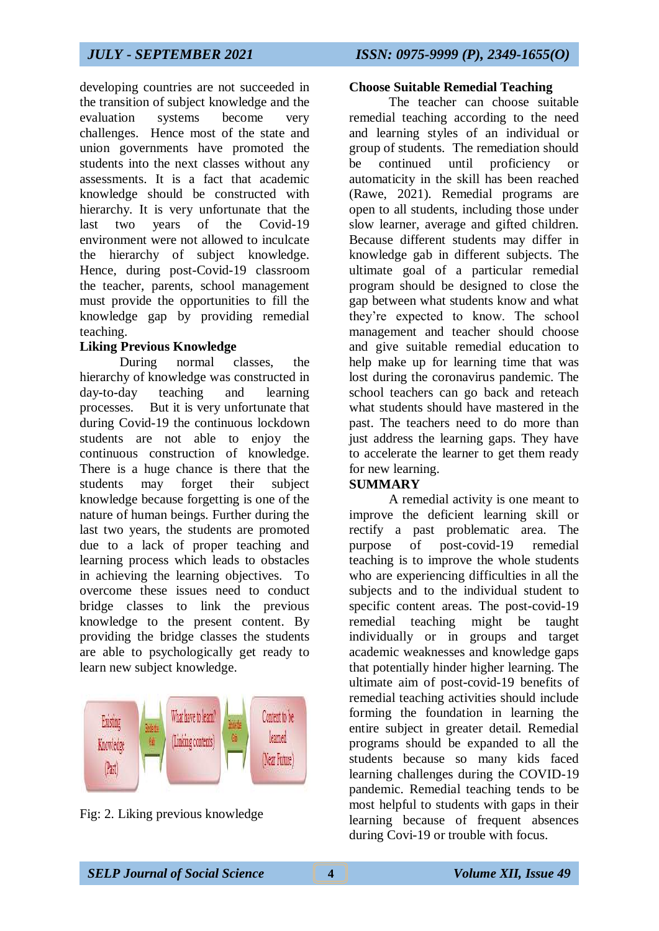developing countries are not succeeded in the transition of subject knowledge and the evaluation systems become very challenges. Hence most of the state and union governments have promoted the students into the next classes without any assessments. It is a fact that academic knowledge should be constructed with hierarchy. It is very unfortunate that the last two years of the Covid-19 environment were not allowed to inculcate the hierarchy of subject knowledge. Hence, during post-Covid-19 classroom the teacher, parents, school management must provide the opportunities to fill the knowledge gap by providing remedial teaching.

## **Liking Previous Knowledge**

During normal classes, the hierarchy of knowledge was constructed in day-to-day teaching and learning processes. But it is very unfortunate that during Covid-19 the continuous lockdown students are not able to enjoy the continuous construction of knowledge. There is a huge chance is there that the students may forget their subject knowledge because forgetting is one of the nature of human beings. Further during the last two years, the students are promoted due to a lack of proper teaching and learning process which leads to obstacles in achieving the learning objectives. To overcome these issues need to conduct bridge classes to link the previous knowledge to the present content. By providing the bridge classes the students are able to psychologically get ready to learn new subject knowledge.



Fig: 2. Liking previous knowledge

### **Choose Suitable Remedial Teaching**

The teacher can choose suitable remedial teaching according to the need and learning styles of an individual or group of students. The remediation should be continued until proficiency or automaticity in the skill has been reached (Rawe, 2021). Remedial programs are open to all students, including those under slow learner, average and gifted children. Because different students may differ in knowledge gab in different subjects. The ultimate goal of a particular remedial program should be designed to close the gap between what students know and what they're expected to know. The school management and teacher should choose and give suitable remedial education to help make up for learning time that was lost during the coronavirus pandemic. The school teachers can go back and reteach what students should have mastered in the past. The teachers need to do more than just address the learning gaps. They have to accelerate the learner to get them ready for new learning.

## **SUMMARY**

A remedial activity is one meant to improve the deficient learning skill or rectify a past problematic area. The purpose of post-covid-19 remedial teaching is to improve the whole students who are experiencing difficulties in all the subjects and to the individual student to specific content areas. The post-covid-19 remedial teaching might be taught individually or in groups and target academic weaknesses and knowledge gaps that potentially hinder higher learning. The ultimate aim of post-covid-19 benefits of remedial teaching activities should include forming the foundation in learning the entire subject in greater detail. Remedial programs should be expanded to all the students because so many kids faced learning challenges during the COVID-19 pandemic. Remedial teaching tends to be most helpful to students with gaps in their learning because of frequent absences during Covi-19 or trouble with focus.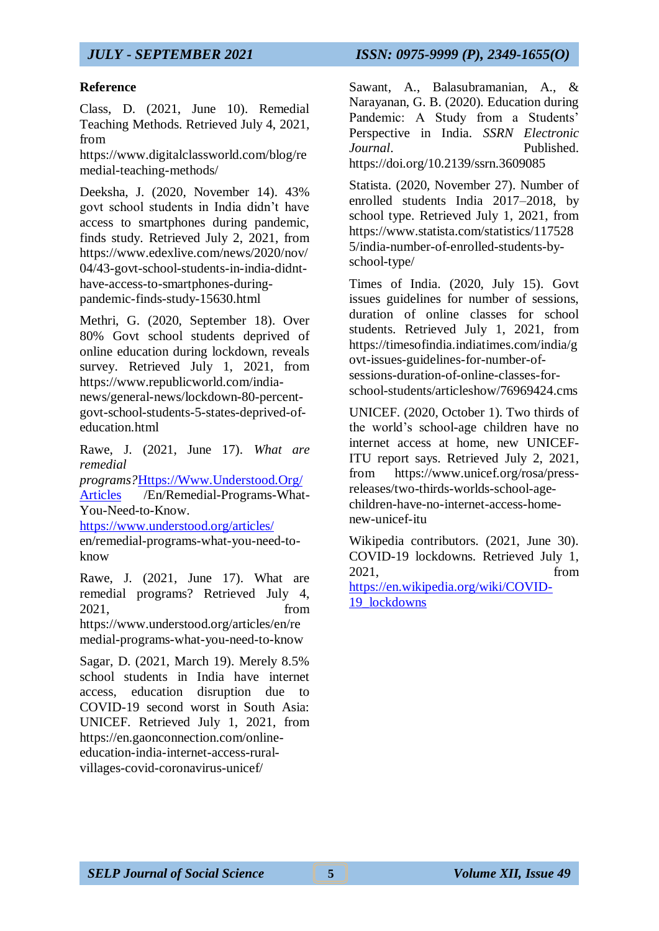### **Reference**

Class, D. (2021, June 10). Remedial Teaching Methods. Retrieved July 4, 2021, from

https://www.digitalclassworld.com/blog/re medial-teaching-methods/

Deeksha, J. (2020, November 14). 43% govt school students in India didn't have access to smartphones during pandemic, finds study. Retrieved July 2, 2021, from https://www.edexlive.com/news/2020/nov/ 04/43-govt-school-students-in-india-didnthave-access-to-smartphones-duringpandemic-finds-study-15630.html

Methri, G. (2020, September 18). Over 80% Govt school students deprived of online education during lockdown, reveals survey. Retrieved July 1, 2021, from https://www.republicworld.com/indianews/general-news/lockdown-80-percentgovt-school-students-5-states-deprived-ofeducation.html

Rawe, J. (2021, June 17). *What are remedial* 

*programs?*[Https://Www.Understood.Org/](https://www.understood.org/Articles) [Articles](https://www.understood.org/Articles) /En/Remedial-Programs-What-You-Need-to-Know.

<https://www.understood.org/articles/> en/remedial-programs-what-you-need-toknow

Rawe, J. (2021, June 17). What are remedial programs? Retrieved July 4, 2021, from https://www.understood.org/articles/en/re medial-programs-what-you-need-to-know

Sagar, D. (2021, March 19). Merely 8.5% school students in India have internet access, education disruption due to COVID-19 second worst in South Asia: UNICEF. Retrieved July 1, 2021, from https://en.gaonconnection.com/onlineeducation-india-internet-access-ruralvillages-covid-coronavirus-unicef/

Sawant, A., Balasubramanian, A., & Narayanan, G. B. (2020). Education during Pandemic: A Study from a Students' Perspective in India. *SSRN Electronic Journal*. Published. https://doi.org/10.2139/ssrn.3609085

Statista. (2020, November 27). Number of enrolled students India 2017–2018, by school type. Retrieved July 1, 2021, from https://www.statista.com/statistics/117528 5/india-number-of-enrolled-students-byschool-type/

Times of India. (2020, July 15). Govt issues guidelines for number of sessions, duration of online classes for school students. Retrieved July 1, 2021, from https://timesofindia.indiatimes.com/india/g ovt-issues-guidelines-for-number-ofsessions-duration-of-online-classes-forschool-students/articleshow/76969424.cms

UNICEF. (2020, October 1). Two thirds of the world's school-age children have no internet access at home, new UNICEF-ITU report says. Retrieved July 2, 2021, from https://www.unicef.org/rosa/pressreleases/two-thirds-worlds-school-agechildren-have-no-internet-access-homenew-unicef-itu

Wikipedia contributors. (2021, June 30). COVID-19 lockdowns. Retrieved July 1, 2021, from [https://en.wikipedia.org/wiki/COVID-](https://en.wikipedia.org/wiki/COVID-19_lockdowns)[19\\_lockdowns](https://en.wikipedia.org/wiki/COVID-19_lockdowns)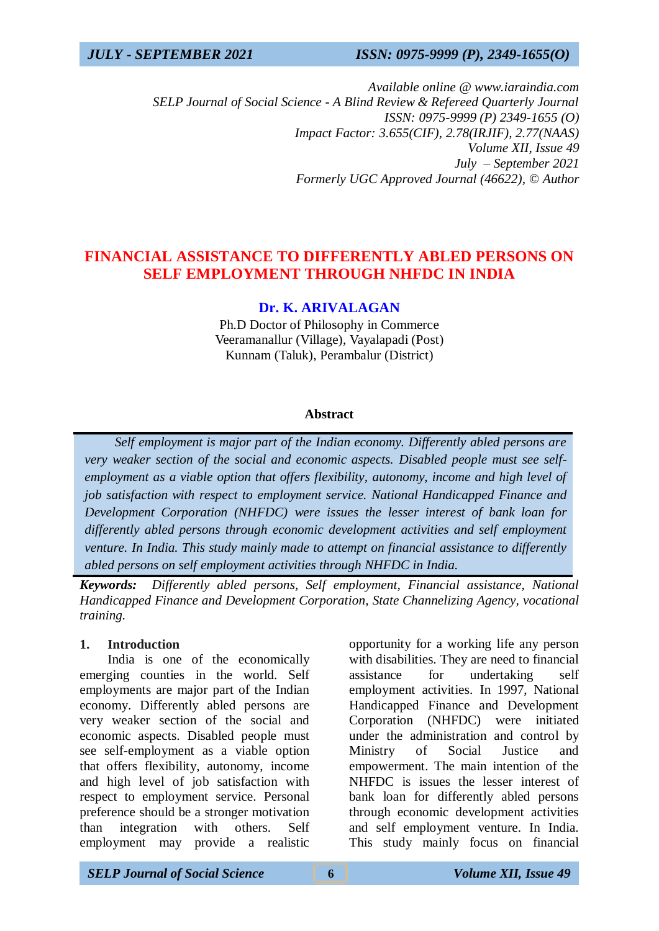*Available online @ www.iaraindia.com SELP Journal of Social Science - A Blind Review & Refereed Quarterly Journal ISSN: 0975-9999 (P) 2349-1655 (O) Impact Factor: 3.655(CIF), 2.78(IRJIF), 2.77(NAAS) Volume XII, Issue 49 July – September 2021 Formerly UGC Approved Journal (46622),* © *Author*

## **FINANCIAL ASSISTANCE TO DIFFERENTLY ABLED PERSONS ON SELF EMPLOYMENT THROUGH NHFDC IN INDIA**

## **Dr. K. ARIVALAGAN**

Ph.D Doctor of Philosophy in Commerce Veeramanallur (Village), Vayalapadi (Post) Kunnam (Taluk), Perambalur (District)

### **Abstract**

 *Self employment is major part of the Indian economy. Differently abled persons are very weaker section of the social and economic aspects. Disabled people must see selfemployment as a viable option that offers flexibility, autonomy, income and high level of job satisfaction with respect to employment service. National Handicapped Finance and Development Corporation (NHFDC) were issues the lesser interest of bank loan for differently abled persons through economic development activities and self employment venture. In India. This study mainly made to attempt on financial assistance to differently abled persons on self employment activities through NHFDC in India.*

*Keywords: Differently abled persons, Self employment, Financial assistance, National Handicapped Finance and Development Corporation, State Channelizing Agency, vocational training.*

#### **1. Introduction**

India is one of the economically emerging counties in the world. Self employments are major part of the Indian economy. Differently abled persons are very weaker section of the social and economic aspects. Disabled people must see self-employment as a viable option that offers flexibility, autonomy, income and high level of job satisfaction with respect to employment service. Personal preference should be a stronger motivation than integration with others. Self employment may provide a realistic

*SELP Journal of Social Science* **6** *Volume XII, Issue 49*

opportunity for a working life any person with disabilities. They are need to financial assistance for undertaking self employment activities. In 1997, National Handicapped Finance and Development Corporation (NHFDC) were initiated under the administration and control by Ministry of Social Justice and empowerment. The main intention of the NHFDC is issues the lesser interest of bank loan for differently abled persons through economic development activities and self employment venture. In India. This study mainly focus on financial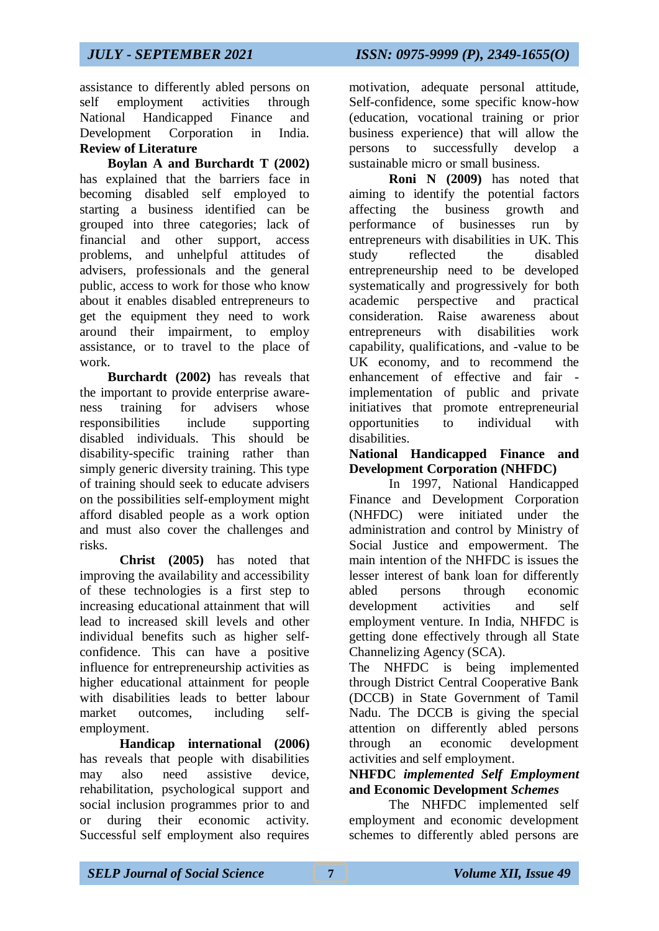assistance to differently abled persons on self employment activities through National Handicapped Finance and Development Corporation in India. **Review of Literature**

**Boylan A and Burchardt T (2002)** has explained that the barriers face in becoming disabled self employed to starting a business identified can be grouped into three categories; lack of financial and other support, access problems, and unhelpful attitudes of advisers, professionals and the general public, access to work for those who know about it enables disabled entrepreneurs to get the equipment they need to work around their impairment, to employ assistance, or to travel to the place of work.

**Burchardt (2002)** has reveals that the important to provide enterprise awareness training for advisers whose responsibilities include supporting disabled individuals. This should be disability-specific training rather than simply generic diversity training. This type of training should seek to educate advisers on the possibilities self-employment might afford disabled people as a work option and must also cover the challenges and risks.

**Christ (2005)** has noted that improving the availability and accessibility of these technologies is a first step to increasing educational attainment that will lead to increased skill levels and other individual benefits such as higher selfconfidence. This can have a positive influence for entrepreneurship activities as higher educational attainment for people with disabilities leads to better labour market outcomes, including selfemployment.

**Handicap international (2006)** has reveals that people with disabilities may also need assistive device, rehabilitation, psychological support and social inclusion programmes prior to and or during their economic activity. Successful self employment also requires

motivation, adequate personal attitude, Self-confidence, some specific know-how (education, vocational training or prior business experience) that will allow the persons to successfully develop a sustainable micro or small business.

**Roni N (2009)** has noted that aiming to identify the potential factors affecting the business growth and performance of businesses run by entrepreneurs with disabilities in UK. This study reflected the disabled entrepreneurship need to be developed systematically and progressively for both academic perspective and practical consideration. Raise awareness about entrepreneurs with disabilities work capability, qualifications, and -value to be UK economy, and to recommend the enhancement of effective and fair implementation of public and private initiatives that promote entrepreneurial opportunities to individual with disabilities.

## **National Handicapped Finance and Development Corporation (NHFDC)**

In 1997, National Handicapped Finance and Development Corporation (NHFDC) were initiated under the administration and control by Ministry of Social Justice and empowerment. The main intention of the NHFDC is issues the lesser interest of bank loan for differently abled persons through economic development activities and self employment venture. In India, NHFDC is getting done effectively through all State Channelizing Agency (SCA).

The NHFDC is being implemented through District Central Cooperative Bank (DCCB) in State Government of Tamil Nadu. The DCCB is giving the special attention on differently abled persons through an economic development activities and self employment.

**NHFDC** *implemented Self Employment* **and Economic Development** *Schemes*

The NHFDC implemented self employment and economic development schemes to differently abled persons are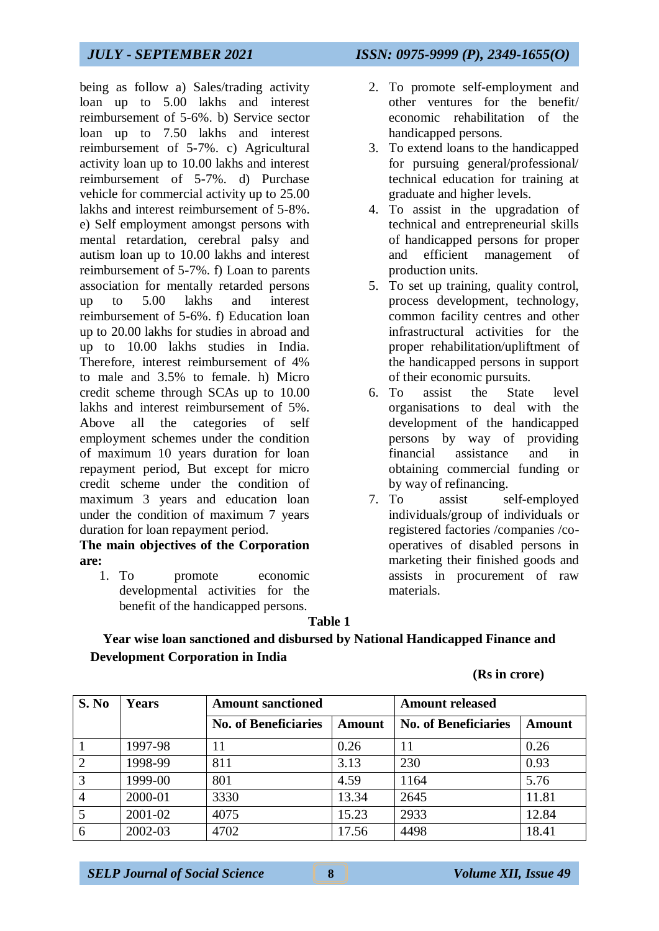being as follow a) Sales/trading activity loan up to 5.00 lakhs and interest reimbursement of 5-6%. b) Service sector loan up to 7.50 lakhs and interest reimbursement of 5-7%. c) Agricultural activity loan up to 10.00 lakhs and interest reimbursement of 5-7%. d) Purchase vehicle for commercial activity up to 25.00 lakhs and interest reimbursement of 5-8%. e) Self employment amongst persons with mental retardation, cerebral palsy and autism loan up to 10.00 lakhs and interest reimbursement of 5-7%. f) Loan to parents association for mentally retarded persons up to 5.00 lakhs and interest reimbursement of 5-6%. f) Education loan up to 20.00 lakhs for studies in abroad and up to 10.00 lakhs studies in India. Therefore, interest reimbursement of 4% to male and 3.5% to female. h) Micro credit scheme through SCAs up to 10.00 lakhs and interest reimbursement of 5%. Above all the categories of self employment schemes under the condition of maximum 10 years duration for loan repayment period, But except for micro credit scheme under the condition of maximum 3 years and education loan under the condition of maximum 7 years duration for loan repayment period.

**The main objectives of the Corporation are:**

1. To promote economic developmental activities for the benefit of the handicapped persons.

- 2. To promote self-employment and other ventures for the benefit/ economic rehabilitation of the handicapped persons.
- 3. To extend loans to the handicapped for pursuing general/professional/ technical education for training at graduate and higher levels.
- 4. To assist in the upgradation of technical and entrepreneurial skills of handicapped persons for proper and efficient management of production units.
- 5. To set up training, quality control, process development, technology, common facility centres and other infrastructural activities for the proper rehabilitation/upliftment of the handicapped persons in support of their economic pursuits.
- 6. To assist the State level organisations to deal with the development of the handicapped persons by way of providing financial assistance and in obtaining commercial funding or by way of refinancing.
- 7. To assist self-employed individuals/group of individuals or registered factories /companies /cooperatives of disabled persons in marketing their finished goods and assists in procurement of raw materials.

### **Table 1**

## **Year wise loan sanctioned and disbursed by National Handicapped Finance and Development Corporation in India**

#### **(Rs in crore)**

| S. No          | <b>Years</b> | <b>Amount released</b><br><b>Amount sanctioned</b> |               |                             |               |
|----------------|--------------|----------------------------------------------------|---------------|-----------------------------|---------------|
|                |              | <b>No. of Beneficiaries</b>                        | <b>Amount</b> | <b>No. of Beneficiaries</b> | <b>Amount</b> |
|                | 1997-98      |                                                    | 0.26          | 11                          | 0.26          |
| 2              | 1998-99      | 811                                                | 3.13          | 230                         | 0.93          |
| $\overline{3}$ | 1999-00      | 801                                                | 4.59          | 1164                        | 5.76          |
| $\overline{4}$ | 2000-01      | 3330                                               | 13.34         | 2645                        | 11.81         |
|                | 2001-02      | 4075                                               | 15.23         | 2933                        | 12.84         |
| 6              | 2002-03      | 4702                                               | 17.56         | 4498                        | 18.41         |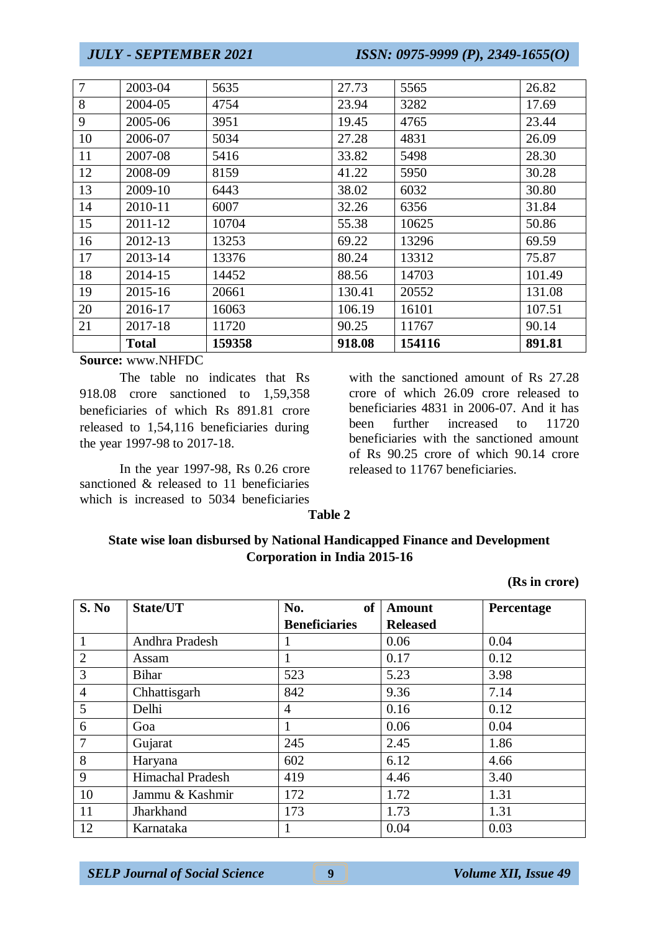| $\overline{7}$ | 2003-04      | 5635   | 27.73  | 5565   | 26.82  |
|----------------|--------------|--------|--------|--------|--------|
| 8              | 2004-05      | 4754   | 23.94  | 3282   | 17.69  |
| 9              | 2005-06      | 3951   | 19.45  | 4765   | 23.44  |
| 10             | 2006-07      | 5034   | 27.28  | 4831   | 26.09  |
| 11             | 2007-08      | 5416   | 33.82  | 5498   | 28.30  |
| 12             | 2008-09      | 8159   | 41.22  | 5950   | 30.28  |
| 13             | 2009-10      | 6443   | 38.02  | 6032   | 30.80  |
| 14             | 2010-11      | 6007   | 32.26  | 6356   | 31.84  |
| 15             | 2011-12      | 10704  | 55.38  | 10625  | 50.86  |
| 16             | 2012-13      | 13253  | 69.22  | 13296  | 69.59  |
| 17             | 2013-14      | 13376  | 80.24  | 13312  | 75.87  |
| 18             | 2014-15      | 14452  | 88.56  | 14703  | 101.49 |
| 19             | 2015-16      | 20661  | 130.41 | 20552  | 131.08 |
| 20             | 2016-17      | 16063  | 106.19 | 16101  | 107.51 |
| 21             | 2017-18      | 11720  | 90.25  | 11767  | 90.14  |
|                | <b>Total</b> | 159358 | 918.08 | 154116 | 891.81 |

**Source:** www.NHFDC

The table no indicates that Rs 918.08 crore sanctioned to 1,59,358 beneficiaries of which Rs 891.81 crore released to 1,54,116 beneficiaries during the year 1997-98 to 2017-18.

In the year 1997-98, Rs 0.26 crore sanctioned & released to 11 beneficiaries which is increased to 5034 beneficiaries

with the sanctioned amount of Rs 27.28 crore of which 26.09 crore released to beneficiaries 4831 in 2006-07. And it has been further increased to 11720 beneficiaries with the sanctioned amount of Rs 90.25 crore of which 90.14 crore released to 11767 beneficiaries.

**Table 2**

## **State wise loan disbursed by National Handicapped Finance and Development Corporation in India 2015-16**

**(Rs in crore)**

| S. No          | State/UT         | No.<br>of            | <b>Amount</b>   | Percentage |
|----------------|------------------|----------------------|-----------------|------------|
|                |                  | <b>Beneficiaries</b> | <b>Released</b> |            |
| $\mathbf{1}$   | Andhra Pradesh   |                      | 0.06            | 0.04       |
| $\overline{2}$ | Assam            |                      | 0.17            | 0.12       |
| 3              | <b>Bihar</b>     | 523                  | 5.23            | 3.98       |
| $\overline{4}$ | Chhattisgarh     | 842                  | 9.36            | 7.14       |
| 5              | Delhi            | 4                    | 0.16            | 0.12       |
| 6              | Goa              |                      | 0.06            | 0.04       |
| $\overline{7}$ | Gujarat          | 245                  | 2.45            | 1.86       |
| 8              | Haryana          | 602                  | 6.12            | 4.66       |
| 9              | Himachal Pradesh | 419                  | 4.46            | 3.40       |
| 10             | Jammu & Kashmir  | 172                  | 1.72            | 1.31       |
| 11             | Jharkhand        | 173                  | 1.73            | 1.31       |
| 12             | Karnataka        |                      | 0.04            | 0.03       |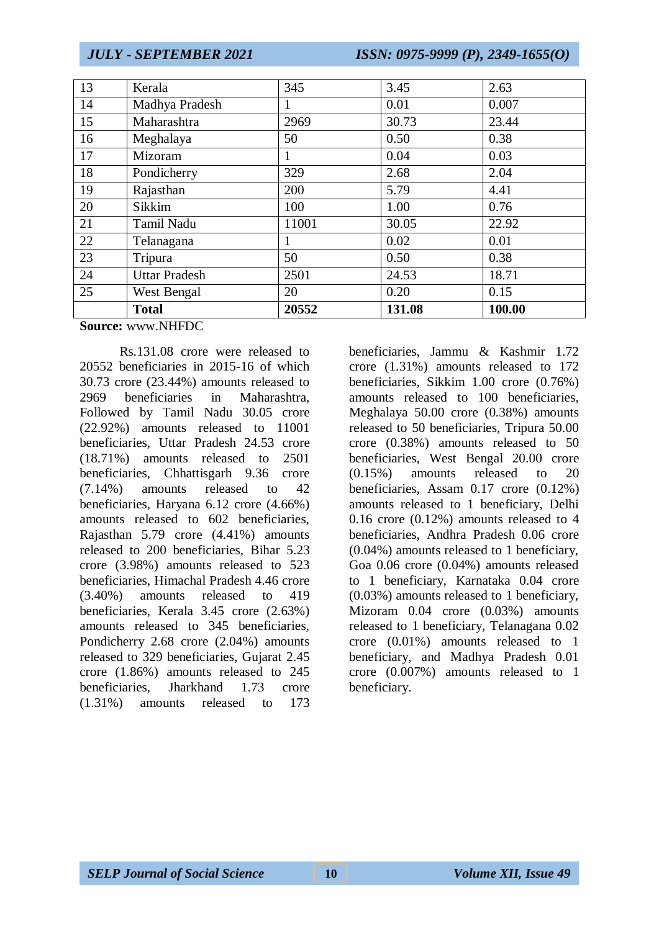| 13 | Kerala               | 345   | 3.45   | 2.63   |
|----|----------------------|-------|--------|--------|
| 14 | Madhya Pradesh       | 1     | 0.01   | 0.007  |
| 15 | Maharashtra          | 2969  | 30.73  | 23.44  |
| 16 | Meghalaya            | 50    | 0.50   | 0.38   |
| 17 | Mizoram              | 1     | 0.04   | 0.03   |
| 18 | Pondicherry          | 329   | 2.68   | 2.04   |
| 19 | Rajasthan            | 200   | 5.79   | 4.41   |
| 20 | Sikkim               | 100   | 1.00   | 0.76   |
| 21 | Tamil Nadu           | 11001 | 30.05  | 22.92  |
| 22 | Telanagana           |       | 0.02   | 0.01   |
| 23 | Tripura              | 50    | 0.50   | 0.38   |
| 24 | <b>Uttar Pradesh</b> | 2501  | 24.53  | 18.71  |
| 25 | West Bengal          | 20    | 0.20   | 0.15   |
|    | <b>Total</b>         | 20552 | 131.08 | 100.00 |

#### **Source:** www.NHFDC

Rs.131.08 crore were released to 20552 beneficiaries in 2015-16 of which 30.73 crore (23.44%) amounts released to 2969 beneficiaries in Maharashtra, Followed by Tamil Nadu 30.05 crore (22.92%) amounts released to 11001 beneficiaries, Uttar Pradesh 24.53 crore (18.71%) amounts released to 2501 beneficiaries, Chhattisgarh 9.36 crore (7.14%) amounts released to 42 beneficiaries, Haryana 6.12 crore (4.66%) amounts released to 602 beneficiaries, Rajasthan 5.79 crore (4.41%) amounts released to 200 beneficiaries, Bihar 5.23 crore (3.98%) amounts released to 523 beneficiaries, Himachal Pradesh 4.46 crore (3.40%) amounts released to 419 beneficiaries, Kerala 3.45 crore (2.63%) amounts released to 345 beneficiaries, Pondicherry 2.68 crore (2.04%) amounts released to 329 beneficiaries, Gujarat 2.45 crore (1.86%) amounts released to 245 beneficiaries, Jharkhand 1.73 crore (1.31%) amounts released to 173

beneficiaries, Jammu & Kashmir 1.72 crore (1.31%) amounts released to 172 beneficiaries, Sikkim 1.00 crore (0.76%) amounts released to 100 beneficiaries, Meghalaya 50.00 crore (0.38%) amounts released to 50 beneficiaries, Tripura 50.00 crore (0.38%) amounts released to 50 beneficiaries, West Bengal 20.00 crore (0.15%) amounts released to 20 beneficiaries, Assam 0.17 crore (0.12%) amounts released to 1 beneficiary, Delhi 0.16 crore (0.12%) amounts released to 4 beneficiaries, Andhra Pradesh 0.06 crore (0.04%) amounts released to 1 beneficiary, Goa 0.06 crore (0.04%) amounts released to 1 beneficiary, Karnataka 0.04 crore (0.03%) amounts released to 1 beneficiary, Mizoram 0.04 crore (0.03%) amounts released to 1 beneficiary, Telanagana 0.02 crore (0.01%) amounts released to 1 beneficiary, and Madhya Pradesh 0.01 crore (0.007%) amounts released to 1 beneficiary.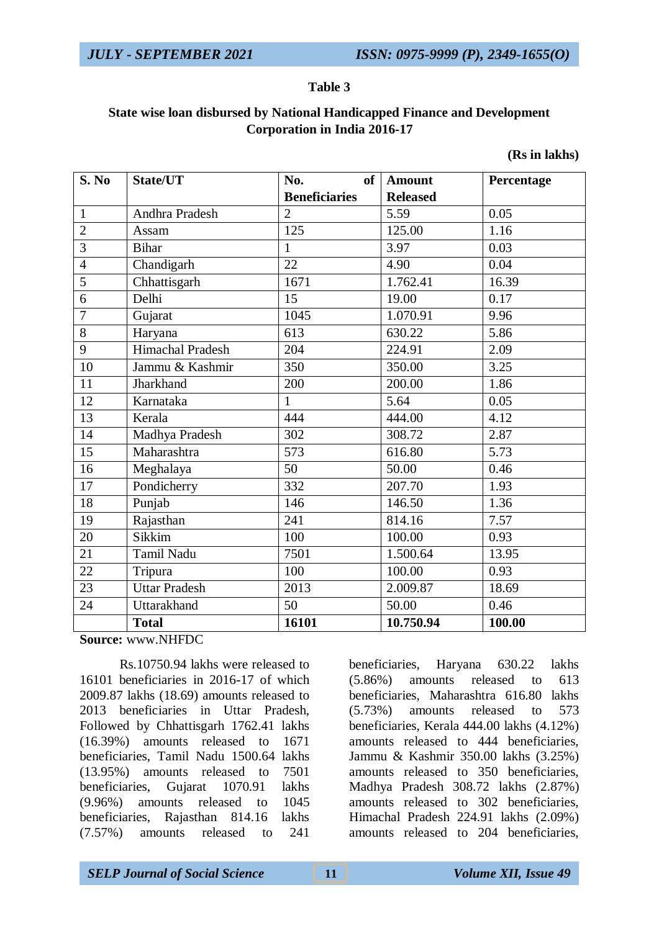### **Table 3**

## **State wise loan disbursed by National Handicapped Finance and Development Corporation in India 2016-17**

| (Rs in lakhs) |  |
|---------------|--|
|---------------|--|

| S. No           | State/UT             | No.<br>of            | <b>Amount</b>   | Percentage |
|-----------------|----------------------|----------------------|-----------------|------------|
|                 |                      | <b>Beneficiaries</b> | <b>Released</b> |            |
| $\mathbf{1}$    | Andhra Pradesh       | $\overline{2}$       | 5.59            | 0.05       |
| $\overline{2}$  | Assam                | 125                  | 125.00          | 1.16       |
| 3               | <b>Bihar</b>         | $\mathbf{1}$         | 3.97            | 0.03       |
| $\overline{4}$  | Chandigarh           | 22                   | 4.90            | 0.04       |
| 5               | Chhattisgarh         | 1671                 | 1.762.41        | 16.39      |
| 6               | Delhi                | 15                   | 19.00           | 0.17       |
| $\overline{7}$  | Gujarat              | 1045                 | 1.070.91        | 9.96       |
| 8               | Haryana              | 613                  | 630.22          | 5.86       |
| 9               | Himachal Pradesh     | 204                  | 224.91          | 2.09       |
| 10              | Jammu & Kashmir      | 350                  | 350.00          | 3.25       |
| 11              | Jharkhand            | 200                  | 200.00          | 1.86       |
| 12              | Karnataka            | 1                    | 5.64            | 0.05       |
| 13              | Kerala               | 444                  | 444.00          | 4.12       |
| 14              | Madhya Pradesh       | 302                  | 308.72          | 2.87       |
| 15              | Maharashtra          | 573                  | 616.80          | 5.73       |
| 16              | Meghalaya            | 50                   | 50.00           | 0.46       |
| 17              | Pondicherry          | 332                  | 207.70          | 1.93       |
| 18              | Punjab               | 146                  | 146.50          | 1.36       |
| 19              | Rajasthan            | 241                  | 814.16          | 7.57       |
| 20              | Sikkim               | 100                  | 100.00          | 0.93       |
| 21              | <b>Tamil Nadu</b>    | 7501                 | 1.500.64        | 13.95      |
| 22              | Tripura              | 100                  | 100.00          | 0.93       |
| $\overline{23}$ | <b>Uttar Pradesh</b> | 2013                 | 2.009.87        | 18.69      |
| 24              | Uttarakhand          | 50                   | 50.00           | 0.46       |
|                 | <b>Total</b>         | 16101                | 10.750.94       | 100.00     |

**Source:** www.NHFDC

Rs.10750.94 lakhs were released to 16101 beneficiaries in 2016-17 of which 2009.87 lakhs (18.69) amounts released to 2013 beneficiaries in Uttar Pradesh, Followed by Chhattisgarh 1762.41 lakhs (16.39%) amounts released to 1671 beneficiaries, Tamil Nadu 1500.64 lakhs (13.95%) amounts released to 7501 beneficiaries, Gujarat 1070.91 lakhs (9.96%) amounts released to 1045 beneficiaries, Rajasthan 814.16 lakhs (7.57%) amounts released to 241

beneficiaries, Haryana 630.22 lakhs (5.86%) amounts released to 613 beneficiaries, Maharashtra 616.80 lakhs (5.73%) amounts released to 573 beneficiaries, Kerala 444.00 lakhs (4.12%) amounts released to 444 beneficiaries, Jammu & Kashmir 350.00 lakhs (3.25%) amounts released to 350 beneficiaries, Madhya Pradesh 308.72 lakhs (2.87%) amounts released to 302 beneficiaries, Himachal Pradesh 224.91 lakhs (2.09%) amounts released to 204 beneficiaries,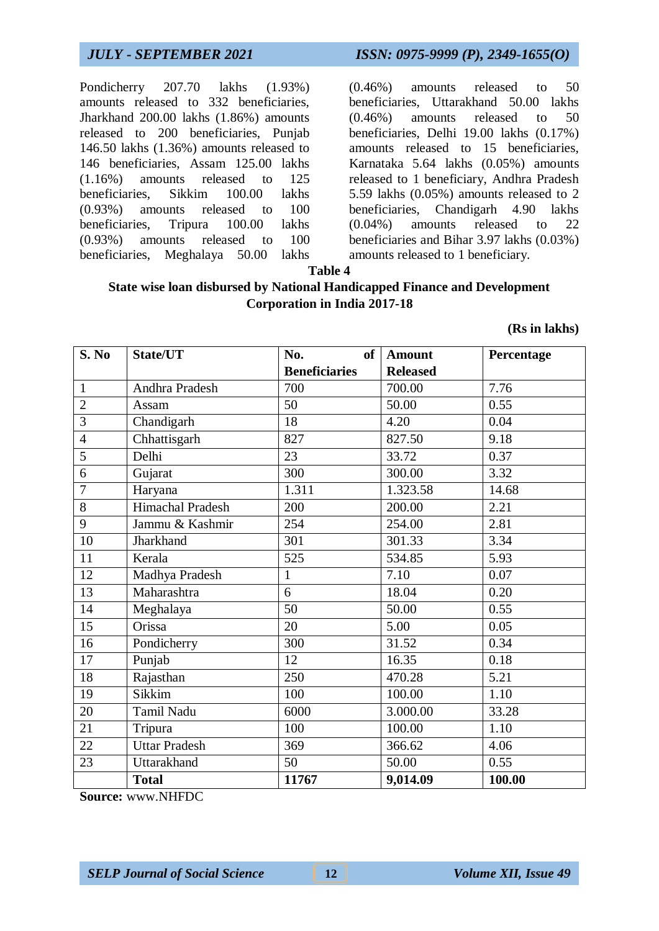Pondicherry 207.70 lakhs (1.93%) amounts released to 332 beneficiaries, Jharkhand 200.00 lakhs (1.86%) amounts released to 200 beneficiaries, Punjab 146.50 lakhs (1.36%) amounts released to 146 beneficiaries, Assam 125.00 lakhs (1.16%) amounts released to 125 beneficiaries, Sikkim 100.00 lakhs (0.93%) amounts released to 100 beneficiaries, Tripura 100.00 lakhs (0.93%) amounts released to 100 beneficiaries, Meghalaya 50.00 lakhs

*JULY - SEPTEMBER 2021 ISSN: 0975-9999 (P), 2349-1655(O)*

(0.46%) amounts released to 50 beneficiaries, Uttarakhand 50.00 lakhs (0.46%) amounts released to 50 beneficiaries, Delhi 19.00 lakhs (0.17%) amounts released to 15 beneficiaries, Karnataka 5.64 lakhs (0.05%) amounts released to 1 beneficiary, Andhra Pradesh 5.59 lakhs (0.05%) amounts released to 2 beneficiaries, Chandigarh 4.90 lakhs (0.04%) amounts released to 22 beneficiaries and Bihar 3.97 lakhs (0.03%) amounts released to 1 beneficiary.

**Table 4**

## **State wise loan disbursed by National Handicapped Finance and Development Corporation in India 2017-18**

**(Rs in lakhs)**

| S. No          | State/UT                | No.<br>of            | <b>Amount</b>   | Percentage |
|----------------|-------------------------|----------------------|-----------------|------------|
|                |                         | <b>Beneficiaries</b> | <b>Released</b> |            |
| $\mathbf{1}$   | Andhra Pradesh          | 700                  | 700.00          | 7.76       |
| $\overline{2}$ | Assam                   | 50                   | 50.00           | 0.55       |
| 3              | Chandigarh              | 18                   | 4.20            | 0.04       |
| $\overline{4}$ | Chhattisgarh            | 827                  | 827.50          | 9.18       |
| 5              | Delhi                   | 23                   | 33.72           | 0.37       |
| 6              | Gujarat                 | 300                  | 300.00          | 3.32       |
| $\overline{7}$ | Haryana                 | 1.311                | 1.323.58        | 14.68      |
| 8              | <b>Himachal Pradesh</b> | 200                  | 200.00          | 2.21       |
| 9              | Jammu & Kashmir         | 254                  | 254.00          | 2.81       |
| 10             | Jharkhand               | 301                  | 301.33          | 3.34       |
| 11             | Kerala                  | 525                  | 534.85          | 5.93       |
| 12             | Madhya Pradesh          | $\mathbf{1}$         | 7.10            | 0.07       |
| 13             | Maharashtra             | 6                    | 18.04           | 0.20       |
| 14             | Meghalaya               | 50                   | 50.00           | 0.55       |
| 15             | Orissa                  | 20                   | 5.00            | 0.05       |
| 16             | Pondicherry             | 300                  | 31.52           | 0.34       |
| 17             | Punjab                  | 12                   | 16.35           | 0.18       |
| 18             | Rajasthan               | 250                  | 470.28          | 5.21       |
| 19             | Sikkim                  | 100                  | 100.00          | 1.10       |
| 20             | Tamil Nadu              | 6000                 | 3.000.00        | 33.28      |
| 21             | Tripura                 | 100                  | 100.00          | 1.10       |
| 22             | <b>Uttar Pradesh</b>    | 369                  | 366.62          | 4.06       |
| 23             | Uttarakhand             | 50                   | 50.00           | 0.55       |
|                | <b>Total</b>            | 11767                | 9,014.09        | 100.00     |

**Source:** www.NHFDC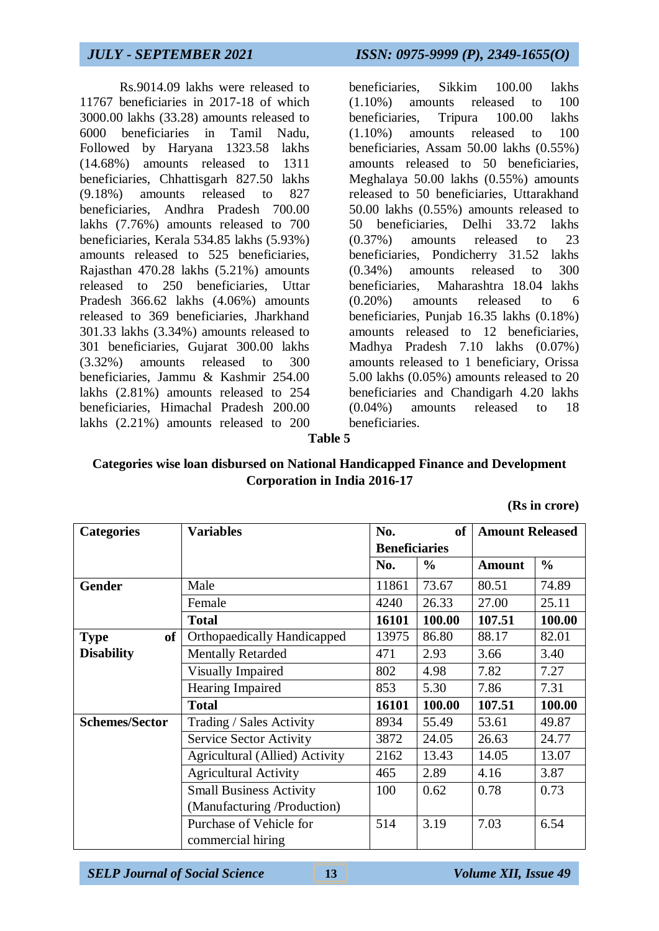Rs.9014.09 lakhs were released to 11767 beneficiaries in 2017-18 of which 3000.00 lakhs (33.28) amounts released to 6000 beneficiaries in Tamil Nadu, Followed by Haryana 1323.58 lakhs (14.68%) amounts released to 1311 beneficiaries, Chhattisgarh 827.50 lakhs (9.18%) amounts released to 827 beneficiaries, Andhra Pradesh 700.00 lakhs (7.76%) amounts released to 700 beneficiaries, Kerala 534.85 lakhs (5.93%) amounts released to 525 beneficiaries, Rajasthan 470.28 lakhs (5.21%) amounts released to 250 beneficiaries, Uttar Pradesh 366.62 lakhs (4.06%) amounts released to 369 beneficiaries, Jharkhand 301.33 lakhs (3.34%) amounts released to 301 beneficiaries, Gujarat 300.00 lakhs (3.32%) amounts released to 300 beneficiaries, Jammu & Kashmir 254.00 lakhs (2.81%) amounts released to 254 beneficiaries, Himachal Pradesh 200.00 lakhs (2.21%) amounts released to 200

# *JULY - SEPTEMBER 2021 ISSN: 0975-9999 (P), 2349-1655(O)*

beneficiaries, Sikkim 100.00 lakhs (1.10%) amounts released to 100 beneficiaries, Tripura 100.00 lakhs (1.10%) amounts released to 100 beneficiaries, Assam 50.00 lakhs (0.55%) amounts released to 50 beneficiaries, Meghalaya 50.00 lakhs (0.55%) amounts released to 50 beneficiaries, Uttarakhand 50.00 lakhs (0.55%) amounts released to 50 beneficiaries, Delhi 33.72 lakhs (0.37%) amounts released to 23 beneficiaries, Pondicherry 31.52 lakhs (0.34%) amounts released to 300 beneficiaries, Maharashtra 18.04 lakhs (0.20%) amounts released to 6 beneficiaries, Punjab 16.35 lakhs (0.18%) amounts released to 12 beneficiaries, Madhya Pradesh 7.10 lakhs (0.07%) amounts released to 1 beneficiary, Orissa 5.00 lakhs (0.05%) amounts released to 20 beneficiaries and Chandigarh 4.20 lakhs (0.04%) amounts released to 18 beneficiaries.

#### **Table 5**

## **Categories wise loan disbursed on National Handicapped Finance and Development Corporation in India 2016-17**

**(Rs in crore)**

| <b>Categories</b>     | <b>Variables</b>                   | No.                  | <b>of</b>     | <b>Amount Released</b> |               |
|-----------------------|------------------------------------|----------------------|---------------|------------------------|---------------|
|                       |                                    | <b>Beneficiaries</b> |               |                        |               |
|                       |                                    | No.                  | $\frac{6}{6}$ | <b>Amount</b>          | $\frac{6}{6}$ |
| <b>Gender</b>         | Male                               | 11861                | 73.67         | 80.51                  | 74.89         |
|                       | Female                             | 4240                 | 26.33         | 27.00                  | 25.11         |
|                       | <b>Total</b>                       | 16101                | 100.00        | 107.51                 | 100.00        |
| of<br><b>Type</b>     | <b>Orthopaedically Handicapped</b> | 13975                | 86.80         | 88.17                  | 82.01         |
| <b>Disability</b>     | <b>Mentally Retarded</b>           | 471                  | 2.93          | 3.66                   | 3.40          |
|                       | Visually Impaired                  | 802                  | 4.98          | 7.82                   | 7.27          |
|                       | <b>Hearing Impaired</b>            | 853                  | 5.30          | 7.86                   | 7.31          |
|                       | <b>Total</b>                       | 16101                | 100.00        | 107.51                 | 100.00        |
| <b>Schemes/Sector</b> | Trading / Sales Activity           | 8934                 | 55.49         | 53.61                  | 49.87         |
|                       | <b>Service Sector Activity</b>     | 3872                 | 24.05         | 26.63                  | 24.77         |
|                       | Agricultural (Allied) Activity     | 2162                 | 13.43         | 14.05                  | 13.07         |
|                       | <b>Agricultural Activity</b>       | 465                  | 2.89          | 4.16                   | 3.87          |
|                       | <b>Small Business Activity</b>     | 100                  | 0.62          | 0.78                   | 0.73          |
|                       | (Manufacturing /Production)        |                      |               |                        |               |
|                       | Purchase of Vehicle for            | 514                  | 3.19          | 7.03                   | 6.54          |
|                       | commercial hiring                  |                      |               |                        |               |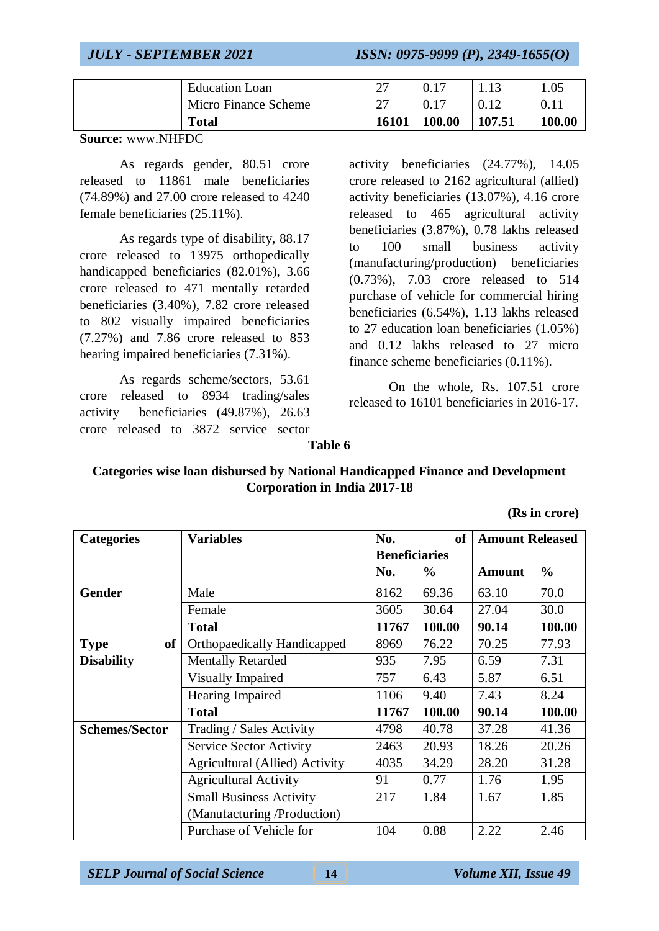| Micro Finance Scheme | $\mathcal{L}$<br>∠ |        |        | 0.11   |
|----------------------|--------------------|--------|--------|--------|
| <b>Total</b>         | 16101              | 100.00 | 107.51 | 100.00 |

**Source:** www.NHFDC

As regards gender, 80.51 crore released to 11861 male beneficiaries (74.89%) and 27.00 crore released to 4240 female beneficiaries (25.11%).

As regards type of disability, 88.17 crore released to 13975 orthopedically handicapped beneficiaries (82.01%), 3.66 crore released to 471 mentally retarded beneficiaries (3.40%), 7.82 crore released to 802 visually impaired beneficiaries (7.27%) and 7.86 crore released to 853 hearing impaired beneficiaries (7.31%).

As regards scheme/sectors, 53.61 crore released to 8934 trading/sales activity beneficiaries (49.87%), 26.63 crore released to 3872 service sector

activity beneficiaries (24.77%), 14.05 crore released to 2162 agricultural (allied) activity beneficiaries (13.07%), 4.16 crore released to 465 agricultural activity beneficiaries (3.87%), 0.78 lakhs released to 100 small business activity (manufacturing/production) beneficiaries (0.73%), 7.03 crore released to 514 purchase of vehicle for commercial hiring beneficiaries (6.54%), 1.13 lakhs released to 27 education loan beneficiaries (1.05%) and 0.12 lakhs released to 27 micro finance scheme beneficiaries (0.11%).

On the whole, Rs. 107.51 crore released to 16101 beneficiaries in 2016-17.

#### **Table 6**

### **Categories wise loan disbursed by National Handicapped Finance and Development Corporation in India 2017-18**

**(Rs in crore)**

| <b>Categories</b>     | <b>Variables</b>                   | No.                  | <sub>of</sub> | <b>Amount Released</b> |               |
|-----------------------|------------------------------------|----------------------|---------------|------------------------|---------------|
|                       |                                    | <b>Beneficiaries</b> |               |                        |               |
|                       |                                    | No.                  | $\frac{0}{0}$ | <b>Amount</b>          | $\frac{6}{6}$ |
| <b>Gender</b>         | Male                               | 8162                 | 69.36         | 63.10                  | 70.0          |
|                       | Female                             | 3605                 | 30.64         | 27.04                  | 30.0          |
|                       | <b>Total</b>                       | 11767                | 100.00        | 90.14                  | 100.00        |
| of<br><b>Type</b>     | <b>Orthopaedically Handicapped</b> | 8969                 | 76.22         | 70.25                  | 77.93         |
| <b>Disability</b>     | <b>Mentally Retarded</b>           | 935                  | 7.95          | 6.59                   | 7.31          |
|                       | Visually Impaired                  | 757                  | 6.43          | 5.87                   | 6.51          |
|                       | <b>Hearing Impaired</b>            | 1106                 | 9.40          | 7.43                   | 8.24          |
|                       | <b>Total</b>                       | 11767                | 100.00        | 90.14                  | 100.00        |
| <b>Schemes/Sector</b> | Trading / Sales Activity           | 4798                 | 40.78         | 37.28                  | 41.36         |
|                       | Service Sector Activity            | 2463                 | 20.93         | 18.26                  | 20.26         |
|                       | Agricultural (Allied) Activity     | 4035                 | 34.29         | 28.20                  | 31.28         |
|                       | <b>Agricultural Activity</b>       | 91                   | 0.77          | 1.76                   | 1.95          |
|                       | <b>Small Business Activity</b>     | 217                  | 1.84          | 1.67                   | 1.85          |
|                       | (Manufacturing /Production)        |                      |               |                        |               |
|                       | Purchase of Vehicle for            | 104                  | 0.88          | 2.22                   | 2.46          |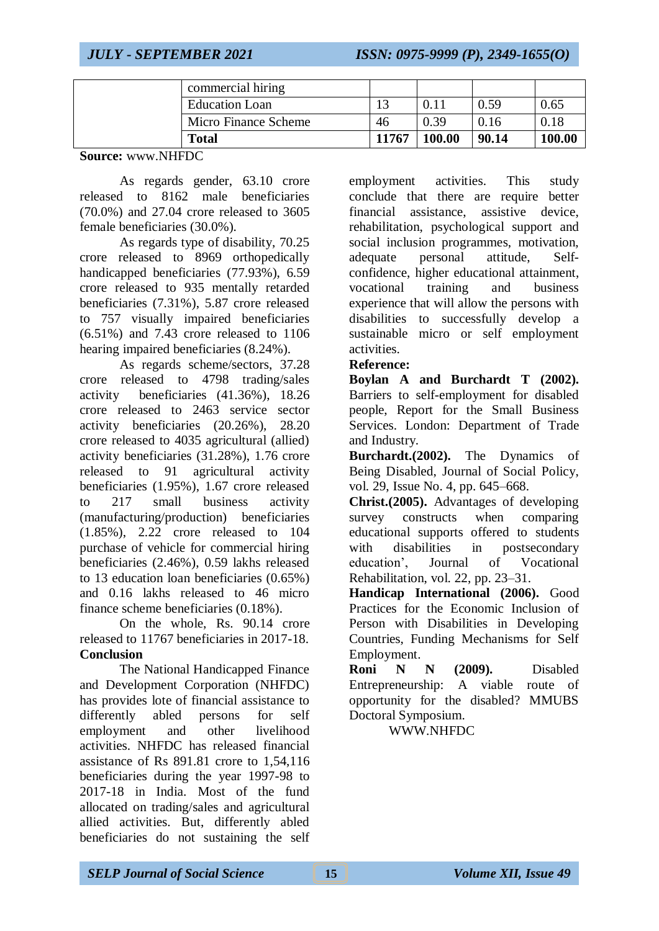| commercial hiring     |       |        |       |        |
|-----------------------|-------|--------|-------|--------|
| <b>Education Loan</b> |       |        | 0.59  | 0.65   |
| Micro Finance Scheme  | 46    | 0.39   | 0.16  | 0.18   |
| Total                 | 11767 | 100.00 | 90.14 | 100.00 |

**Source:** www.NHFDC

As regards gender, 63.10 crore released to 8162 male beneficiaries (70.0%) and 27.04 crore released to 3605 female beneficiaries (30.0%).

As regards type of disability, 70.25 crore released to 8969 orthopedically handicapped beneficiaries (77.93%), 6.59 crore released to 935 mentally retarded beneficiaries (7.31%), 5.87 crore released to 757 visually impaired beneficiaries (6.51%) and 7.43 crore released to 1106 hearing impaired beneficiaries (8.24%).

As regards scheme/sectors, 37.28 crore released to 4798 trading/sales activity beneficiaries (41.36%), 18.26 crore released to 2463 service sector activity beneficiaries (20.26%), 28.20 crore released to 4035 agricultural (allied) activity beneficiaries (31.28%), 1.76 crore released to 91 agricultural activity beneficiaries (1.95%), 1.67 crore released to 217 small business activity (manufacturing/production) beneficiaries (1.85%), 2.22 crore released to 104 purchase of vehicle for commercial hiring beneficiaries (2.46%), 0.59 lakhs released to 13 education loan beneficiaries (0.65%) and 0.16 lakhs released to 46 micro finance scheme beneficiaries (0.18%).

On the whole, Rs. 90.14 crore released to 11767 beneficiaries in 2017-18. **Conclusion**

The National Handicapped Finance and Development Corporation (NHFDC) has provides lote of financial assistance to differently abled persons for self employment and other livelihood activities. NHFDC has released financial assistance of Rs 891.81 crore to 1,54,116 beneficiaries during the year 1997-98 to 2017-18 in India. Most of the fund allocated on trading/sales and agricultural allied activities. But, differently abled beneficiaries do not sustaining the self employment activities. This study conclude that there are require better financial assistance, assistive device, rehabilitation, psychological support and social inclusion programmes, motivation, adequate personal attitude, Selfconfidence, higher educational attainment, vocational training and business experience that will allow the persons with disabilities to successfully develop a sustainable micro or self employment activities.

## **Reference:**

**Boylan A and Burchardt T (2002).** Barriers to self-employment for disabled people, Report for the Small Business Services. London: Department of Trade and Industry.

**Burchardt.(2002).** The Dynamics of Being Disabled, Journal of Social Policy, vol. 29, Issue No. 4, pp. 645–668.

**Christ.(2005).** Advantages of developing survey constructs when comparing educational supports offered to students with disabilities in postsecondary education', Journal of Vocational Rehabilitation, vol. 22, pp. 23–31.

**Handicap International (2006).** Good Practices for the Economic Inclusion of Person with Disabilities in Developing Countries, Funding Mechanisms for Self Employment.

**Roni N N (2009).** Disabled Entrepreneurship: A viable route of opportunity for the disabled? MMUBS Doctoral Symposium.

WWW.NHFDC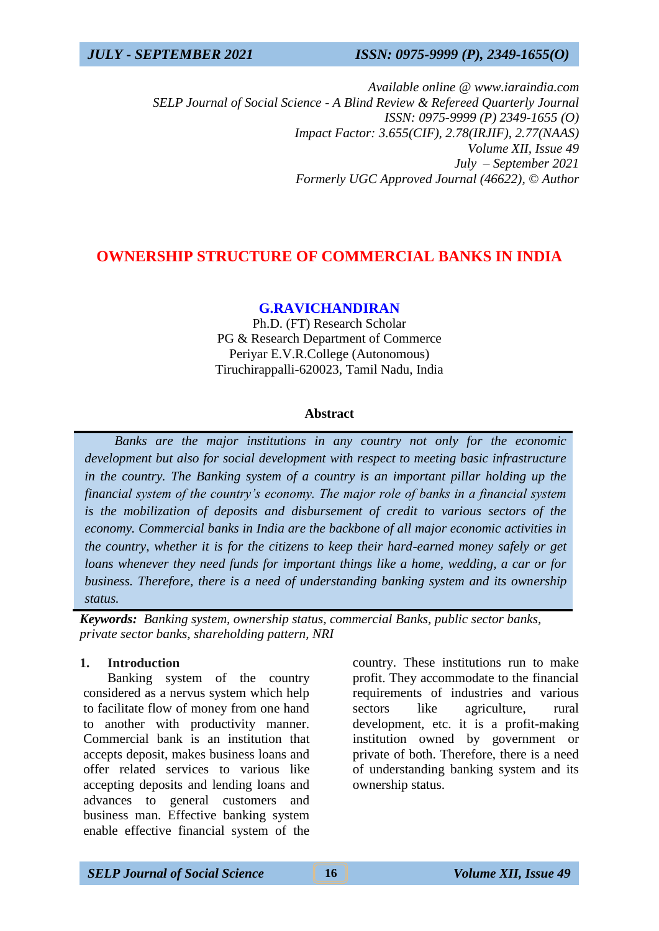*Available online @ www.iaraindia.com SELP Journal of Social Science - A Blind Review & Refereed Quarterly Journal ISSN: 0975-9999 (P) 2349-1655 (O) Impact Factor: 3.655(CIF), 2.78(IRJIF), 2.77(NAAS) Volume XII, Issue 49 July – September 2021 Formerly UGC Approved Journal (46622),* © *Author*

## **OWNERSHIP STRUCTURE OF COMMERCIAL BANKS IN INDIA**

## **G.RAVICHANDIRAN**

Ph.D. (FT) Research Scholar PG & Research Department of Commerce Periyar E.V.R.College (Autonomous) Tiruchirappalli-620023, Tamil Nadu, India

### **Abstract**

 *Banks are the major institutions in any country not only for the economic development but also for social development with respect to meeting basic infrastructure in the country. The Banking system of a country is an important pillar holding up the financial system of the country's economy. The major role of banks in a financial system is the mobilization of deposits and disbursement of credit to various sectors of the economy. Commercial banks in India are the backbone of all major economic activities in the country, whether it is for the citizens to keep their hard-earned money safely or get loans whenever they need funds for important things like a home, wedding, a car or for business. Therefore, there is a need of understanding banking system and its ownership status.*

*Keywords: Banking system, ownership status, commercial Banks, public sector banks, private sector banks, shareholding pattern, NRI*

### **1. Introduction**

Banking system of the country considered as a nervus system which help to facilitate flow of money from one hand to another with productivity manner. Commercial bank is an institution that accepts deposit, makes business loans and offer related services to various like accepting deposits and lending loans and advances to general customers and business man. Effective banking system enable effective financial system of the

country. These institutions run to make profit. They accommodate to the financial requirements of industries and various sectors like agriculture, rural development, etc. it is a profit-making institution owned by government or private of both. Therefore, there is a need of understanding banking system and its ownership status.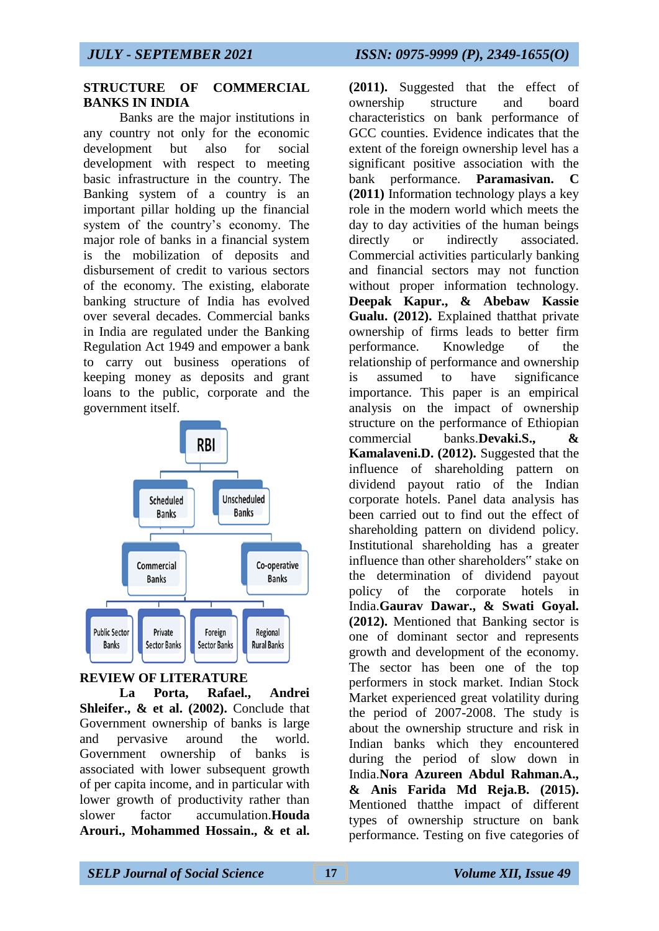### **STRUCTURE OF COMMERCIAL BANKS IN INDIA**

Banks are the major institutions in any country not only for the economic development but also for social development with respect to meeting basic infrastructure in the country. The Banking system of a country is an important pillar holding up the financial system of the country's economy. The major role of banks in a financial system is the mobilization of deposits and disbursement of credit to various sectors of the economy. The existing, elaborate banking structure of India has evolved over several decades. Commercial banks in India are regulated under the Banking Regulation Act 1949 and empower a bank to carry out business operations of keeping money as deposits and grant loans to the public, corporate and the government itself.



# **REVIEW OF LITERATURE**

**La Porta, Rafael., Andrei Shleifer., & et al. (2002).** Conclude that Government ownership of banks is large and pervasive around the world. Government ownership of banks is associated with lower subsequent growth of per capita income, and in particular with lower growth of productivity rather than slower factor accumulation.**Houda Arouri., Mohammed Hossain., & et al.** 

**(2011).** Suggested that the effect of ownership structure and board characteristics on bank performance of GCC counties. Evidence indicates that the extent of the foreign ownership level has a significant positive association with the bank performance. **Paramasivan. C (2011)** Information technology plays a key role in the modern world which meets the day to day activities of the human beings directly or indirectly associated. Commercial activities particularly banking and financial sectors may not function without proper information technology. **Deepak Kapur., & Abebaw Kassie Gualu. (2012).** Explained thatthat private ownership of firms leads to better firm performance. Knowledge of the relationship of performance and ownership is assumed to have significance importance. This paper is an empirical analysis on the impact of ownership structure on the performance of Ethiopian commercial banks.**Devaki.S.**, **Kamalaveni.D. (2012).** Suggested that the influence of shareholding pattern on dividend payout ratio of the Indian corporate hotels. Panel data analysis has been carried out to find out the effect of shareholding pattern on dividend policy. Institutional shareholding has a greater influence than other shareholders" stake on the determination of dividend payout policy of the corporate hotels in India.**Gaurav Dawar., & Swati Goyal. (2012).** Mentioned that Banking sector is one of dominant sector and represents growth and development of the economy. The sector has been one of the top performers in stock market. Indian Stock Market experienced great volatility during the period of 2007-2008. The study is about the ownership structure and risk in Indian banks which they encountered during the period of slow down in India.**Nora Azureen Abdul Rahman.A., & Anis Farida Md Reja.B. (2015).**  Mentioned thatthe impact of different types of ownership structure on bank performance. Testing on five categories of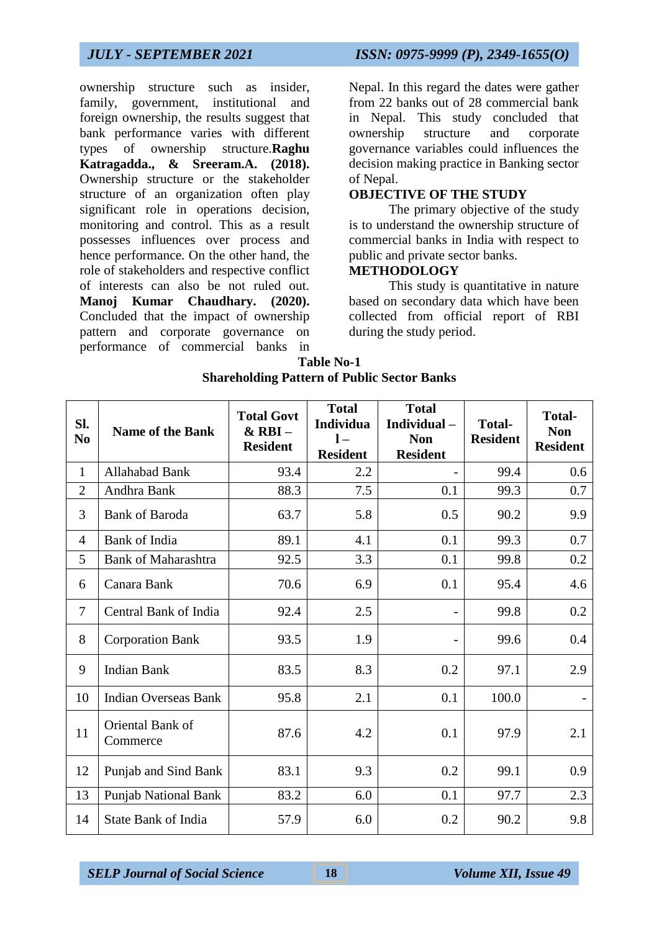ownership structure such as insider, family, government, institutional and foreign ownership, the results suggest that bank performance varies with different types of ownership structure.**Raghu Katragadda., & Sreeram.A. (2018).** Ownership structure or the stakeholder structure of an organization often play significant role in operations decision, monitoring and control. This as a result possesses influences over process and hence performance. On the other hand, the role of stakeholders and respective conflict of interests can also be not ruled out. **Manoj Kumar Chaudhary. (2020).** Concluded that the impact of ownership pattern and corporate governance on performance of commercial banks in

*JULY - SEPTEMBER 2021 ISSN: 0975-9999 (P), 2349-1655(O)*

Nepal. In this regard the dates were gather from 22 banks out of 28 commercial bank in Nepal. This study concluded that ownership structure and corporate governance variables could influences the decision making practice in Banking sector of Nepal.

### **OBJECTIVE OF THE STUDY**

The primary objective of the study is to understand the ownership structure of commercial banks in India with respect to public and private sector banks.

## **METHODOLOGY**

This study is quantitative in nature based on secondary data which have been collected from official report of RBI during the study period.

| <b>Table No-1</b>                                  |
|----------------------------------------------------|
| <b>Shareholding Pattern of Public Sector Banks</b> |

| SI.<br>N <sub>0</sub> | <b>Name of the Bank</b>      | <b>Total Govt</b><br>$&$ RBI $-$<br><b>Resident</b> | <b>Total</b><br>Individua<br>$1 -$<br><b>Resident</b> | <b>Total</b><br>Individual-<br><b>Non</b><br><b>Resident</b> | <b>Total-</b><br><b>Resident</b> | <b>Total-</b><br><b>Non</b><br><b>Resident</b> |
|-----------------------|------------------------------|-----------------------------------------------------|-------------------------------------------------------|--------------------------------------------------------------|----------------------------------|------------------------------------------------|
| $\mathbf{1}$          | Allahabad Bank               | 93.4                                                | 2.2                                                   |                                                              | 99.4                             | 0.6                                            |
| $\overline{2}$        | Andhra Bank                  | 88.3                                                | 7.5                                                   | 0.1                                                          | 99.3                             | 0.7                                            |
| 3                     | <b>Bank of Baroda</b>        | 63.7                                                | 5.8                                                   | 0.5                                                          | 90.2                             | 9.9                                            |
| $\overline{4}$        | Bank of India                | 89.1                                                | 4.1                                                   | 0.1                                                          | 99.3                             | 0.7                                            |
| 5                     | <b>Bank of Maharashtra</b>   | 92.5                                                | 3.3                                                   | 0.1                                                          | 99.8                             | 0.2                                            |
| 6                     | Canara Bank                  | 70.6                                                | 6.9                                                   | 0.1                                                          | 95.4                             | 4.6                                            |
| $\overline{7}$        | Central Bank of India        | 92.4                                                | 2.5                                                   |                                                              | 99.8                             | 0.2                                            |
| 8                     | <b>Corporation Bank</b>      | 93.5                                                | 1.9                                                   |                                                              | 99.6                             | 0.4                                            |
| 9                     | <b>Indian Bank</b>           | 83.5                                                | 8.3                                                   | 0.2                                                          | 97.1                             | 2.9                                            |
| 10                    | <b>Indian Overseas Bank</b>  | 95.8                                                | 2.1                                                   | 0.1                                                          | 100.0                            |                                                |
| 11                    | Oriental Bank of<br>Commerce | 87.6                                                | 4.2                                                   | 0.1                                                          | 97.9                             | 2.1                                            |
| 12                    | Punjab and Sind Bank         | 83.1                                                | 9.3                                                   | 0.2                                                          | 99.1                             | 0.9                                            |
| 13                    | Punjab National Bank         | 83.2                                                | 6.0                                                   | 0.1                                                          | 97.7                             | 2.3                                            |
| 14                    | <b>State Bank of India</b>   | 57.9                                                | 6.0                                                   | 0.2                                                          | 90.2                             | 9.8                                            |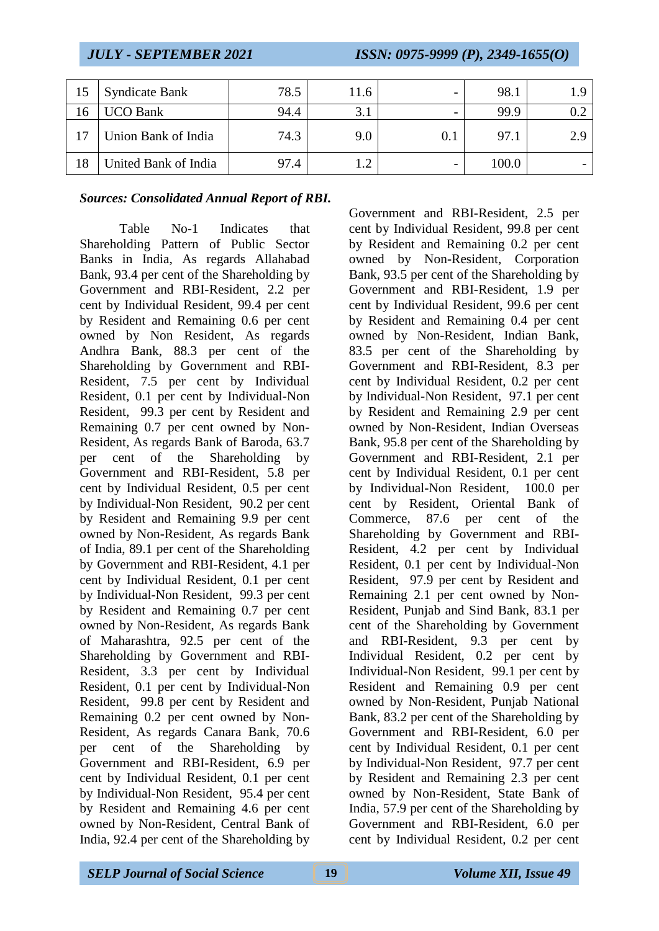| 15 | <b>Syndicate Bank</b> | 78.5 | l 1.6 | $\overline{\phantom{0}}$ | 98.1  |     |
|----|-----------------------|------|-------|--------------------------|-------|-----|
| 16 | <b>UCO Bank</b>       | 94.4 | 3.1   |                          | 99.9  |     |
|    | Union Bank of India   | 74.3 | 9.0   | 0.1                      | 97.1  | 2.9 |
| 18 | United Bank of India  | 97.4 |       | -                        | 100.0 | -   |

### *Sources: Consolidated Annual Report of RBI.*

Table No-1 Indicates that Shareholding Pattern of Public Sector Banks in India, As regards Allahabad Bank, 93.4 per cent of the Shareholding by Government and RBI-Resident, 2.2 per cent by Individual Resident, 99.4 per cent by Resident and Remaining 0.6 per cent owned by Non Resident, As regards Andhra Bank, 88.3 per cent of the Shareholding by Government and RBI-Resident, 7.5 per cent by Individual Resident, 0.1 per cent by Individual-Non Resident, 99.3 per cent by Resident and Remaining 0.7 per cent owned by Non-Resident, As regards Bank of Baroda, 63.7 per cent of the Shareholding by Government and RBI-Resident, 5.8 per cent by Individual Resident, 0.5 per cent by Individual-Non Resident, 90.2 per cent by Resident and Remaining 9.9 per cent owned by Non-Resident, As regards Bank of India, 89.1 per cent of the Shareholding by Government and RBI-Resident, 4.1 per cent by Individual Resident, 0.1 per cent by Individual-Non Resident, 99.3 per cent by Resident and Remaining 0.7 per cent owned by Non-Resident, As regards Bank of Maharashtra, 92.5 per cent of the Shareholding by Government and RBI-Resident, 3.3 per cent by Individual Resident, 0.1 per cent by Individual-Non Resident, 99.8 per cent by Resident and Remaining 0.2 per cent owned by Non-Resident, As regards Canara Bank, 70.6 per cent of the Shareholding by Government and RBI-Resident, 6.9 per cent by Individual Resident, 0.1 per cent by Individual-Non Resident, 95.4 per cent by Resident and Remaining 4.6 per cent owned by Non-Resident, Central Bank of India, 92.4 per cent of the Shareholding by

Government and RBI-Resident, 2.5 per cent by Individual Resident, 99.8 per cent by Resident and Remaining 0.2 per cent owned by Non-Resident, Corporation Bank, 93.5 per cent of the Shareholding by Government and RBI-Resident, 1.9 per cent by Individual Resident, 99.6 per cent by Resident and Remaining 0.4 per cent owned by Non-Resident, Indian Bank, 83.5 per cent of the Shareholding by Government and RBI-Resident, 8.3 per cent by Individual Resident, 0.2 per cent by Individual-Non Resident, 97.1 per cent by Resident and Remaining 2.9 per cent owned by Non-Resident, Indian Overseas Bank, 95.8 per cent of the Shareholding by Government and RBI-Resident, 2.1 per cent by Individual Resident, 0.1 per cent by Individual-Non Resident, 100.0 per cent by Resident, Oriental Bank of Commerce, 87.6 per cent of the Shareholding by Government and RBI-Resident, 4.2 per cent by Individual Resident, 0.1 per cent by Individual-Non Resident, 97.9 per cent by Resident and Remaining 2.1 per cent owned by Non-Resident, Punjab and Sind Bank, 83.1 per cent of the Shareholding by Government and RBI-Resident, 9.3 per cent by Individual Resident, 0.2 per cent by Individual-Non Resident, 99.1 per cent by Resident and Remaining 0.9 per cent owned by Non-Resident, Punjab National Bank, 83.2 per cent of the Shareholding by Government and RBI-Resident, 6.0 per cent by Individual Resident, 0.1 per cent by Individual-Non Resident, 97.7 per cent by Resident and Remaining 2.3 per cent owned by Non-Resident, State Bank of India, 57.9 per cent of the Shareholding by Government and RBI-Resident, 6.0 per cent by Individual Resident, 0.2 per cent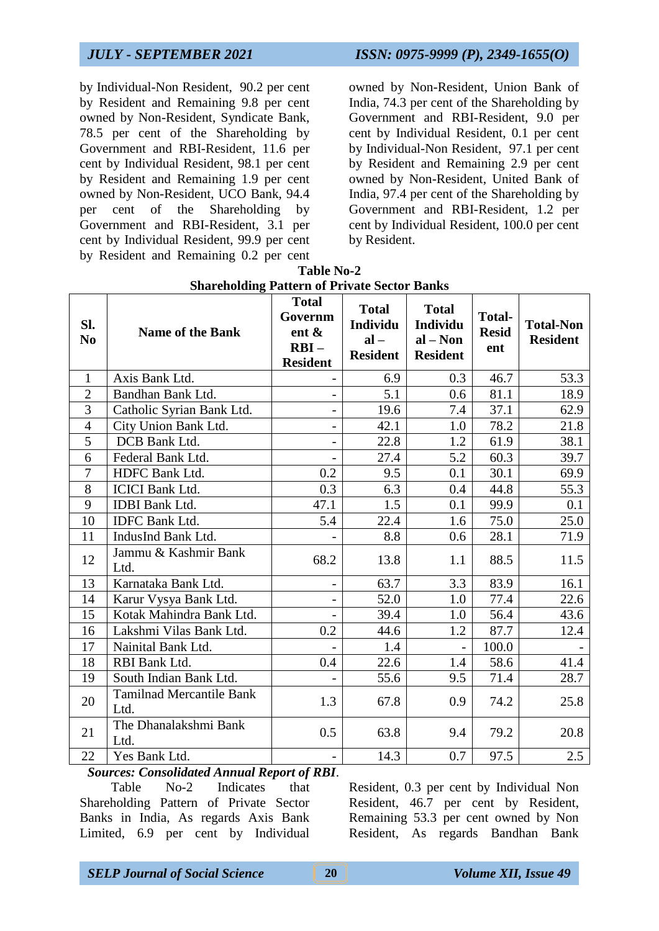**Sl.**

by Individual-Non Resident, 90.2 per cent by Resident and Remaining 9.8 per cent owned by Non-Resident, Syndicate Bank, 78.5 per cent of the Shareholding by Government and RBI-Resident, 11.6 per cent by Individual Resident, 98.1 per cent by Resident and Remaining 1.9 per cent owned by Non-Resident, UCO Bank, 94.4 per cent of the Shareholding by Government and RBI-Resident, 3.1 per cent by Individual Resident, 99.9 per cent by Resident and Remaining 0.2 per cent

owned by Non-Resident, Union Bank of India, 74.3 per cent of the Shareholding by Government and RBI-Resident, 9.0 per cent by Individual Resident, 0.1 per cent by Individual-Non Resident, 97.1 per cent by Resident and Remaining 2.9 per cent owned by Non-Resident, United Bank of India, 97.4 per cent of the Shareholding by Government and RBI-Resident, 1.2 per cent by Individual Resident, 100.0 per cent by Resident.

> **Total-Non Resident**

|                       | <b>Shareholding Pattern of Private Sector Banks</b> |                                                                   |                                                       |     |                                      |  |  |  |  |
|-----------------------|-----------------------------------------------------|-------------------------------------------------------------------|-------------------------------------------------------|-----|--------------------------------------|--|--|--|--|
| SI.<br>N <sub>0</sub> | <b>Name of the Bank</b>                             | <b>Total</b><br>Governm<br>ent $\&$<br>$RBI -$<br><b>Resident</b> | <b>Total</b><br>Individu<br>$al -$<br><b>Resident</b> |     | <b>Total-</b><br><b>Resid</b><br>ent |  |  |  |  |
|                       | Axis Bank Ltd.                                      |                                                                   | 6.9                                                   | 0.3 | 46.7                                 |  |  |  |  |
| $\mathcal{D}$         | Bandhan Bank Ltd.                                   |                                                                   | 5.1                                                   | 0.6 |                                      |  |  |  |  |

| Table No-2                                   |  |
|----------------------------------------------|--|
| Shareholding Pattern of Private Sector Banks |  |

|                |                                                                                       | RBI –<br><b>Resident</b> | <b>Resident</b> | <b>Resident</b> | ent   |      |
|----------------|---------------------------------------------------------------------------------------|--------------------------|-----------------|-----------------|-------|------|
| $\mathbf{1}$   | Axis Bank Ltd.                                                                        |                          | 6.9             | 0.3             | 46.7  | 53.3 |
| $\overline{2}$ | Bandhan Bank Ltd.                                                                     |                          | 5.1             | 0.6             | 81.1  | 18.9 |
| 3              | Catholic Syrian Bank Ltd.                                                             |                          | 19.6            | 7.4             | 37.1  | 62.9 |
| $\overline{4}$ | City Union Bank Ltd.                                                                  | $\overline{\phantom{0}}$ | 42.1            | 1.0             | 78.2  | 21.8 |
| 5              | DCB Bank Ltd.                                                                         | -                        | 22.8            | 1.2             | 61.9  | 38.1 |
| 6              | Federal Bank Ltd.                                                                     |                          | 27.4            | 5.2             | 60.3  | 39.7 |
| $\tau$         | HDFC Bank Ltd.                                                                        | 0.2                      | 9.5             | 0.1             | 30.1  | 69.9 |
| 8              | <b>ICICI</b> Bank Ltd.                                                                | 0.3                      | 6.3             | 0.4             | 44.8  | 55.3 |
| 9              | <b>IDBI</b> Bank Ltd.                                                                 | 47.1                     | 1.5             | 0.1             | 99.9  | 0.1  |
| 10             | <b>IDFC Bank Ltd.</b>                                                                 | 5.4                      | 22.4            | 1.6             | 75.0  | 25.0 |
| 11             | IndusInd Bank Ltd.                                                                    |                          | 8.8             | 0.6             | 28.1  | 71.9 |
| 12             | Jammu & Kashmir Bank<br>Ltd.                                                          | 68.2                     | 13.8            | 1.1             | 88.5  | 11.5 |
| 13             | Karnataka Bank Ltd.                                                                   |                          | 63.7            | 3.3             | 83.9  | 16.1 |
| 14             | Karur Vysya Bank Ltd.                                                                 |                          | 52.0            | 1.0             | 77.4  | 22.6 |
| 15             | Kotak Mahindra Bank Ltd.                                                              |                          | 39.4            | 1.0             | 56.4  | 43.6 |
| 16             | Lakshmi Vilas Bank Ltd.                                                               | 0.2                      | 44.6            | 1.2             | 87.7  | 12.4 |
| 17             | Nainital Bank Ltd.                                                                    |                          | 1.4             |                 | 100.0 |      |
| 18             | RBI Bank Ltd.                                                                         | 0.4                      | 22.6            | 1.4             | 58.6  | 41.4 |
| 19             | South Indian Bank Ltd.                                                                |                          | 55.6            | 9.5             | 71.4  | 28.7 |
| 20             | <b>Tamilnad Mercantile Bank</b><br>Ltd.                                               | 1.3                      | 67.8            | 0.9             | 74.2  | 25.8 |
| 21             | The Dhanalakshmi Bank<br>Ltd.                                                         | 0.5                      | 63.8            | 9.4             | 79.2  | 20.8 |
| 22             | Yes Bank Ltd.                                                                         |                          | 14.3            | 0.7             | 97.5  | 2.5  |
| $\sim$         | $\mathbf{1} \cdot \mathbf{1}$ $\mathbf{1} \cdot \mathbf{1}$<br>$\mathbf{r}$<br>$\sim$ | $c$ nn $r$               |                 |                 |       |      |

*Sources: Consolidated Annual Report of RBI*.

Table No-2 Indicates that Shareholding Pattern of Private Sector Banks in India, As regards Axis Bank Limited, 6.9 per cent by Individual

Resident, 0.3 per cent by Individual Non Resident, 46.7 per cent by Resident, Remaining 53.3 per cent owned by Non Resident, As regards Bandhan Bank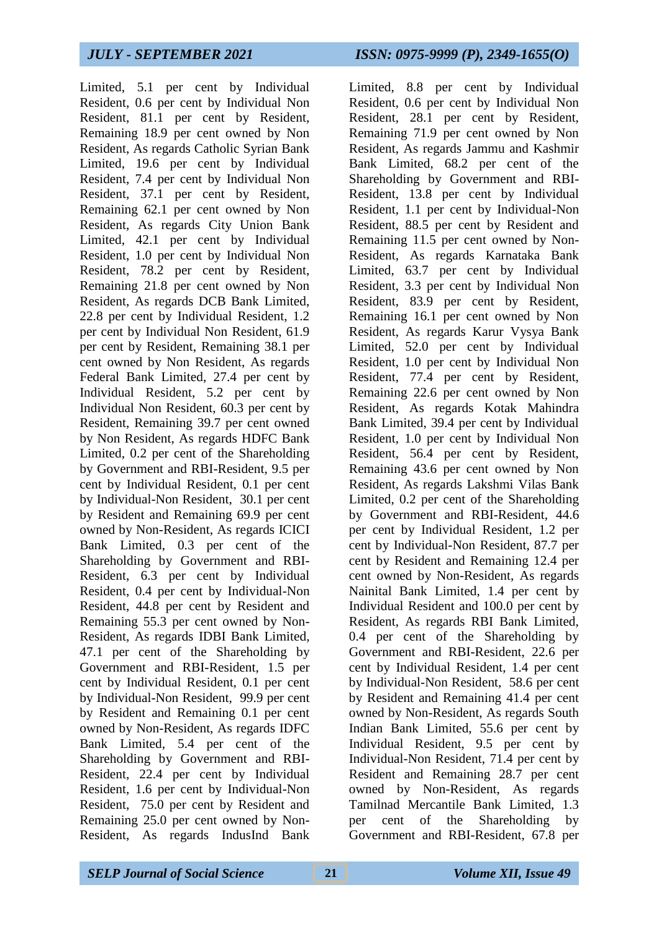Limited, 5.1 per cent by Individual Resident, 0.6 per cent by Individual Non Resident, 81.1 per cent by Resident, Remaining 18.9 per cent owned by Non Resident, As regards Catholic Syrian Bank Limited, 19.6 per cent by Individual Resident, 7.4 per cent by Individual Non Resident, 37.1 per cent by Resident, Remaining 62.1 per cent owned by Non Resident, As regards City Union Bank Limited, 42.1 per cent by Individual Resident, 1.0 per cent by Individual Non Resident, 78.2 per cent by Resident, Remaining 21.8 per cent owned by Non Resident, As regards DCB Bank Limited, 22.8 per cent by Individual Resident, 1.2 per cent by Individual Non Resident, 61.9 per cent by Resident, Remaining 38.1 per cent owned by Non Resident, As regards Federal Bank Limited, 27.4 per cent by Individual Resident, 5.2 per cent by Individual Non Resident, 60.3 per cent by Resident, Remaining 39.7 per cent owned by Non Resident, As regards HDFC Bank Limited, 0.2 per cent of the Shareholding by Government and RBI-Resident, 9.5 per cent by Individual Resident, 0.1 per cent by Individual-Non Resident, 30.1 per cent by Resident and Remaining 69.9 per cent owned by Non-Resident, As regards ICICI Bank Limited, 0.3 per cent of the Shareholding by Government and RBI-Resident, 6.3 per cent by Individual Resident, 0.4 per cent by Individual-Non Resident, 44.8 per cent by Resident and Remaining 55.3 per cent owned by Non-Resident, As regards IDBI Bank Limited, 47.1 per cent of the Shareholding by Government and RBI-Resident, 1.5 per cent by Individual Resident, 0.1 per cent by Individual-Non Resident, 99.9 per cent by Resident and Remaining 0.1 per cent owned by Non-Resident, As regards IDFC Bank Limited, 5.4 per cent of the Shareholding by Government and RBI-Resident, 22.4 per cent by Individual Resident, 1.6 per cent by Individual-Non Resident, 75.0 per cent by Resident and Remaining 25.0 per cent owned by Non-Resident, As regards IndusInd Bank

Limited, 8.8 per cent by Individual Resident, 0.6 per cent by Individual Non Resident, 28.1 per cent by Resident, Remaining 71.9 per cent owned by Non Resident, As regards Jammu and Kashmir Bank Limited, 68.2 per cent of the Shareholding by Government and RBI-Resident, 13.8 per cent by Individual Resident, 1.1 per cent by Individual-Non Resident, 88.5 per cent by Resident and Remaining 11.5 per cent owned by Non-Resident, As regards Karnataka Bank Limited, 63.7 per cent by Individual Resident, 3.3 per cent by Individual Non Resident, 83.9 per cent by Resident, Remaining 16.1 per cent owned by Non Resident, As regards Karur Vysya Bank Limited, 52.0 per cent by Individual Resident, 1.0 per cent by Individual Non Resident, 77.4 per cent by Resident, Remaining 22.6 per cent owned by Non Resident, As regards Kotak Mahindra Bank Limited, 39.4 per cent by Individual Resident, 1.0 per cent by Individual Non Resident, 56.4 per cent by Resident, Remaining 43.6 per cent owned by Non Resident, As regards Lakshmi Vilas Bank Limited, 0.2 per cent of the Shareholding by Government and RBI-Resident, 44.6 per cent by Individual Resident, 1.2 per cent by Individual-Non Resident, 87.7 per cent by Resident and Remaining 12.4 per cent owned by Non-Resident, As regards Nainital Bank Limited, 1.4 per cent by Individual Resident and 100.0 per cent by Resident, As regards RBI Bank Limited, 0.4 per cent of the Shareholding by Government and RBI-Resident, 22.6 per cent by Individual Resident, 1.4 per cent by Individual-Non Resident, 58.6 per cent by Resident and Remaining 41.4 per cent owned by Non-Resident, As regards South Indian Bank Limited, 55.6 per cent by Individual Resident, 9.5 per cent by Individual-Non Resident, 71.4 per cent by Resident and Remaining 28.7 per cent owned by Non-Resident, As regards Tamilnad Mercantile Bank Limited, 1.3 per cent of the Shareholding by Government and RBI-Resident, 67.8 per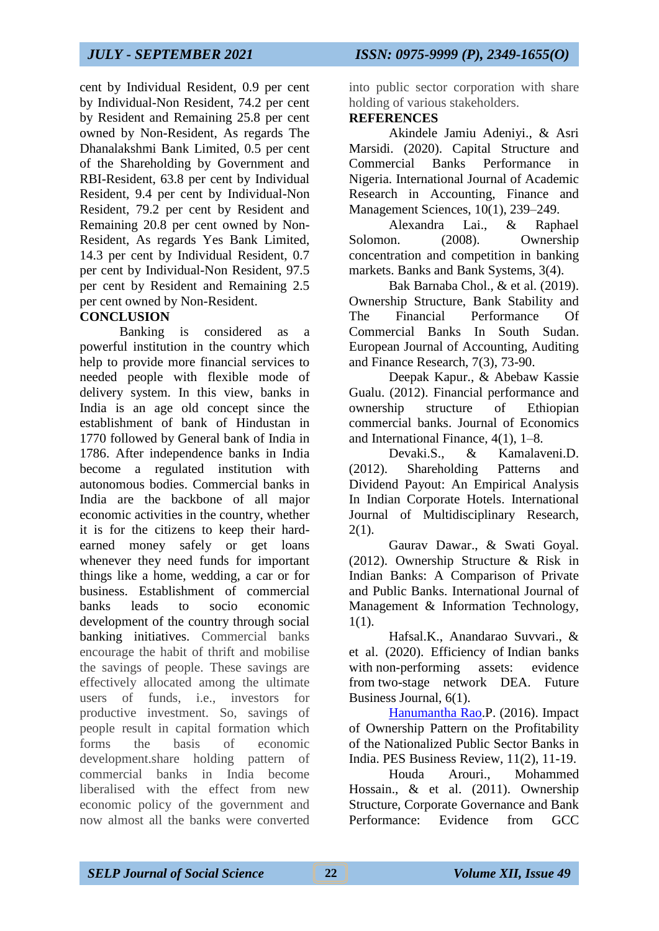cent by Individual Resident, 0.9 per cent by Individual-Non Resident, 74.2 per cent by Resident and Remaining 25.8 per cent owned by Non-Resident, As regards The Dhanalakshmi Bank Limited, 0.5 per cent of the Shareholding by Government and RBI-Resident, 63.8 per cent by Individual Resident, 9.4 per cent by Individual-Non Resident, 79.2 per cent by Resident and Remaining 20.8 per cent owned by Non-Resident, As regards Yes Bank Limited, 14.3 per cent by Individual Resident, 0.7 per cent by Individual-Non Resident, 97.5 per cent by Resident and Remaining 2.5 per cent owned by Non-Resident.

## **CONCLUSION**

Banking is considered as a powerful institution in the country which help to provide more financial services to needed people with flexible mode of delivery system. In this view, banks in India is an age old concept since the establishment of bank of Hindustan in 1770 followed by General bank of India in 1786. After independence banks in India become a regulated institution with autonomous bodies. Commercial banks in India are the backbone of all major economic activities in the country, whether it is for the citizens to keep their hardearned money safely or get loans whenever they need funds for important things like a home, wedding, a car or for business. Establishment of commercial banks leads to socio economic development of the country through social banking initiatives. Commercial banks encourage the habit of thrift and mobilise the savings of people. These savings are effectively allocated among the ultimate users of funds, i.e., investors for productive investment. So, savings of people result in capital formation which forms the basis of economic development.share holding pattern of commercial banks in India become liberalised with the effect from new economic policy of the government and now almost all the banks were converted

into public sector corporation with share holding of various stakeholders.

### **REFERENCES**

Akindele Jamiu Adeniyi., & Asri Marsidi. (2020). Capital Structure and Commercial Banks Performance in Nigeria. International Journal of Academic Research in Accounting, Finance and Management Sciences, 10(1), 239–249.

Alexandra Lai., & Raphael Solomon. (2008). Ownership concentration and competition in banking markets. Banks and Bank Systems, 3(4).

Bak Barnaba Chol., & et al. (2019). Ownership Structure, Bank Stability and The Financial Performance Of Commercial Banks In South Sudan. European Journal of Accounting, Auditing and Finance Research, 7(3), 73-90.

Deepak Kapur., & Abebaw Kassie Gualu. (2012). Financial performance and ownership structure of Ethiopian commercial banks. Journal of Economics and International Finance, 4(1), 1–8.

Devaki.S., & Kamalaveni.D. (2012). Shareholding Patterns and Dividend Payout: An Empirical Analysis In Indian Corporate Hotels. International Journal of Multidisciplinary Research, 2(1).

Gaurav Dawar., & Swati Goyal. (2012). Ownership Structure & Risk in Indian Banks: A Comparison of Private and Public Banks. International Journal of Management & Information Technology, 1(1).

Hafsal.K., Anandarao Suvvari., & et al. (2020). Efficiency of Indian banks with non-performing assets: evidence from two-stage network DEA. Future Business Journal, 6(1).

[Hanumantha Rao.](http://www.i-scholar.in/index.php/PES/search/authors/view?firstName=P.&middleName=&lastName=Hanumantha%20Rao&affiliation=NICMAR,%20Hyderabad&country=IN)P. (2016). Impact of Ownership Pattern on the Profitability of the Nationalized Public Sector Banks in India. PES Business Review, 11(2), 11-19.

Houda Arouri., Mohammed Hossain., & et al. (2011). Ownership Structure, Corporate Governance and Bank Performance: Evidence from GCC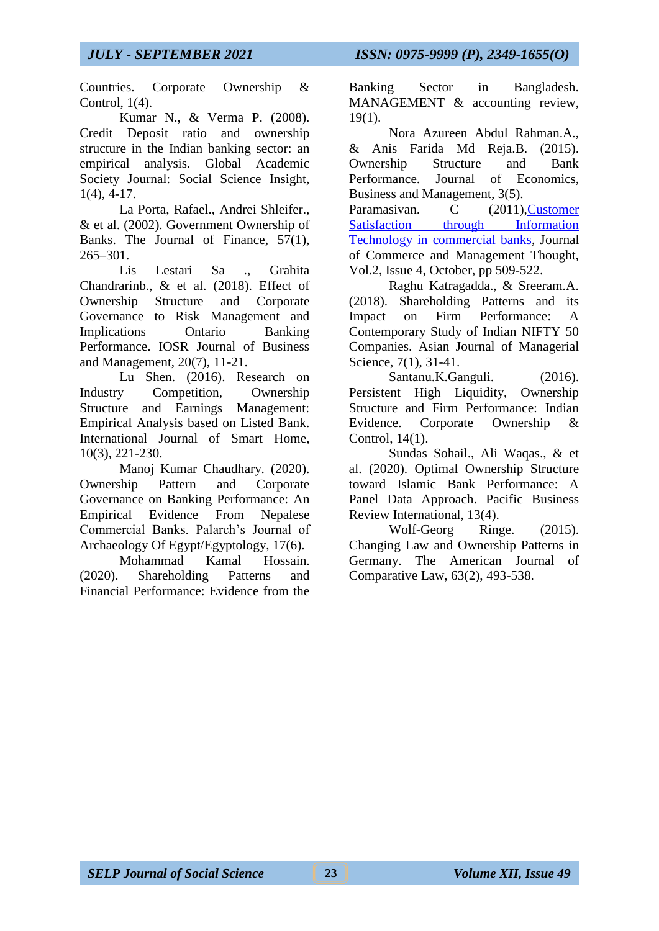Countries. Corporate Ownership & Control, 1(4).

Kumar N., & Verma P. (2008). Credit Deposit ratio and ownership structure in the Indian banking sector: an empirical analysis. Global Academic Society Journal: Social Science Insight, 1(4), 4-17.

La Porta, Rafael., Andrei Shleifer., & et al. (2002). Government Ownership of Banks. The Journal of Finance, 57(1), 265–301.

Lis Lestari Sa ., Grahita Chandrarinb., & et al. (2018). Effect of Ownership Structure and Corporate Governance to Risk Management and Implications Ontario Banking Performance. IOSR Journal of Business and Management, 20(7), 11-21.

Lu Shen. (2016). Research on Industry Competition, Ownership Structure and Earnings Management: Empirical Analysis based on Listed Bank. International Journal of Smart Home, 10(3), 221-230.

Manoj Kumar Chaudhary. (2020). Ownership Pattern and Corporate Governance on Banking Performance: An Empirical Evidence From Nepalese Commercial Banks. Palarch's Journal of Archaeology Of Egypt/Egyptology, 17(6).

Mohammad Kamal Hossain. (2020). Shareholding Patterns and Financial Performance: Evidence from the Banking Sector in Bangladesh. MANAGEMENT & accounting review,  $19(1)$ .

Nora Azureen Abdul Rahman.A., & Anis Farida Md Reja.B. (2015). Ownership Structure and Bank Performance. Journal of Economics, Business and Management, 3(5).

Paramasivan. C (2011), Customer [Satisfaction through Information](https://www.indianjournals.com/ijor.aspx?target=ijor:jcmt&volume=2&issue=4&article=003&type=pdf)  [Technology in commercial banks,](https://www.indianjournals.com/ijor.aspx?target=ijor:jcmt&volume=2&issue=4&article=003&type=pdf) Journal of Commerce and Management Thought, Vol.2, Issue 4, October, pp 509-522.

Raghu Katragadda., & Sreeram.A. (2018). Shareholding Patterns and its Impact on Firm Performance: A Contemporary Study of Indian NIFTY 50 Companies. Asian Journal of Managerial Science, 7(1), 31-41.

Santanu.K.Ganguli. (2016). Persistent High Liquidity, Ownership Structure and Firm Performance: Indian Evidence. Corporate Ownership & Control, 14(1).

Sundas Sohail., Ali Waqas., & et al. (2020). Optimal Ownership Structure toward Islamic Bank Performance: A Panel Data Approach. Pacific Business Review International, 13(4).

Wolf-Georg Ringe. (2015). Changing Law and Ownership Patterns in Germany. The American Journal of Comparative Law, 63(2), 493-538.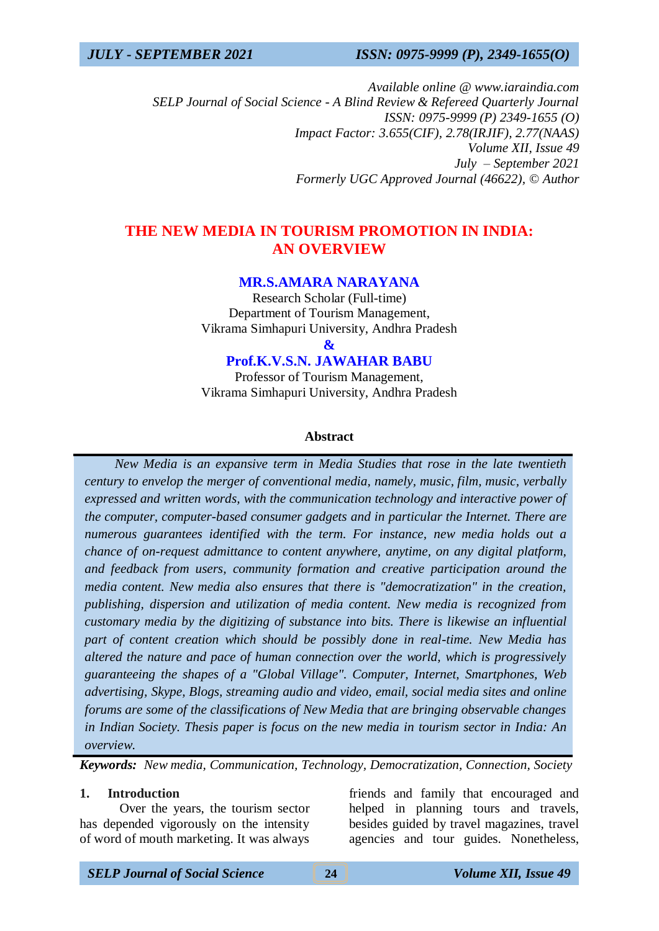*Available online @ www.iaraindia.com SELP Journal of Social Science - A Blind Review & Refereed Quarterly Journal ISSN: 0975-9999 (P) 2349-1655 (O) Impact Factor: 3.655(CIF), 2.78(IRJIF), 2.77(NAAS) Volume XII, Issue 49 July – September 2021 Formerly UGC Approved Journal (46622),* © *Author*

## **THE NEW MEDIA IN TOURISM PROMOTION IN INDIA: AN OVERVIEW**

## **MR.S.AMARA NARAYANA**

Research Scholar (Full-time) Department of Tourism Management, Vikrama Simhapuri University, Andhra Pradesh

**&**

## **Prof.K.V.S.N. JAWAHAR BABU**

Professor of Tourism Management, Vikrama Simhapuri University, Andhra Pradesh

#### **Abstract**

 *New Media is an expansive term in Media Studies that rose in the late twentieth century to envelop the merger of conventional media, namely, music, film, music, verbally expressed and written words, with the communication technology and interactive power of the computer, computer-based consumer gadgets and in particular the Internet. There are numerous guarantees identified with the term. For instance, new media holds out a chance of on-request admittance to content anywhere, anytime, on any digital platform, and feedback from users, community formation and creative participation around the media content. New media also ensures that there is "democratization" in the creation, publishing, dispersion and utilization of media content. New media is recognized from customary media by the digitizing of substance into bits. There is likewise an influential part of content creation which should be possibly done in real-time. New Media has altered the nature and pace of human connection over the world, which is progressively guaranteeing the shapes of a "Global Village". Computer, Internet, Smartphones, Web advertising, Skype, Blogs, streaming audio and video, email, social media sites and online forums are some of the classifications of New Media that are bringing observable changes in Indian Society. Thesis paper is focus on the new media in tourism sector in India: An overview.*

*Keywords: New media, Communication, Technology, Democratization, Connection, Society*

### **1. Introduction**

Over the years, the tourism sector has depended vigorously on the intensity of word of mouth marketing. It was always

friends and family that encouraged and helped in planning tours and travels, besides guided by travel magazines, travel agencies and tour guides. Nonetheless,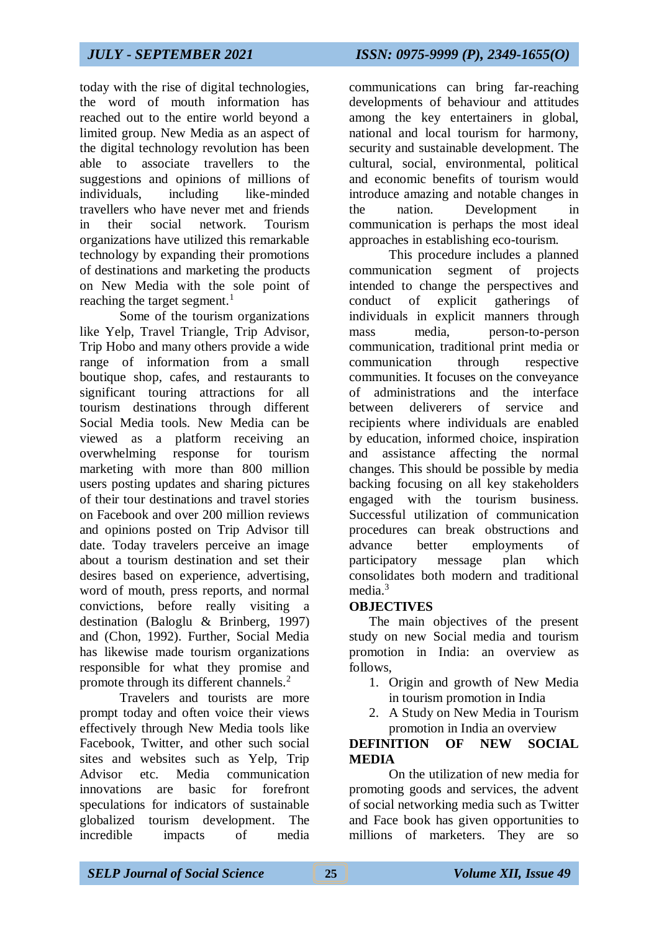today with the rise of digital technologies, the word of mouth information has reached out to the entire world beyond a limited group. New Media as an aspect of the digital technology revolution has been able to associate travellers to the suggestions and opinions of millions of individuals, including like-minded travellers who have never met and friends in their social network. Tourism organizations have utilized this remarkable technology by expanding their promotions of destinations and marketing the products on New Media with the sole point of reaching the target segment.<sup>1</sup>

Some of the tourism organizations like Yelp, Travel Triangle, Trip Advisor, Trip Hobo and many others provide a wide range of information from a small boutique shop, cafes, and restaurants to significant touring attractions for all tourism destinations through different Social Media tools. New Media can be viewed as a platform receiving an overwhelming response for tourism marketing with more than 800 million users posting updates and sharing pictures of their tour destinations and travel stories on Facebook and over 200 million reviews and opinions posted on Trip Advisor till date. Today travelers perceive an image about a tourism destination and set their desires based on experience, advertising, word of mouth, press reports, and normal convictions, before really visiting a destination (Baloglu & Brinberg, 1997) and (Chon, 1992). Further, Social Media has likewise made tourism organizations responsible for what they promise and promote through its different channels.<sup>2</sup>

Travelers and tourists are more prompt today and often voice their views effectively through New Media tools like Facebook, Twitter, and other such social sites and websites such as Yelp, Trip Advisor etc. Media communication innovations are basic for forefront speculations for indicators of sustainable globalized tourism development. The incredible impacts of media

communications can bring far-reaching developments of behaviour and attitudes among the key entertainers in global, national and local tourism for harmony, security and sustainable development. The cultural, social, environmental, political and economic benefits of tourism would introduce amazing and notable changes in the nation. Development in communication is perhaps the most ideal approaches in establishing eco-tourism.

This procedure includes a planned communication segment of projects intended to change the perspectives and conduct of explicit gatherings of individuals in explicit manners through mass media, person-to-person communication, traditional print media or communication through respective communities. It focuses on the conveyance of administrations and the interface between deliverers of service and recipients where individuals are enabled by education, informed choice, inspiration and assistance affecting the normal changes. This should be possible by media backing focusing on all key stakeholders engaged with the tourism business. Successful utilization of communication procedures can break obstructions and advance better employments of participatory message plan which consolidates both modern and traditional media.<sup>3</sup>

## **OBJECTIVES**

The main objectives of the present study on new Social media and tourism promotion in India: an overview as follows,

- 1. Origin and growth of New Media in tourism promotion in India
- 2. A Study on New Media in Tourism promotion in India an overview

## **DEFINITION OF NEW SOCIAL MEDIA**

On the utilization of new media for promoting goods and services, the advent of social networking media such as Twitter and Face book has given opportunities to millions of marketers. They are so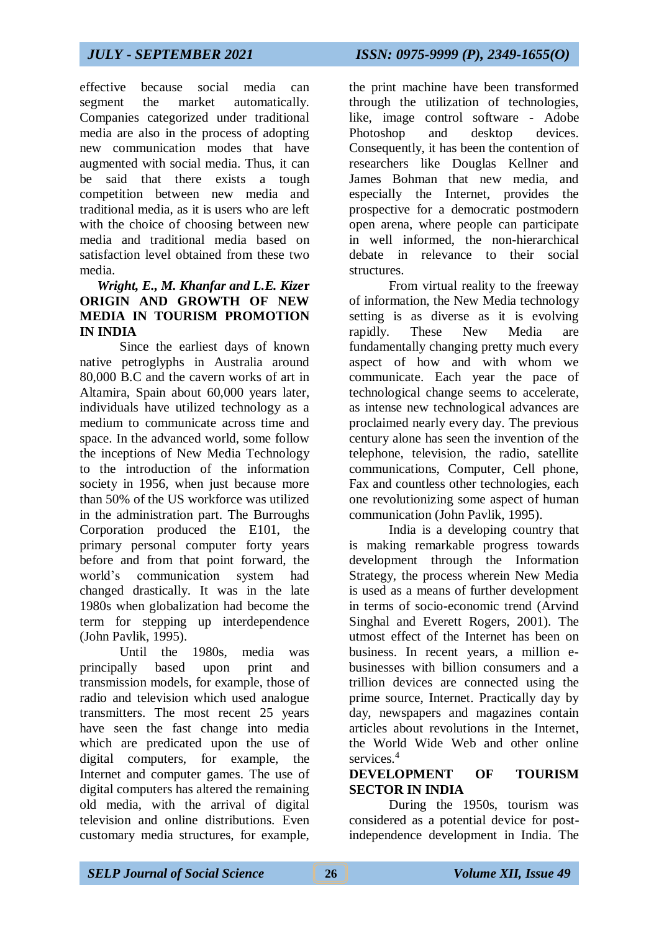effective because social media can segment the market automatically. Companies categorized under traditional media are also in the process of adopting new communication modes that have augmented with social media. Thus, it can be said that there exists a tough competition between new media and traditional media, as it is users who are left with the choice of choosing between new media and traditional media based on satisfaction level obtained from these two media.

## *Wright, E., M. Khanfar and L.E. Kize***r ORIGIN AND GROWTH OF NEW MEDIA IN TOURISM PROMOTION IN INDIA**

Since the earliest days of known native petroglyphs in Australia around 80,000 B.C and the cavern works of art in Altamira, Spain about 60,000 years later, individuals have utilized technology as a medium to communicate across time and space. In the advanced world, some follow the inceptions of New Media Technology to the introduction of the information society in 1956, when just because more than 50% of the US workforce was utilized in the administration part. The Burroughs Corporation produced the E101, the primary personal computer forty years before and from that point forward, the world's communication system had changed drastically. It was in the late 1980s when globalization had become the term for stepping up interdependence (John Pavlik, 1995).

Until the 1980s, media was principally based upon print and transmission models, for example, those of radio and television which used analogue transmitters. The most recent 25 years have seen the fast change into media which are predicated upon the use of digital computers, for example, the Internet and computer games. The use of digital computers has altered the remaining old media, with the arrival of digital television and online distributions. Even customary media structures, for example,

the print machine have been transformed through the utilization of technologies, like, image control software - Adobe Photoshop and desktop devices. Consequently, it has been the contention of researchers like Douglas Kellner and James Bohman that new media, and especially the Internet, provides the prospective for a democratic postmodern open arena, where people can participate in well informed, the non-hierarchical debate in relevance to their social structures.

From virtual reality to the freeway of information, the New Media technology setting is as diverse as it is evolving rapidly. These New Media are fundamentally changing pretty much every aspect of how and with whom we communicate. Each year the pace of technological change seems to accelerate, as intense new technological advances are proclaimed nearly every day. The previous century alone has seen the invention of the telephone, television, the radio, satellite communications, Computer, Cell phone, Fax and countless other technologies, each one revolutionizing some aspect of human communication (John Pavlik, 1995).

India is a developing country that is making remarkable progress towards development through the Information Strategy, the process wherein New Media is used as a means of further development in terms of socio-economic trend (Arvind Singhal and Everett Rogers, 2001). The utmost effect of the Internet has been on business. In recent years, a million ebusinesses with billion consumers and a trillion devices are connected using the prime source, Internet. Practically day by day, newspapers and magazines contain articles about revolutions in the Internet, the World Wide Web and other online services.<sup>4</sup>

### **DEVELOPMENT OF TOURISM SECTOR IN INDIA**

During the 1950s, tourism was considered as a potential device for postindependence development in India. The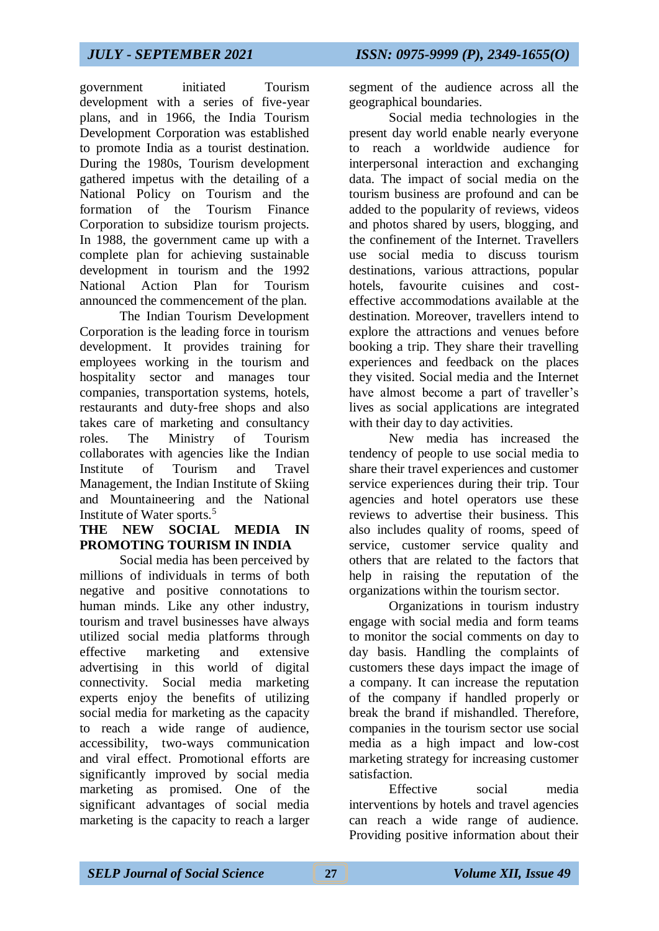government initiated Tourism development with a series of five-year plans, and in 1966, the India Tourism Development Corporation was established to promote India as a tourist destination. During the 1980s, Tourism development gathered impetus with the detailing of a National Policy on Tourism and the formation of the Tourism Finance Corporation to subsidize tourism projects. In 1988, the government came up with a complete plan for achieving sustainable development in tourism and the 1992 National Action Plan for Tourism announced the commencement of the plan.

The Indian Tourism Development Corporation is the leading force in tourism development. It provides training for employees working in the tourism and hospitality sector and manages tour companies, transportation systems, hotels, restaurants and duty-free shops and also takes care of marketing and consultancy roles. The Ministry of Tourism collaborates with agencies like the Indian Institute of Tourism and Travel Management, the Indian Institute of Skiing and Mountaineering and the National Institute of Water sports.<sup>5</sup>

## **THE NEW SOCIAL MEDIA IN PROMOTING TOURISM IN INDIA**

Social media has been perceived by millions of individuals in terms of both negative and positive connotations to human minds. Like any other industry, tourism and travel businesses have always utilized social media platforms through effective marketing and extensive advertising in this world of digital connectivity. Social media marketing experts enjoy the benefits of utilizing social media for marketing as the capacity to reach a wide range of audience, accessibility, two-ways communication and viral effect. Promotional efforts are significantly improved by social media marketing as promised. One of the significant advantages of social media marketing is the capacity to reach a larger

segment of the audience across all the geographical boundaries.

Social media technologies in the present day world enable nearly everyone to reach a worldwide audience for interpersonal interaction and exchanging data. The impact of social media on the tourism business are profound and can be added to the popularity of reviews, videos and photos shared by users, blogging, and the confinement of the Internet. Travellers use social media to discuss tourism destinations, various attractions, popular hotels, favourite cuisines and costeffective accommodations available at the destination. Moreover, travellers intend to explore the attractions and venues before booking a trip. They share their travelling experiences and feedback on the places they visited. Social media and the Internet have almost become a part of traveller's lives as social applications are integrated with their day to day activities.

New media has increased the tendency of people to use social media to share their travel experiences and customer service experiences during their trip. Tour agencies and hotel operators use these reviews to advertise their business. This also includes quality of rooms, speed of service, customer service quality and others that are related to the factors that help in raising the reputation of the organizations within the tourism sector.

Organizations in tourism industry engage with social media and form teams to monitor the social comments on day to day basis. Handling the complaints of customers these days impact the image of a company. It can increase the reputation of the company if handled properly or break the brand if mishandled. Therefore, companies in the tourism sector use social media as a high impact and low-cost marketing strategy for increasing customer satisfaction.

Effective social media interventions by hotels and travel agencies can reach a wide range of audience. Providing positive information about their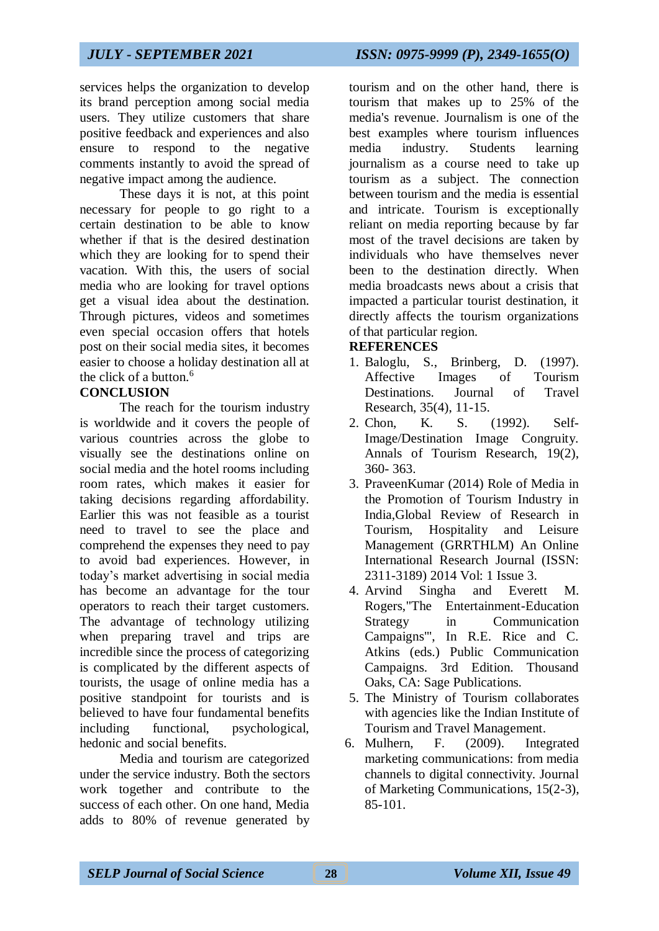services helps the organization to develop its brand perception among social media users. They utilize customers that share positive feedback and experiences and also ensure to respond to the negative comments instantly to avoid the spread of negative impact among the audience.

These days it is not, at this point necessary for people to go right to a certain destination to be able to know whether if that is the desired destination which they are looking for to spend their vacation. With this, the users of social media who are looking for travel options get a visual idea about the destination. Through pictures, videos and sometimes even special occasion offers that hotels post on their social media sites, it becomes easier to choose a holiday destination all at the click of a button.<sup>6</sup>

## **CONCLUSION**

The reach for the tourism industry is worldwide and it covers the people of various countries across the globe to visually see the destinations online on social media and the hotel rooms including room rates, which makes it easier for taking decisions regarding affordability. Earlier this was not feasible as a tourist need to travel to see the place and comprehend the expenses they need to pay to avoid bad experiences. However, in today's market advertising in social media has become an advantage for the tour operators to reach their target customers. The advantage of technology utilizing when preparing travel and trips are incredible since the process of categorizing is complicated by the different aspects of tourists, the usage of online media has a positive standpoint for tourists and is believed to have four fundamental benefits including functional, psychological, hedonic and social benefits.

Media and tourism are categorized under the service industry. Both the sectors work together and contribute to the success of each other. On one hand, Media adds to 80% of revenue generated by

tourism and on the other hand, there is tourism that makes up to 25% of the media's revenue. Journalism is one of the best examples where tourism influences media industry. Students learning journalism as a course need to take up tourism as a subject. The connection between tourism and the media is essential and intricate. Tourism is exceptionally reliant on media reporting because by far most of the travel decisions are taken by individuals who have themselves never been to the destination directly. When media broadcasts news about a crisis that impacted a particular tourist destination, it directly affects the tourism organizations of that particular region.

## **REFERENCES**

- 1. Baloglu, S., Brinberg, D. (1997). Affective Images of Tourism Destinations. Journal of Travel Research, 35(4), 11-15.
- 2. Chon, K. S. (1992). Self-Image/Destination Image Congruity. Annals of Tourism Research, 19(2), 360- 363.
- 3. PraveenKumar (2014) Role of Media in the Promotion of Tourism Industry in India,Global Review of Research in Tourism, Hospitality and Leisure Management (GRRTHLM) An Online International Research Journal (ISSN: 2311-3189) 2014 Vol: 1 Issue 3.
- 4. Arvind Singha and Everett M. Rogers,"The Entertainment-Education Strategy in Communication Campaigns'", In R.E. Rice and C. Atkins (eds.) Public Communication Campaigns. 3rd Edition. Thousand Oaks, CA: Sage Publications.
- 5. The Ministry of Tourism collaborates with agencies like the Indian Institute of Tourism and Travel Management.
- 6. Mulhern, F. (2009). Integrated marketing communications: from media channels to digital connectivity. Journal of Marketing Communications, 15(2-3), 85-101.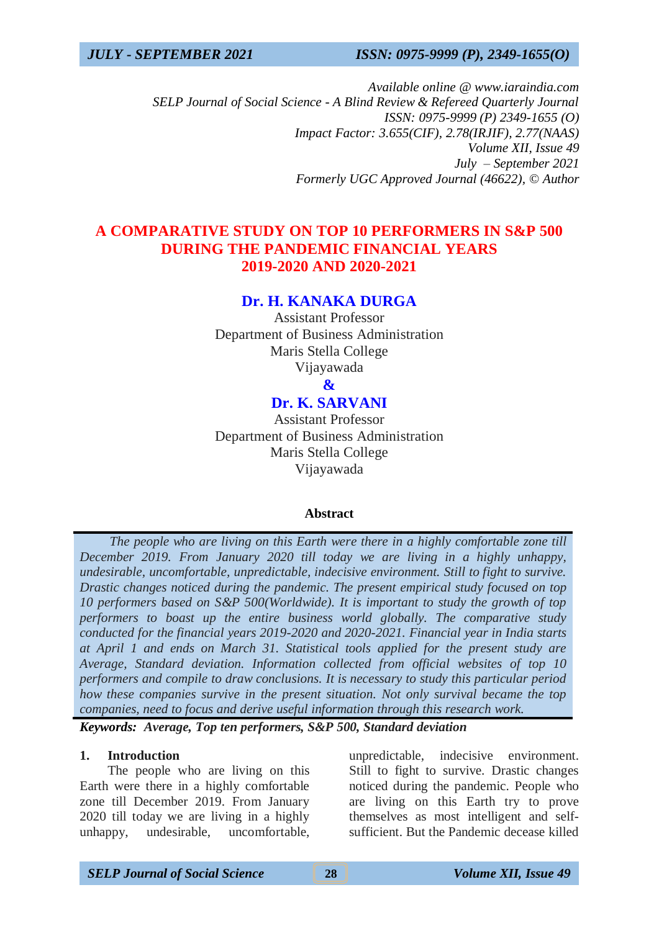*Available online @ www.iaraindia.com SELP Journal of Social Science - A Blind Review & Refereed Quarterly Journal ISSN: 0975-9999 (P) 2349-1655 (O) Impact Factor: 3.655(CIF), 2.78(IRJIF), 2.77(NAAS) Volume XII, Issue 49 July – September 2021 Formerly UGC Approved Journal (46622),* © *Author*

## **A COMPARATIVE STUDY ON TOP 10 PERFORMERS IN S&P 500 DURING THE PANDEMIC FINANCIAL YEARS 2019-2020 AND 2020-2021**

## **Dr. H. KANAKA DURGA**

Assistant Professor Department of Business Administration Maris Stella College Vijayawada

**&**

# **Dr. K. SARVANI**

Assistant Professor Department of Business Administration Maris Stella College Vijayawada

### **Abstract**

 *The people who are living on this Earth were there in a highly comfortable zone till December 2019. From January 2020 till today we are living in a highly unhappy, undesirable, uncomfortable, unpredictable, indecisive environment. Still to fight to survive. Drastic changes noticed during the pandemic. The present empirical study focused on top 10 performers based on S&P 500(Worldwide). It is important to study the growth of top performers to boast up the entire business world globally. The comparative study conducted for the financial years 2019-2020 and 2020-2021. Financial year in India starts at April 1 and ends on March 31. Statistical tools applied for the present study are Average, Standard deviation. Information collected from official websites of top 10 performers and compile to draw conclusions. It is necessary to study this particular period how these companies survive in the present situation. Not only survival became the top companies, need to focus and derive useful information through this research work.*

*Keywords: Average, Top ten performers, S&P 500, Standard deviation*

### **1. Introduction**

The people who are living on this Earth were there in a highly comfortable zone till December 2019. From January 2020 till today we are living in a highly unhappy, undesirable, uncomfortable,

unpredictable, indecisive environment. Still to fight to survive. Drastic changes noticed during the pandemic. People who are living on this Earth try to prove themselves as most intelligent and selfsufficient. But the Pandemic decease killed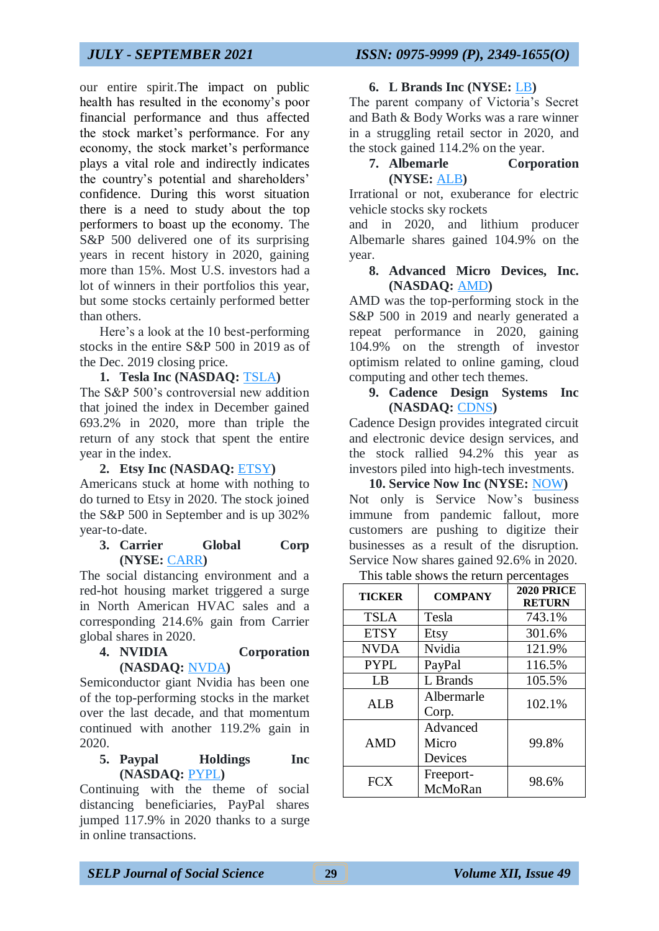our entire spirit.The impact on public health has resulted in the economy's poor financial performance and thus affected the stock market's performance. For any economy, the stock market's performance plays a vital role and indirectly indicates the country's potential and shareholders' confidence. During this worst situation there is a need to study about the top performers to boast up the economy. The S&P 500 delivered one of its surprising years in recent history in 2020, gaining more than 15%. Most U.S. investors had a lot of winners in their portfolios this year, but some stocks certainly performed better than others.

Here's a look at the 10 best-performing stocks in the entire S&P 500 in 2019 as of the Dec. 2019 closing price.

**1. Tesla Inc (NASDAQ:** [TSLA](http://finance.yahoo.com/q?s=TSLA)**)** The S&P 500's controversial new addition that joined the index in December gained 693.2% in 2020, more than triple the return of any stock that spent the entire year in the index.

#### **2. Etsy Inc (NASDAQ:** [ETSY](http://finance.yahoo.com/q?s=ETSY)**)**

Americans stuck at home with nothing to do turned to Etsy in 2020. The stock joined the S&P 500 in September and is up 302% year-to-date.

#### **3. Carrier Global Corp (NYSE:** [CARR](http://finance.yahoo.com/q?s=CARR)**)**

The social distancing environment and a red-hot housing market triggered a surge in North American HVAC sales and a corresponding 214.6% gain from Carrier global shares in 2020.

#### **4. NVIDIA Corporation (NASDAQ:** [NVDA](http://finance.yahoo.com/q?s=NVDA)**)**

Semiconductor giant Nvidia has been one of the top-performing stocks in the market over the last decade, and that momentum continued with another 119.2% gain in 2020.

### **5. Paypal Holdings Inc (NASDAQ:** [PYPL](http://finance.yahoo.com/q?s=PYPL)**)**

Continuing with the theme of social distancing beneficiaries, PayPal shares jumped 117.9% in 2020 thanks to a surge in online transactions.

#### **6. L Brands Inc (NYSE:** [LB](http://finance.yahoo.com/q?s=LB)**)**

The parent company of Victoria's Secret and Bath & Body Works was a rare winner in a struggling retail sector in 2020, and the stock gained 114.2% on the year.

## **7. Albemarle Corporation (NYSE:** [ALB](http://finance.yahoo.com/q?s=ALB)**)**

Irrational or not, exuberance for electric vehicle stocks sky rockets

and in 2020, and lithium producer Albemarle shares gained 104.9% on the year.

### **8. Advanced Micro Devices, Inc. (NASDAQ:** [AMD](http://finance.yahoo.com/q?s=AMD)**)**

AMD was the top-performing stock in the S&P 500 in 2019 and nearly generated a repeat performance in 2020, gaining 104.9% on the strength of investor optimism related to online gaming, cloud computing and other tech themes.

## **9. Cadence Design Systems Inc (NASDAQ:** [CDNS](http://finance.yahoo.com/q?s=CDNS)**)**

Cadence Design provides integrated circuit and electronic device design services, and the stock rallied 94.2% this year as investors piled into high-tech investments.

**10. Service Now Inc (NYSE:** [NOW](http://finance.yahoo.com/q?s=NOW)**)** Not only is Service Now's business immune from pandemic fallout, more customers are pushing to digitize their businesses as a result of the disruption. Service Now shares gained 92.6% in 2020.

This table shows the return percentages

| This taste shows the retain percentages |                              |                                    |  |  |  |  |
|-----------------------------------------|------------------------------|------------------------------------|--|--|--|--|
| <b>TICKER</b>                           | <b>COMPANY</b>               | <b>2020 PRICE</b><br><b>RETURN</b> |  |  |  |  |
| <b>TSLA</b>                             | Tesla                        | 743.1%                             |  |  |  |  |
| <b>ETSY</b>                             | Etsy                         | 301.6%                             |  |  |  |  |
| <b>NVDA</b>                             | Nvidia                       | 121.9%                             |  |  |  |  |
| <b>PYPL</b>                             | PayPal                       | 116.5%                             |  |  |  |  |
| LB                                      | L Brands                     | 105.5%                             |  |  |  |  |
| <b>ALB</b>                              | Albermarle<br>Corp.          | 102.1%                             |  |  |  |  |
| <b>AMD</b>                              | Advanced<br>Micro<br>Devices | 99.8%                              |  |  |  |  |
| <b>FCX</b>                              | Freeport-<br>McMoRan         | 98.6%                              |  |  |  |  |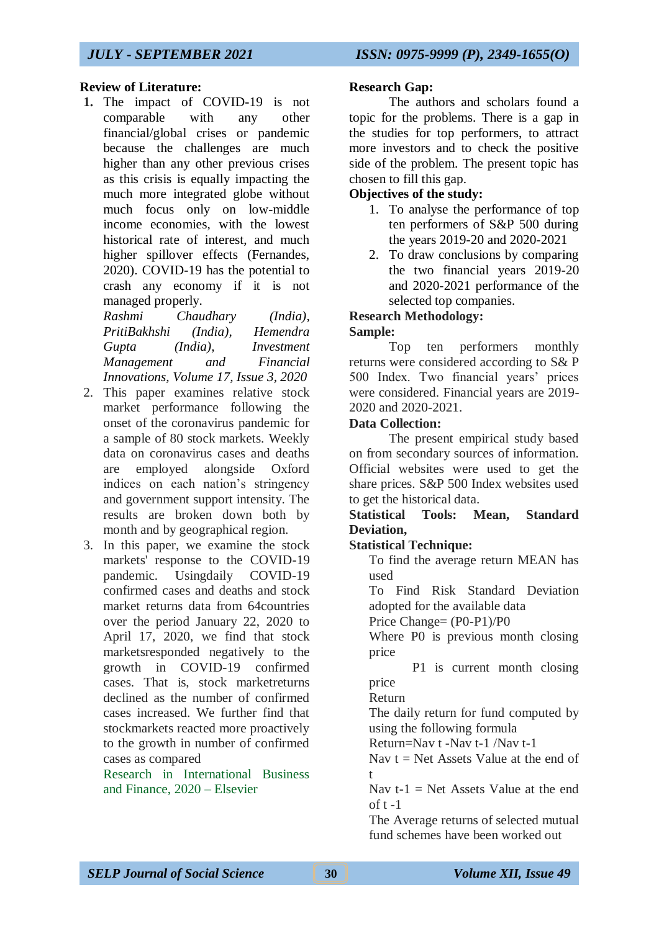## **Review of Literature:**

**1.** The impact of COVID-19 is not comparable with any other financial/global crises or pandemic because the challenges are much higher than any other previous crises as this crisis is equally impacting the much more integrated globe without much focus only on low-middle income economies, with the lowest historical rate of interest, and much higher spillover effects (Fernandes, 2020). COVID-19 has the potential to crash any economy if it is not managed properly.

*Rashmi Chaudhary (India), PritiBakhshi (India), Hemendra Gupta (India), Investment Management and Financial Innovations, Volume 17, Issue 3, 2020*

- 2. This paper examines relative stock market performance following the onset of the coronavirus pandemic for a sample of 80 stock markets. Weekly data on coronavirus cases and deaths are employed alongside Oxford indices on each nation's stringency and government support intensity. The results are broken down both by month and by geographical region.
- 3. In this paper, we examine the stock markets' response to the COVID-19 pandemic. Usingdaily COVID-19 confirmed cases and deaths and stock market returns data from 64countries over the period January 22, 2020 to April 17, 2020, we find that stock marketsresponded negatively to the growth in COVID-19 confirmed cases. That is, stock marketreturns declined as the number of confirmed cases increased. We further find that stockmarkets reacted more proactively to the growth in number of confirmed cases as compared

Research in International Business and Finance, 2020 – Elsevier

## **Research Gap:**

The authors and scholars found a topic for the problems. There is a gap in the studies for top performers, to attract more investors and to check the positive side of the problem. The present topic has chosen to fill this gap.

## **Objectives of the study:**

- 1. To analyse the performance of top ten performers of S&P 500 during the years 2019-20 and 2020-2021
- 2. To draw conclusions by comparing the two financial years 2019-20 and 2020-2021 performance of the selected top companies.

## **Research Methodology: Sample:**

Top ten performers monthly returns were considered according to S& P 500 Index. Two financial years' prices were considered. Financial years are 2019- 2020 and 2020-2021.

## **Data Collection:**

The present empirical study based on from secondary sources of information. Official websites were used to get the share prices. S&P 500 Index websites used to get the historical data.

## **Statistical Tools: Mean, Standard Deviation,**

## **Statistical Technique:**

To find the average return MEAN has used

To Find Risk Standard Deviation adopted for the available data

Price Change= (P0-P1)/P0

Where P0 is previous month closing price

 P1 is current month closing price

Return

The daily return for fund computed by using the following formula

Return=Nav t -Nav t-1 /Nav t-1

Nav  $t = Net$  Assets Value at the end of t

Nav  $t-1 =$  Net Assets Value at the end of  $t - 1$ 

The Average returns of selected mutual fund schemes have been worked out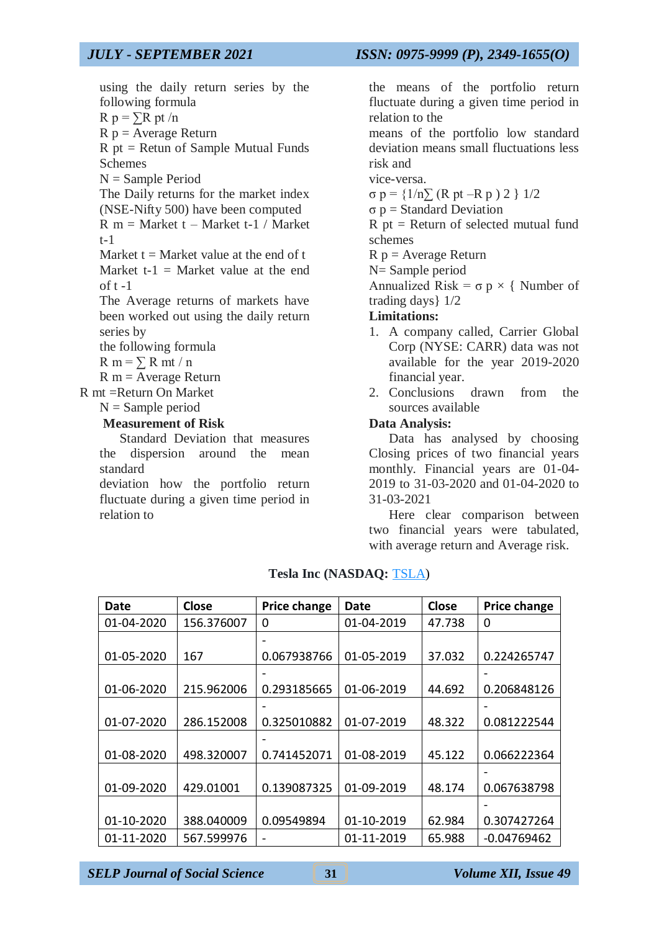using the daily return series by the following formula  $R p = \sum R pt/n$  $R p = Average Return$ R pt = Retun of Sample Mutual Funds Schemes  $N =$  Sample Period The Daily returns for the market index (NSE-Nifty 500) have been computed  $R_m =$  Market t – Market t-1 / Market t-1 Market  $t =$  Market value at the end of t Market  $t-1 =$  Market value at the end of  $t - 1$ The Average returns of markets have been worked out using the daily return series by the following formula  $R m = \sum R m t / n$  $R$  m = Average Return R mt =Return On Market

 $N =$  Sample period

#### **Measurement of Risk**

Standard Deviation that measures the dispersion around the mean standard

deviation how the portfolio return fluctuate during a given time period in relation to

the means of the portfolio return fluctuate during a given time period in relation to the

means of the portfolio low standard deviation means small fluctuations less risk and

vice-versa.

σ p = {1/n∑ (R pt –R p ) 2 } 1/2

σ p = Standard Deviation

 $R$  pt = Return of selected mutual fund schemes

 $R p = Average Return$ 

N= Sample period

Annualized Risk =  $\sigma$  p  $\times$  { Number of trading days} 1/2

### **Limitations:**

- 1. A company called, Carrier Global Corp (NYSE: CARR) data was not available for the year 2019-2020 financial year.
- 2. Conclusions drawn from the sources available

#### **Data Analysis:**

Data has analysed by choosing Closing prices of two financial years monthly. Financial years are 01-04- 2019 to 31-03-2020 and 01-04-2020 to 31-03-2021

Here clear comparison between two financial years were tabulated, with average return and Average risk.

| Date       | Close      | <b>Price change</b> | Date       | <b>Close</b> | <b>Price change</b>      |
|------------|------------|---------------------|------------|--------------|--------------------------|
| 01-04-2020 | 156.376007 | 0                   | 01-04-2019 | 47.738       | 0                        |
|            |            |                     |            |              |                          |
| 01-05-2020 | 167        | 0.067938766         | 01-05-2019 | 37.032       | 0.224265747              |
|            |            |                     |            |              | $\overline{\phantom{0}}$ |
| 01-06-2020 | 215.962006 | 0.293185665         | 01-06-2019 | 44.692       | 0.206848126              |
|            |            |                     |            |              |                          |
| 01-07-2020 | 286.152008 | 0.325010882         | 01-07-2019 | 48.322       | 0.081222544              |
|            |            |                     |            |              |                          |
| 01-08-2020 | 498.320007 | 0.741452071         | 01-08-2019 | 45.122       | 0.066222364              |
|            |            |                     |            |              |                          |
| 01-09-2020 | 429.01001  | 0.139087325         | 01-09-2019 | 48.174       | 0.067638798              |
|            |            |                     |            |              |                          |
| 01-10-2020 | 388.040009 | 0.09549894          | 01-10-2019 | 62.984       | 0.307427264              |
| 01-11-2020 | 567.599976 |                     | 01-11-2019 | 65.988       | $-0.04769462$            |

### **Tesla Inc (NASDAQ:** [TSLA\)](http://finance.yahoo.com/q?s=TSLA)

*SELP Journal of Social Science* **31** *Volume XII, Issue 49*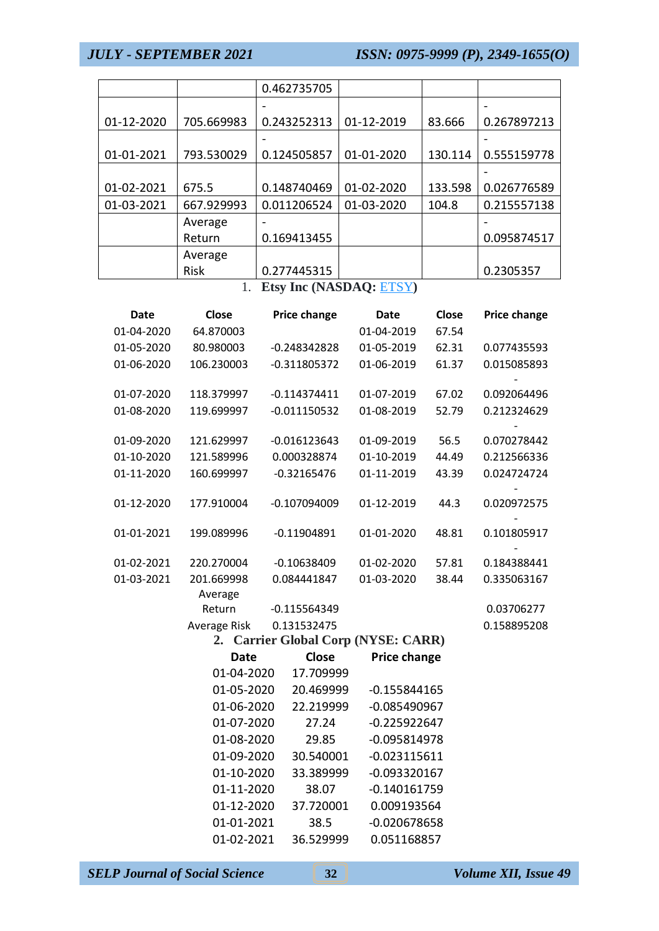|            |            | 0.462735705 |            |         |             |
|------------|------------|-------------|------------|---------|-------------|
|            |            |             |            |         |             |
| 01-12-2020 | 705.669983 | 0.243252313 | 01-12-2019 | 83.666  | 0.267897213 |
|            |            |             |            |         |             |
| 01-01-2021 | 793.530029 | 0.124505857 | 01-01-2020 | 130.114 | 0.555159778 |
|            |            |             |            |         |             |
| 01-02-2021 | 675.5      | 0.148740469 | 01-02-2020 | 133.598 | 0.026776589 |
| 01-03-2021 | 667.929993 | 0.011206524 | 01-03-2020 | 104.8   | 0.215557138 |
|            | Average    |             |            |         |             |
|            | Return     | 0.169413455 |            |         | 0.095874517 |
|            | Average    |             |            |         |             |
|            | Risk       | 0.277445315 |            |         | 0.2305357   |

1. **Etsy Inc (NASDAQ:** [ETSY](http://finance.yahoo.com/q?s=ETSY)**)**

| <b>Date</b> | <b>Close</b> | Price change                        | <b>Date</b>    | Close | Price change |
|-------------|--------------|-------------------------------------|----------------|-------|--------------|
| 01-04-2020  | 64.870003    |                                     | 01-04-2019     | 67.54 |              |
| 01-05-2020  | 80.980003    | $-0.248342828$                      | 01-05-2019     | 62.31 | 0.077435593  |
| 01-06-2020  | 106.230003   | $-0.311805372$                      | 01-06-2019     | 61.37 | 0.015085893  |
| 01-07-2020  | 118.379997   | $-0.114374411$                      | 01-07-2019     | 67.02 | 0.092064496  |
| 01-08-2020  | 119.699997   | $-0.011150532$                      | 01-08-2019     | 52.79 | 0.212324629  |
| 01-09-2020  | 121.629997   | $-0.016123643$                      | 01-09-2019     | 56.5  | 0.070278442  |
| 01-10-2020  | 121.589996   | 0.000328874                         | 01-10-2019     | 44.49 | 0.212566336  |
| 01-11-2020  | 160.699997   | $-0.32165476$                       | 01-11-2019     | 43.39 | 0.024724724  |
| 01-12-2020  | 177.910004   | $-0.107094009$                      | 01-12-2019     | 44.3  | 0.020972575  |
| 01-01-2021  | 199.089996   | $-0.11904891$                       | 01-01-2020     | 48.81 | 0.101805917  |
| 01-02-2021  | 220.270004   | $-0.10638409$                       | 01-02-2020     | 57.81 | 0.184388441  |
| 01-03-2021  | 201.669998   | 0.084441847                         | 01-03-2020     | 38.44 | 0.335063167  |
|             | Average      |                                     |                |       |              |
|             | Return       | $-0.115564349$                      |                |       | 0.03706277   |
|             | Average Risk | 0.131532475                         |                |       | 0.158895208  |
|             |              | 2. Carrier Global Corp (NYSE: CARR) |                |       |              |
|             | <b>Date</b>  | <b>Close</b>                        | Price change   |       |              |
|             | 01-04-2020   | 17.709999                           |                |       |              |
|             | 01-05-2020   | 20.469999                           | $-0.155844165$ |       |              |
|             | 01-06-2020   | 22.219999                           | $-0.085490967$ |       |              |
|             | 01-07-2020   | 27.24                               | $-0.225922647$ |       |              |
|             | 01-08-2020   | 29.85                               | $-0.095814978$ |       |              |
|             | 01-09-2020   | 30.540001                           | $-0.023115611$ |       |              |
|             | 01-10-2020   | 33.389999                           | $-0.093320167$ |       |              |
|             | 01-11-2020   | 38.07                               | $-0.140161759$ |       |              |
|             | 01-12-2020   | 37.720001                           | 0.009193564    |       |              |
|             | 01-01-2021   | 38.5                                | $-0.020678658$ |       |              |
|             | 01-02-2021   | 36.529999                           | 0.051168857    |       |              |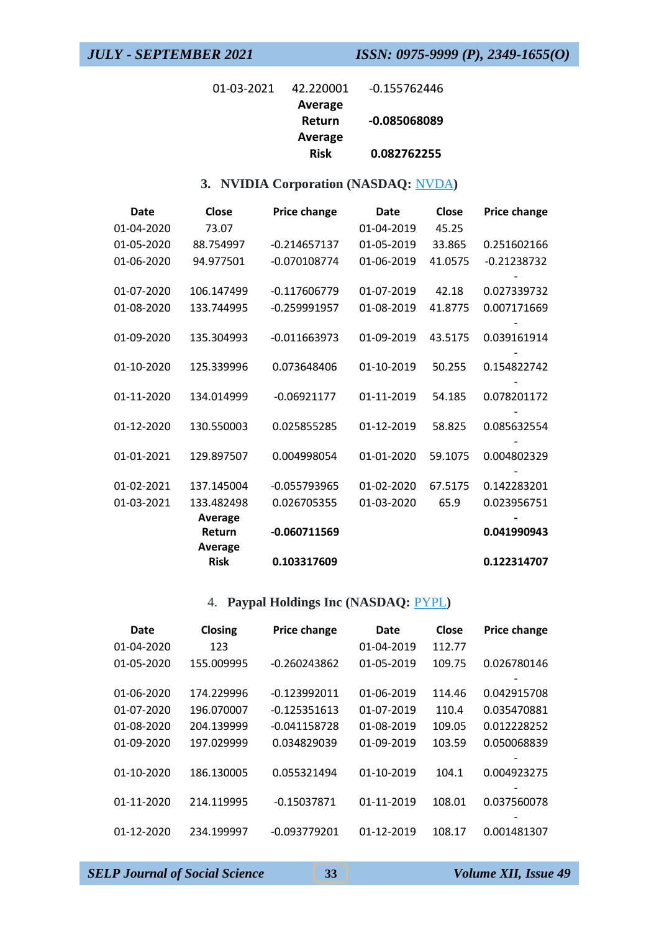| $01 - 03 - 2021$ | 42.220001   | $-0.155762446$ |
|------------------|-------------|----------------|
|                  | Average     |                |
|                  | Return      | -0.085068089   |
|                  | Average     |                |
|                  | <b>Risk</b> | 0.082762255    |

## **3. NVIDIA Corporation (NASDAQ:** [NVDA](http://finance.yahoo.com/q?s=NVDA)**)**

| Date       | Close          | Price change   | Date       | Close   | Price change  |
|------------|----------------|----------------|------------|---------|---------------|
| 01-04-2020 | 73.07          |                | 01-04-2019 | 45.25   |               |
| 01-05-2020 | 88.754997      | $-0.214657137$ | 01-05-2019 | 33.865  | 0.251602166   |
| 01-06-2020 | 94.977501      | -0.070108774   | 01-06-2019 | 41.0575 | $-0.21238732$ |
| 01-07-2020 | 106.147499     | $-0.117606779$ | 01-07-2019 | 42.18   | 0.027339732   |
| 01-08-2020 | 133.744995     | -0.259991957   | 01-08-2019 | 41.8775 | 0.007171669   |
| 01-09-2020 | 135.304993     | $-0.011663973$ | 01-09-2019 | 43.5175 | 0.039161914   |
| 01-10-2020 | 125.339996     | 0.073648406    | 01-10-2019 | 50.255  | 0.154822742   |
| 01-11-2020 | 134.014999     | $-0.06921177$  | 01-11-2019 | 54.185  | 0.078201172   |
| 01-12-2020 | 130.550003     | 0.025855285    | 01-12-2019 | 58.825  | 0.085632554   |
| 01-01-2021 | 129.897507     | 0.004998054    | 01-01-2020 | 59.1075 | 0.004802329   |
| 01-02-2021 | 137.145004     | $-0.055793965$ | 01-02-2020 | 67.5175 | 0.142283201   |
| 01-03-2021 | 133.482498     | 0.026705355    | 01-03-2020 | 65.9    | 0.023956751   |
|            | <b>Average</b> |                |            |         |               |
|            | Return         | -0.060711569   |            |         | 0.041990943   |
|            | <b>Average</b> |                |            |         |               |
|            | <b>Risk</b>    | 0.103317609    |            |         | 0.122314707   |

## 4. **Paypal Holdings Inc (NASDAQ:** [PYPL](http://finance.yahoo.com/q?s=PYPL)**)**

| Date             | Closing    | <b>Price change</b> | Date       | Close  | Price change |
|------------------|------------|---------------------|------------|--------|--------------|
| $01 - 04 - 2020$ | 123        |                     | 01-04-2019 | 112.77 |              |
| 01-05-2020       | 155.009995 | $-0.260243862$      | 01-05-2019 | 109.75 | 0.026780146  |
|                  |            |                     |            |        |              |
| $01-06-2020$     | 174.229996 | $-0.123992011$      | 01-06-2019 | 114.46 | 0.042915708  |
| $01-07-2020$     | 196.070007 | $-0.125351613$      | 01-07-2019 | 110.4  | 0.035470881  |
| $01-08-2020$     | 204.139999 | $-0.041158728$      | 01-08-2019 | 109.05 | 0.012228252  |
| 01-09-2020       | 197.029999 | 0.034829039         | 01-09-2019 | 103.59 | 0.050068839  |
|                  |            |                     |            |        |              |
| 01-10-2020       | 186.130005 | 0.055321494         | 01-10-2019 | 104.1  | 0.004923275  |
|                  |            |                     |            |        |              |
| 01-11-2020       | 214.119995 | $-0.15037871$       | 01-11-2019 | 108.01 | 0.037560078  |
|                  |            |                     |            |        |              |
| 01-12-2020       | 234.199997 | -0.093779201        | 01-12-2019 | 108.17 | 0.001481307  |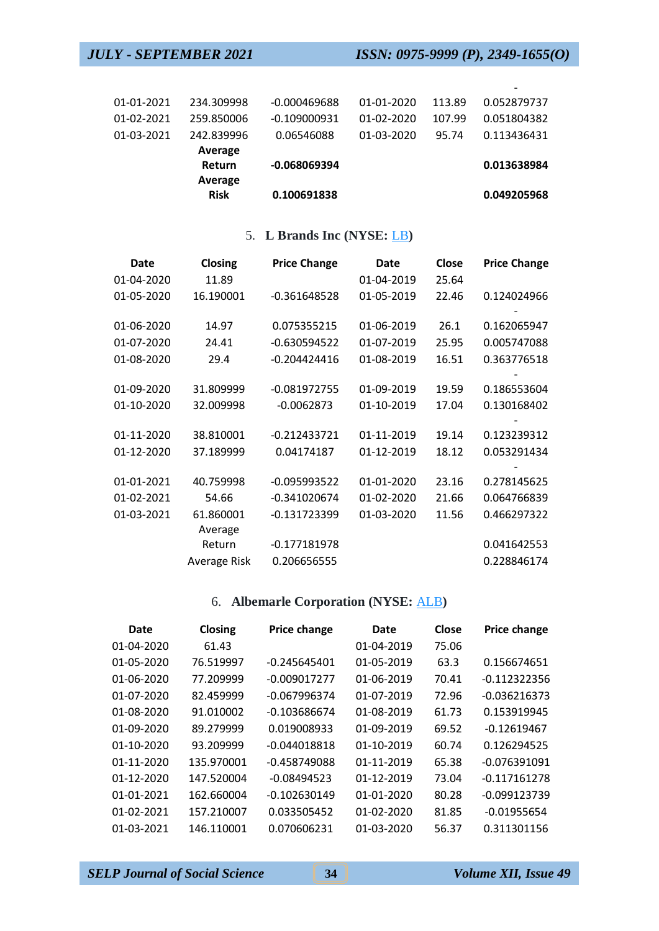-

| 01-01-2021 | 234.309998  | $-0.000469688$ | 01-01-2020 | 113.89 | 0.052879737 |
|------------|-------------|----------------|------------|--------|-------------|
|            |             |                |            |        |             |
| 01-02-2021 | 259.850006  | $-0.109000931$ | 01-02-2020 | 107.99 | 0.051804382 |
| 01-03-2021 | 242.839996  | 0.06546088     | 01-03-2020 | 95.74  | 0.113436431 |
|            | Average     |                |            |        |             |
|            | Return      | $-0.068069394$ |            |        | 0.013638984 |
|            | Average     |                |            |        |             |
|            | <b>Risk</b> | 0.100691838    |            |        | 0.049205968 |

## 5. **L Brands Inc (NYSE:** [LB](http://finance.yahoo.com/q?s=LB)**)**

| Date       | Closing      | <b>Price Change</b> | Date       | Close | <b>Price Change</b> |
|------------|--------------|---------------------|------------|-------|---------------------|
| 01-04-2020 | 11.89        |                     | 01-04-2019 | 25.64 |                     |
| 01-05-2020 | 16.190001    | $-0.361648528$      | 01-05-2019 | 22.46 | 0.124024966         |
| 01-06-2020 | 14.97        | 0.075355215         | 01-06-2019 | 26.1  | 0.162065947         |
| 01-07-2020 | 24.41        | $-0.630594522$      | 01-07-2019 | 25.95 | 0.005747088         |
| 01-08-2020 | 29.4         | $-0.204424416$      | 01-08-2019 | 16.51 | 0.363776518         |
| 01-09-2020 | 31.809999    | $-0.081972755$      | 01-09-2019 | 19.59 | 0.186553604         |
| 01-10-2020 | 32.009998    | $-0.0062873$        | 01-10-2019 | 17.04 | 0.130168402         |
|            |              |                     |            |       |                     |
| 01-11-2020 | 38.810001    | $-0.212433721$      | 01-11-2019 | 19.14 | 0.123239312         |
| 01-12-2020 | 37.189999    | 0.04174187          | 01-12-2019 | 18.12 | 0.053291434         |
| 01-01-2021 | 40.759998    | -0.095993522        | 01-01-2020 | 23.16 | 0.278145625         |
| 01-02-2021 | 54.66        | $-0.341020674$      | 01-02-2020 | 21.66 | 0.064766839         |
| 01-03-2021 | 61.860001    | -0.131723399        | 01-03-2020 | 11.56 | 0.466297322         |
|            | Average      |                     |            |       |                     |
|            | Return       | $-0.177181978$      |            |       | 0.041642553         |
|            | Average Risk | 0.206656555         |            |       | 0.228846174         |

## 6. **Albemarle Corporation (NYSE:** [ALB](http://finance.yahoo.com/q?s=ALB)**)**

| Closing    | <b>Price change</b> | Date       | Close | <b>Price change</b> |
|------------|---------------------|------------|-------|---------------------|
| 61.43      |                     | 01-04-2019 | 75.06 |                     |
| 76.519997  | $-0.245645401$      | 01-05-2019 | 63.3  | 0.156674651         |
| 77.209999  | $-0.009017277$      | 01-06-2019 | 70.41 | $-0.112322356$      |
| 82.459999  | $-0.067996374$      | 01-07-2019 | 72.96 | $-0.036216373$      |
| 91.010002  | $-0.103686674$      | 01-08-2019 | 61.73 | 0.153919945         |
| 89.279999  | 0.019008933         | 01-09-2019 | 69.52 | $-0.12619467$       |
| 93.209999  | $-0.044018818$      | 01-10-2019 | 60.74 | 0.126294525         |
| 135.970001 | $-0.458749088$      | 01-11-2019 | 65.38 | $-0.076391091$      |
| 147.520004 | $-0.08494523$       | 01-12-2019 | 73.04 | $-0.117161278$      |
| 162.660004 | $-0.102630149$      | 01-01-2020 | 80.28 | -0.099123739        |
| 157.210007 | 0.033505452         | 01-02-2020 | 81.85 | $-0.01955654$       |
| 146.110001 | 0.070606231         | 01-03-2020 | 56.37 | 0.311301156         |
|            |                     |            |       |                     |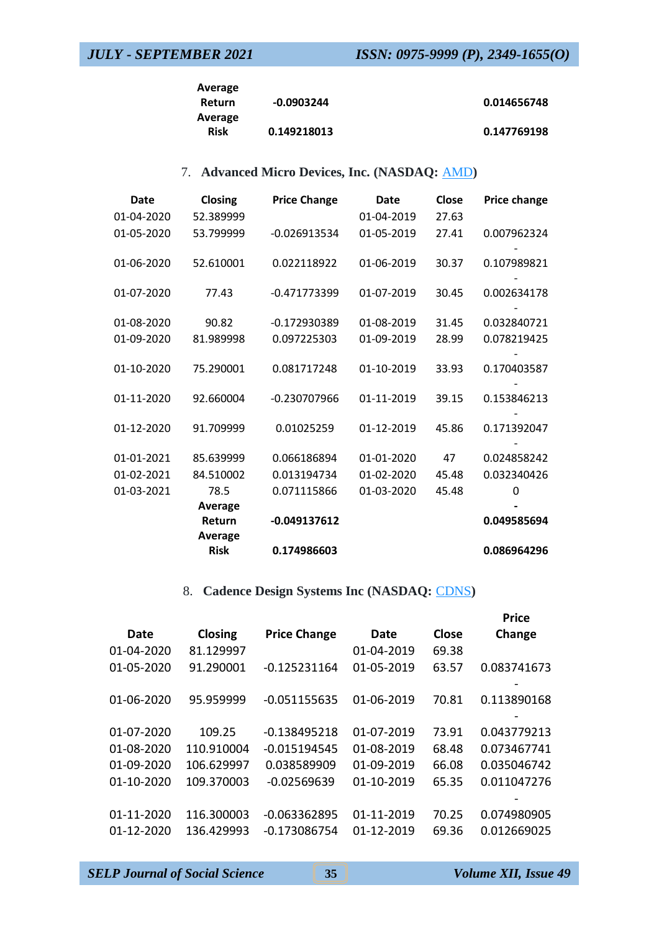| Average     |             |             |
|-------------|-------------|-------------|
| Return      | -0.0903244  | 0.014656748 |
| Average     |             |             |
| <b>Risk</b> | 0.149218013 | 0.147769198 |

## 7. **Advanced Micro Devices, Inc. (NASDAQ:** [AMD](http://finance.yahoo.com/q?s=AMD)**)**

| <b>Date</b> | Closing        | <b>Price Change</b> | Date       | Close | Price change |
|-------------|----------------|---------------------|------------|-------|--------------|
| 01-04-2020  | 52.389999      |                     | 01-04-2019 | 27.63 |              |
| 01-05-2020  | 53.799999      | $-0.026913534$      | 01-05-2019 | 27.41 | 0.007962324  |
| 01-06-2020  | 52.610001      | 0.022118922         | 01-06-2019 | 30.37 | 0.107989821  |
| 01-07-2020  | 77.43          | -0.471773399        | 01-07-2019 | 30.45 | 0.002634178  |
| 01-08-2020  | 90.82          | -0.172930389        | 01-08-2019 | 31.45 | 0.032840721  |
| 01-09-2020  | 81.989998      | 0.097225303         | 01-09-2019 | 28.99 | 0.078219425  |
| 01-10-2020  | 75.290001      | 0.081717248         | 01-10-2019 | 33.93 | 0.170403587  |
| 01-11-2020  | 92.660004      | -0.230707966        | 01-11-2019 | 39.15 | 0.153846213  |
| 01-12-2020  | 91.709999      | 0.01025259          | 01-12-2019 | 45.86 | 0.171392047  |
| 01-01-2021  | 85.639999      | 0.066186894         | 01-01-2020 | 47    | 0.024858242  |
| 01-02-2021  | 84.510002      | 0.013194734         | 01-02-2020 | 45.48 | 0.032340426  |
| 01-03-2021  | 78.5           | 0.071115866         | 01-03-2020 | 45.48 | O            |
|             | <b>Average</b> |                     |            |       |              |
|             | Return         | -0.049137612        |            |       | 0.049585694  |
|             | <b>Average</b> |                     |            |       |              |
|             | <b>Risk</b>    | 0.174986603         |            |       | 0.086964296  |

## 8. **Cadence Design Systems Inc (NASDAQ:** [CDNS](http://finance.yahoo.com/q?s=CDNS)**)**

|                |                     |                |            | <b>Price</b> |
|----------------|---------------------|----------------|------------|--------------|
| <b>Closing</b> | <b>Price Change</b> | Date           | Close      | Change       |
| 81.129997      |                     | 01-04-2019     | 69.38      |              |
| 91.290001      | $-0.125231164$      | 01-05-2019     | 63.57      | 0.083741673  |
|                |                     |                |            | 0.113890168  |
|                |                     |                |            |              |
| 109.25         | $-0.138495218$      | 01-07-2019     | 73.91      | 0.043779213  |
| 110.910004     | $-0.015194545$      | 01-08-2019     | 68.48      | 0.073467741  |
| 106.629997     | 0.038589909         | 01-09-2019     | 66.08      | 0.035046742  |
| 109.370003     | $-0.02569639$       | 01-10-2019     | 65.35      | 0.011047276  |
|                |                     |                |            |              |
| 116.300003     | $-0.063362895$      | 01-11-2019     | 70.25      | 0.074980905  |
| 136.429993     | $-0.173086754$      | 01-12-2019     | 69.36      | 0.012669025  |
|                | 95.959999           | $-0.051155635$ | 01-06-2019 | 70.81        |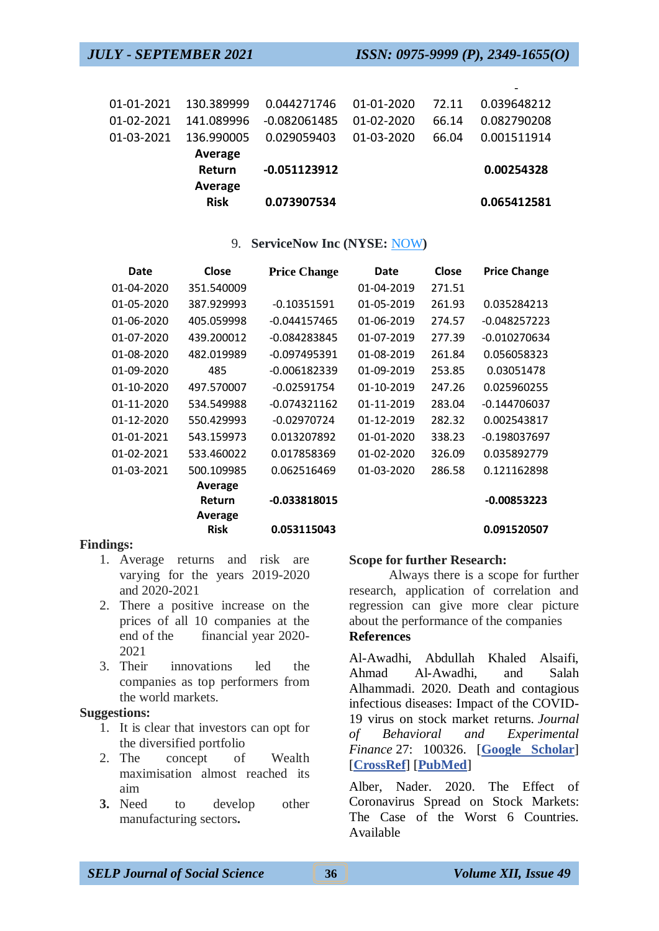|                  | Average<br><b>Risk</b> | 0.073907534    |                  |       | 0.065412581 |
|------------------|------------------------|----------------|------------------|-------|-------------|
|                  | Average<br>Return      | $-0.051123912$ |                  |       | 0.00254328  |
| 01-03-2021       | 136.990005             | 0.029059403    | 01-03-2020       | 66.04 | 0.001511914 |
| $01 - 02 - 2021$ | 141.089996             | $-0.082061485$ | $01 - 02 - 2020$ | 66.14 | 0.082790208 |
| 01-01-2021       | 130.389999             | 0.044271746    | 01-01-2020       | 72.11 | 0.039648212 |
|                  |                        |                |                  |       |             |

#### 9. **ServiceNow Inc (NYSE:** [NOW](http://finance.yahoo.com/q?s=NOW)**)**

| Date       | Close       | <b>Price Change</b> | Date       | Close  | <b>Price Change</b> |
|------------|-------------|---------------------|------------|--------|---------------------|
| 01-04-2020 | 351.540009  |                     | 01-04-2019 | 271.51 |                     |
| 01-05-2020 | 387.929993  | $-0.10351591$       | 01-05-2019 | 261.93 | 0.035284213         |
| 01-06-2020 | 405.059998  | $-0.044157465$      | 01-06-2019 | 274.57 | $-0.048257223$      |
| 01-07-2020 | 439.200012  | -0.084283845        | 01-07-2019 | 277.39 | $-0.010270634$      |
| 01-08-2020 | 482.019989  | $-0.097495391$      | 01-08-2019 | 261.84 | 0.056058323         |
| 01-09-2020 | 485         | $-0.006182339$      | 01-09-2019 | 253.85 | 0.03051478          |
| 01-10-2020 | 497.570007  | $-0.02591754$       | 01-10-2019 | 247.26 | 0.025960255         |
| 01-11-2020 | 534.549988  | $-0.074321162$      | 01-11-2019 | 283.04 | $-0.144706037$      |
| 01-12-2020 | 550.429993  | $-0.02970724$       | 01-12-2019 | 282.32 | 0.002543817         |
| 01-01-2021 | 543.159973  | 0.013207892         | 01-01-2020 | 338.23 | -0.198037697        |
| 01-02-2021 | 533.460022  | 0.017858369         | 01-02-2020 | 326.09 | 0.035892779         |
| 01-03-2021 | 500.109985  | 0.062516469         | 01-03-2020 | 286.58 | 0.121162898         |
|            | Average     |                     |            |        |                     |
|            | Return      | -0.033818015        |            |        | $-0.00853223$       |
|            | Average     |                     |            |        |                     |
|            | <b>Risk</b> | 0.053115043         |            |        | 0.091520507         |

#### **Findings:**

- 1. Average returns and risk are varying for the years 2019-2020 and 2020-2021
- 2. There a positive increase on the prices of all 10 companies at the end of the financial year 2020- 2021
- 3. Their innovations led the companies as top performers from the world markets.

### **Suggestions:**

- 1. It is clear that investors can opt for the diversified portfolio
- 2. The concept of Wealth maximisation almost reached its aim
- **3.** Need to develop other manufacturing sectors**.**

#### **Scope for further Research:**

Always there is a scope for further research, application of correlation and regression can give more clear picture about the performance of the companies **References**

Al-Awadhi, Abdullah Khaled Alsaifi, Ahmad Al-Awadhi, and Salah Alhammadi. 2020. Death and contagious infectious diseases: Impact of the COVID-19 virus on stock market returns. *Journal of Behavioral and Experimental Finance* 27: 100326. [**[Google Scholar](https://scholar.google.com/scholar_lookup?title=Death+and+contagious+infectious+diseases:+Impact+of+the+COVID-19+virus+on+stock+market+returns&author=Al-Awadhi,+Abdullah+Khaled+Alsaifi&author=Ahmad+Al-Awadhi&author=and+Salah+Alhammadi&publication_year=2020&journal=Journal+of+Behavioral+and+Experimental+Finance&volume=27&pages=100326&doi=10.1016/j.jbef.2020.100326&pmid=32292707)**] [**[CrossRef](https://doi.org/10.1016/j.jbef.2020.100326)**] [**[PubMed](https://www.ncbi.nlm.nih.gov/pubmed/32292707)**]

Alber, Nader. 2020. The Effect of Coronavirus Spread on Stock Markets: The Case of the Worst 6 Countries. Available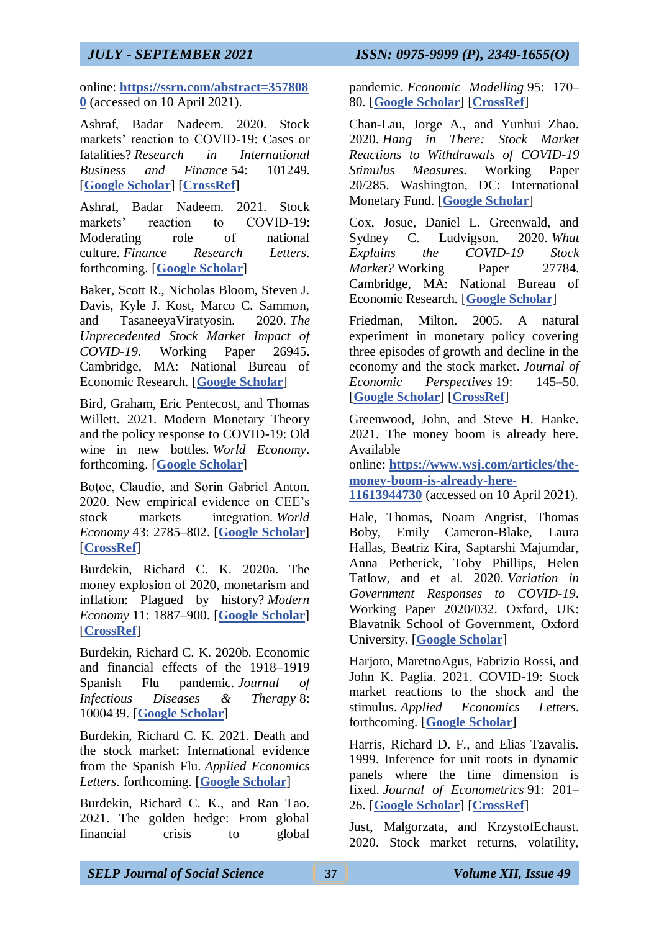online: **[https://ssrn.com/abstract=357808](https://ssrn.com/abstract=3578080) [0](https://ssrn.com/abstract=3578080)** (accessed on 10 April 2021).

Ashraf, Badar Nadeem. 2020. Stock markets' reaction to COVID-19: Cases or fatalities? *Research in International Business and Finance* 54: 101249. [**[Google Scholar](https://scholar.google.com/scholar_lookup?title=Stock+markets%E2%80%99+reaction+to+COVID-19:+Cases+or+fatalities?&author=Ashraf,+Badar+Nadeem&publication_year=2020&journal=Research+in+International+Business+and+Finance&volume=54&pages=101249&doi=10.1016/j.ribaf.2020.101249)**] [**[CrossRef](https://doi.org/10.1016/j.ribaf.2020.101249)**]

Ashraf, Badar Nadeem. 2021. Stock markets' reaction to COVID-19: Moderating role of national culture. *Finance Research Letters*. forthcoming. [**[Google Scholar](https://scholar.google.com/scholar_lookup?title=Stock+markets%E2%80%99+reaction+to+COVID-19:+Moderating+role+of+national+culture&author=Ashraf,+Badar+Nadeem&publication_year=2021&journal=Finance+Research+Letters)**]

Baker, Scott R., Nicholas Bloom, Steven J. Davis, Kyle J. Kost, Marco C. Sammon, and TasaneeyaViratyosin. 2020. *The Unprecedented Stock Market Impact of COVID-19*. Working Paper 26945. Cambridge, MA: National Bureau of Economic Research. [**[Google Scholar](https://scholar.google.com/scholar_lookup?title=The+Unprecedented+Stock+Market+Impact+of+COVID-19&author=Baker,+Scott+R.&author=Nicholas+Bloom&author=Steven+J.+Davis&author=Kyle+J.+Kost&author=Marco+C.+Sammon&author=and+Tasaneeya+Viratyosin&publication_year=2020)**]

Bird, Graham, Eric Pentecost, and Thomas Willett. 2021. Modern Monetary Theory and the policy response to COVID-19: Old wine in new bottles. *World Economy*. forthcoming. [**[Google Scholar](https://scholar.google.com/scholar_lookup?title=Modern+Monetary+Theory+and+the+policy+response+to+COVID-19:+Old+wine+in+new+bottles&author=Bird,+Graham&author=Eric+Pentecost&author=and+Thomas+Willett&publication_year=2021&journal=World+Economy)**]

Botoc, Claudio, and Sorin Gabriel Anton. 2020. New empirical evidence on CEE's stock markets integration. *World Economy* 43: 2785–802. [**[Google Scholar](https://scholar.google.com/scholar_lookup?title=New+empirical+evidence+on+CEE%E2%80%99s+stock+markets+integration&author=Bo%C5%A3oc,+Claudio&author=and+Sorin+Gabriel+Anton&publication_year=2020&journal=World+Economy&volume=43&pages=2785%E2%80%93802&doi=10.1111/twec.12961)**] [**[CrossRef](https://doi.org/10.1111/twec.12961)**]

Burdekin, Richard C. K. 2020a. The money explosion of 2020, monetarism and inflation: Plagued by history? *Modern Economy* 11: 1887–900. [**[Google Scholar](https://scholar.google.com/scholar_lookup?title=The+money+explosion+of+2020,+monetarism+and+inflation:+Plagued+by+history?&author=Burdekin,+Richard+C.+K.&publication_year=2020a&journal=Modern+Economy&volume=11&pages=1887%E2%80%93900&doi=10.4236/me.2020.1111126)**] [**[CrossRef](https://doi.org/10.4236/me.2020.1111126)**]

Burdekin, Richard C. K. 2020b. Economic and financial effects of the 1918–1919 Spanish Flu pandemic. *Journal of Infectious Diseases & Therapy* 8: 1000439. [**[Google Scholar](https://scholar.google.com/scholar_lookup?title=Economic+and+financial+effects+of+the+1918%E2%80%931919+Spanish+Flu+pandemic&author=Burdekin,+Richard+C.+K.&publication_year=2020b&journal=Journal+of+Infectious+Diseases+&+Therapy&volume=8&pages=1000439)**]

Burdekin, Richard C. K. 2021. Death and the stock market: International evidence from the Spanish Flu. *Applied Economics Letters*. forthcoming. [**[Google Scholar](https://scholar.google.com/scholar_lookup?title=Death+and+the+stock+market:+International+evidence+from+the+Spanish+Flu&author=Burdekin,+Richard+C.+K.&publication_year=2021&journal=Applied+Economics+Letters)**]

Burdekin, Richard C. K., and Ran Tao. 2021. The golden hedge: From global financial crisis to global pandemic. *Economic Modelling* 95: 170– 80. [**[Google Scholar](https://scholar.google.com/scholar_lookup?title=The+golden+hedge:+From+global+financial+crisis+to+global+pandemic&author=Burdekin,+Richard+C.+K.&author=and+Ran+Tao&publication_year=2021&journal=Economic+Modelling&volume=95&pages=170%E2%80%9380&doi=10.1016/j.econmod.2020.12.009)**] [**[CrossRef](https://doi.org/10.1016/j.econmod.2020.12.009)**]

Chan-Lau, Jorge A., and Yunhui Zhao. 2020. *Hang in There: Stock Market Reactions to Withdrawals of COVID-19 Stimulus Measures*. Working Paper 20/285. Washington, DC: International Monetary Fund. [**[Google Scholar](https://scholar.google.com/scholar_lookup?title=Hang+in+There:+Stock+Market+Reactions+to+Withdrawals+of+COVID-19+Stimulus+Measures&author=Chan-Lau,+Jorge+A.&author=and+Yunhui+Zhao&publication_year=2020)**]

Cox, Josue, Daniel L. Greenwald, and Sydney C. Ludvigson. 2020. *What Explains the COVID-19 Stock Market?* Working Paper 27784. Cambridge, MA: National Bureau of Economic Research. [**[Google Scholar](https://scholar.google.com/scholar_lookup?title=What+Explains+the+COVID-19+Stock+Market?&author=Cox,+Josue&author=Daniel+L.+Greenwald&author=and+Sydney+C.+Ludvigson&publication_year=2020)**]

Friedman, Milton. 2005. A natural experiment in monetary policy covering three episodes of growth and decline in the economy and the stock market. *Journal of Economic Perspectives* 19: 145–50. [**[Google Scholar](https://scholar.google.com/scholar_lookup?title=A+natural+experiment+in+monetary+policy+covering+three+episodes+of+growth+and+decline+in+the+economy+and+the+stock+market&author=Friedman,+Milton&publication_year=2005&journal=Journal+of+Economic+Perspectives&volume=19&pages=145%E2%80%9350&doi=10.1257/089533005775196787)**] [**[CrossRef](https://doi.org/10.1257/089533005775196787)**]

Greenwood, John, and Steve H. Hanke. 2021. The money boom is already here. Available

online: **[https://www.wsj.com/articles/the](https://www.wsj.com/articles/the-money-boom-is-already-here-11613944730)[money-boom-is-already-here-](https://www.wsj.com/articles/the-money-boom-is-already-here-11613944730)**

**[11613944730](https://www.wsj.com/articles/the-money-boom-is-already-here-11613944730)** (accessed on 10 April 2021).

Hale, Thomas, Noam Angrist, Thomas Boby, Emily Cameron-Blake, Laura Hallas, Beatriz Kira, Saptarshi Majumdar, Anna Petherick, Toby Phillips, Helen Tatlow, and et al. 2020. *Variation in Government Responses to COVID-19*. Working Paper 2020/032. Oxford, UK: Blavatnik School of Government, Oxford University. [**[Google Scholar](https://scholar.google.com/scholar_lookup?title=Variation+in+Government+Responses+to+COVID-19&author=Hale,+Thomas&author=Noam+Angrist&author=Thomas+Boby&author=Emily+Cameron-Blake&author=Laura+Hallas&author=Beatriz+Kira&author=Saptarshi+Majumdar&author=Anna+Petherick&author=Toby+Phillips&author=Helen+Tatlow&publication_year=2020)**]

Harjoto, MaretnoAgus, Fabrizio Rossi, and John K. Paglia. 2021. COVID-19: Stock market reactions to the shock and the stimulus. *Applied Economics Letters*. forthcoming. [**[Google Scholar](https://scholar.google.com/scholar_lookup?title=COVID-19:+Stock+market+reactions+to+the+shock+and+the+stimulus&author=Harjoto,+Maretno+Agus&author=Fabrizio+Rossi&author=and+John+K.+Paglia&publication_year=2021&journal=Applied+Economics+Letters)**]

Harris, Richard D. F., and Elias Tzavalis. 1999. Inference for unit roots in dynamic panels where the time dimension is fixed. *Journal of Econometrics* 91: 201– 26. [**[Google Scholar](https://scholar.google.com/scholar_lookup?title=Inference+for+unit+roots+in+dynamic+panels+where+the+time+dimension+is+fixed&author=Harris,+Richard+D.+F.&author=and+Elias+Tzavalis&publication_year=1999&journal=Journal+of+Econometrics&volume=91&pages=201%E2%80%9326&doi=10.1016/S0304-4076(98)00076-1)**] [**[CrossRef](https://doi.org/10.1016/S0304-4076(98)00076-1)**]

Just, Malgorzata, and KrzystofEchaust. 2020. Stock market returns, volatility,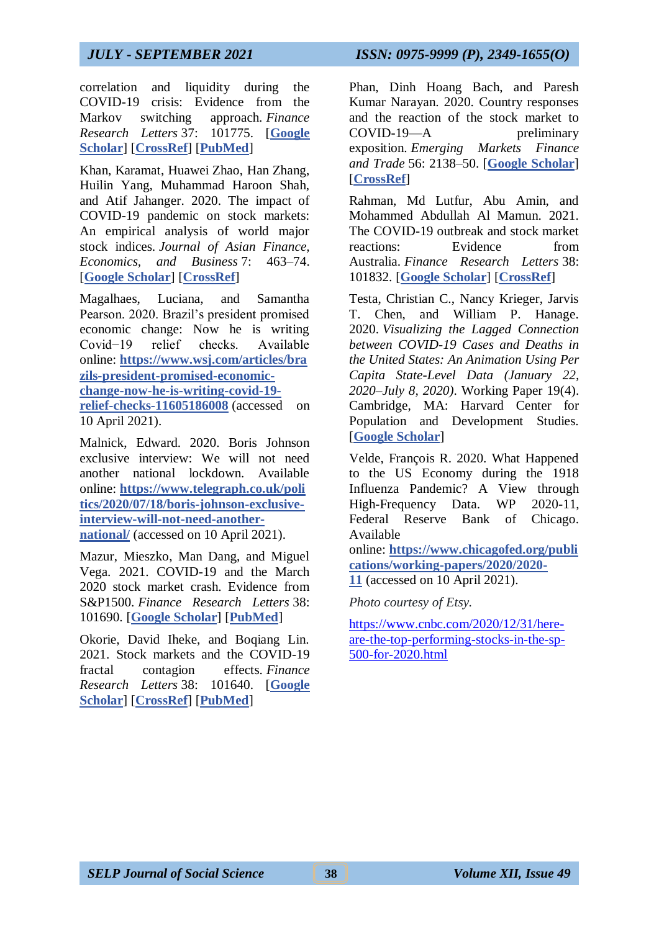correlation and liquidity during the COVID-19 crisis: Evidence from the Markov switching approach. *Finance Research Letters* 37: 101775. [**[Google](https://scholar.google.com/scholar_lookup?title=Stock+market+returns,+volatility,+correlation+and+liquidity+during+the+COVID-19+crisis:+Evidence+from+the+Markov+switching+approach&author=Just,+Malgorzata&author=and+Krzystof+Echaust&publication_year=2020&journal=Finance+Research+Letters&volume=37&pages=101775&doi=10.1016/j.frl.2020.101775&pmid=33013236)  [Scholar](https://scholar.google.com/scholar_lookup?title=Stock+market+returns,+volatility,+correlation+and+liquidity+during+the+COVID-19+crisis:+Evidence+from+the+Markov+switching+approach&author=Just,+Malgorzata&author=and+Krzystof+Echaust&publication_year=2020&journal=Finance+Research+Letters&volume=37&pages=101775&doi=10.1016/j.frl.2020.101775&pmid=33013236)**] [**[CrossRef](https://doi.org/10.1016/j.frl.2020.101775)**] [**[PubMed](https://www.ncbi.nlm.nih.gov/pubmed/33013236)**]

Khan, Karamat, Huawei Zhao, Han Zhang, Huilin Yang, Muhammad Haroon Shah, and Atif Jahanger. 2020. The impact of COVID-19 pandemic on stock markets: An empirical analysis of world major stock indices. *Journal of Asian Finance, Economics, and Business* 7: 463–74. [**[Google Scholar](https://scholar.google.com/scholar_lookup?title=The+impact+of+COVID-19+pandemic+on+stock+markets:+An+empirical+analysis+of+world+major+stock+indices&author=Khan,+Karamat&author=Huawei+Zhao&author=Han+Zhang&author=Huilin+Yang&author=Muhammad+Haroon+Shah&author=and+Atif+Jahanger&publication_year=2020&journal=Journal+of+Asian+Finance,+Economics,+and+Business&volume=7&pages=463%E2%80%9374&doi=10.13106/jafeb.2020.vol7.no7.463)**] [**[CrossRef](https://doi.org/10.13106/jafeb.2020.vol7.no7.463)**]

Magalhaes, Luciana, and Samantha Pearson. 2020. Brazil's president promised economic change: Now he is writing Covid−19 relief checks. Available online: **[https://www.wsj.com/articles/bra](https://www.wsj.com/articles/brazils-president-promised-economic-change-now-he-is-writing-covid-19-relief-checks-11605186008) [zils-president-promised-economic](https://www.wsj.com/articles/brazils-president-promised-economic-change-now-he-is-writing-covid-19-relief-checks-11605186008)[change-now-he-is-writing-covid-19](https://www.wsj.com/articles/brazils-president-promised-economic-change-now-he-is-writing-covid-19-relief-checks-11605186008) [relief-checks-11605186008](https://www.wsj.com/articles/brazils-president-promised-economic-change-now-he-is-writing-covid-19-relief-checks-11605186008)** (accessed on 10 April 2021).

Malnick, Edward. 2020. Boris Johnson exclusive interview: We will not need another national lockdown. Available online: **[https://www.telegraph.co.uk/poli](https://www.telegraph.co.uk/politics/2020/07/18/boris-johnson-exclusive-interview-will-not-need-another-national/) [tics/2020/07/18/boris-johnson-exclusive](https://www.telegraph.co.uk/politics/2020/07/18/boris-johnson-exclusive-interview-will-not-need-another-national/)[interview-will-not-need-another](https://www.telegraph.co.uk/politics/2020/07/18/boris-johnson-exclusive-interview-will-not-need-another-national/)[national/](https://www.telegraph.co.uk/politics/2020/07/18/boris-johnson-exclusive-interview-will-not-need-another-national/)** (accessed on 10 April 2021).

Mazur, Mieszko, Man Dang, and Miguel Vega. 2021. COVID-19 and the March 2020 stock market crash. Evidence from S&P1500. *Finance Research Letters* 38: 101690. [**[Google Scholar](https://scholar.google.com/scholar_lookup?title=COVID-19+and+the+March+2020+stock+market+crash.+Evidence+from+S%2526P1500&author=Mazur,+Mieszko&author=Man+Dang&author=and+Miguel+Vega&publication_year=2021&journal=Finance+Research+Letters&volume=38&pages=101690&pmid=32837377)**] [**[PubMed](https://www.ncbi.nlm.nih.gov/pubmed/32837377)**]

Okorie, David Iheke, and Boqiang Lin. 2021. Stock markets and the COVID-19 fractal contagion effects. *Finance Research Letters* 38: 101640. [**[Google](https://scholar.google.com/scholar_lookup?title=Stock+markets+and+the+COVID-19+fractal+contagion+effects&author=Okorie,+David+Iheke&author=and+Boqiang+Lin&publication_year=2021&journal=Finance+Research+Letters&volume=38&pages=101640&doi=10.1016/j.frl.2020.101640&pmid=32837366)  [Scholar](https://scholar.google.com/scholar_lookup?title=Stock+markets+and+the+COVID-19+fractal+contagion+effects&author=Okorie,+David+Iheke&author=and+Boqiang+Lin&publication_year=2021&journal=Finance+Research+Letters&volume=38&pages=101640&doi=10.1016/j.frl.2020.101640&pmid=32837366)**] [**[CrossRef](https://doi.org/10.1016/j.frl.2020.101640)**] [**[PubMed](https://www.ncbi.nlm.nih.gov/pubmed/32837366)**]

Phan, Dinh Hoang Bach, and Paresh Kumar Narayan. 2020. Country responses and the reaction of the stock market to COVID-19—A preliminary exposition. *Emerging Markets Finance and Trade* 56: 2138–50. [**[Google Scholar](https://scholar.google.com/scholar_lookup?title=Country+responses+and+the+reaction+of+the+stock+market+to+COVID-19%E2%80%94A+preliminary+exposition&author=Phan,+Dinh+Hoang+Bach&author=and+Paresh+Kumar+Narayan&publication_year=2020&journal=Emerging+Markets+Finance+and+Trade&volume=56&pages=2138%E2%80%9350&doi=10.1080/1540496X.2020.1784719)**] [**[CrossRef](https://doi.org/10.1080/1540496X.2020.1784719)**]

Rahman, Md Lutfur, Abu Amin, and Mohammed Abdullah Al Mamun. 2021. The COVID-19 outbreak and stock market reactions: Evidence from Australia. *Finance Research Letters* 38: 101832. [**[Google Scholar](https://scholar.google.com/scholar_lookup?title=The+COVID-19+outbreak+and+stock+market+reactions:+Evidence+from+Australia&author=Rahman,+Md+Lutfur&author=Abu+Amin&author=and+Mohammed+Abdullah+Al+Mamun&publication_year=2021&journal=Finance+Research+Letters&volume=38&pages=101832&doi=10.1016/j.frl.2020.101832)**] [**[CrossRef](https://doi.org/10.1016/j.frl.2020.101832)**]

Testa, Christian C., Nancy Krieger, Jarvis T. Chen, and William P. Hanage. 2020. *Visualizing the Lagged Connection between COVID-19 Cases and Deaths in the United States: An Animation Using Per Capita State-Level Data (January 22, 2020–July 8, 2020)*. Working Paper 19(4). Cambridge, MA: Harvard Center for Population and Development Studies. [**[Google Scholar](https://scholar.google.com/scholar_lookup?title=Visualizing+the+Lagged+Connection+between+COVID-19+Cases+and+Deaths+in+the+United+States:+An+Animation+Using+Per+Capita+State-Level+Data+(January+22,+2020%E2%80%93July+8,+2020)&author=Testa,+Christian+C.&author=Nancy+Krieger&author=Jarvis+T.+Chen&author=and+William+P.+Hanage&publication_year=2020)**]

Velde, François R. 2020. What Happened to the US Economy during the 1918 Influenza Pandemic? A View through High-Frequency Data. WP 2020-11, Federal Reserve Bank of Chicago. Available

online: **[https://www.chicagofed.org/publi](https://www.chicagofed.org/publications/working-papers/2020/2020-11) [cations/working-papers/2020/2020-](https://www.chicagofed.org/publications/working-papers/2020/2020-11) [11](https://www.chicagofed.org/publications/working-papers/2020/2020-11)** (accessed on 10 April 2021).

*Photo courtesy of Etsy.*

[https://www.cnbc.com/2020/12/31/here](https://www.cnbc.com/2020/12/31/here-are-the-top-performing-stocks-in-the-sp-500-for-2020.html)[are-the-top-performing-stocks-in-the-sp-](https://www.cnbc.com/2020/12/31/here-are-the-top-performing-stocks-in-the-sp-500-for-2020.html)[500-for-2020.html](https://www.cnbc.com/2020/12/31/here-are-the-top-performing-stocks-in-the-sp-500-for-2020.html)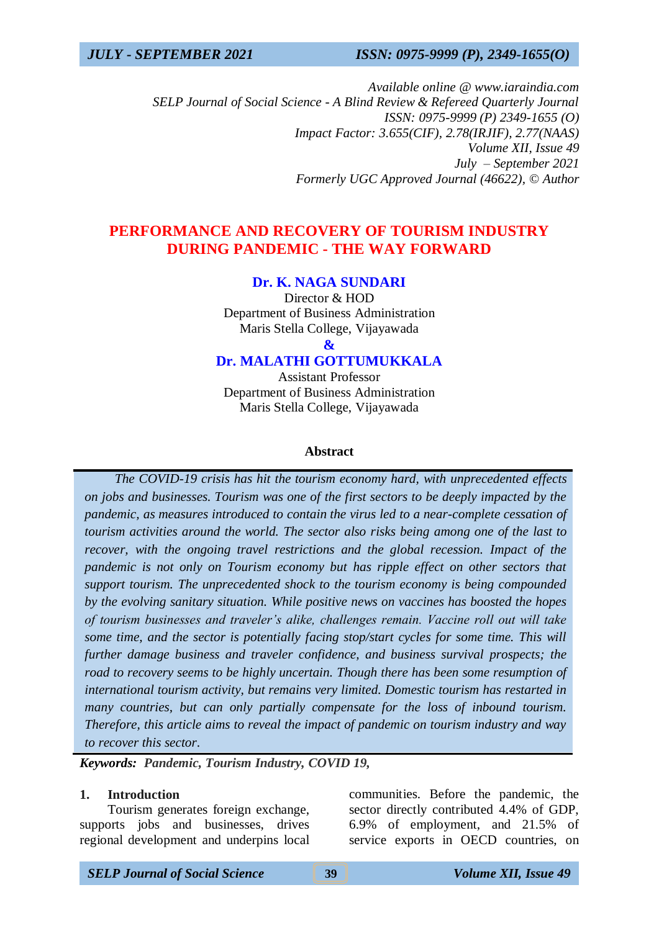*Available online @ www.iaraindia.com SELP Journal of Social Science - A Blind Review & Refereed Quarterly Journal ISSN: 0975-9999 (P) 2349-1655 (O) Impact Factor: 3.655(CIF), 2.78(IRJIF), 2.77(NAAS) Volume XII, Issue 49 July – September 2021 Formerly UGC Approved Journal (46622),* © *Author*

## **PERFORMANCE AND RECOVERY OF TOURISM INDUSTRY DURING PANDEMIC - THE WAY FORWARD**

## **Dr. K. NAGA SUNDARI**

Director & HOD Department of Business Administration Maris Stella College, Vijayawada

**&**

## **Dr. MALATHI GOTTUMUKKALA**

Assistant Professor Department of Business Administration Maris Stella College, Vijayawada

#### **Abstract**

 *The COVID-19 crisis has hit the tourism economy hard, with unprecedented effects on jobs and businesses. Tourism was one of the first sectors to be deeply impacted by the pandemic, as measures introduced to contain the virus led to a near-complete cessation of tourism activities around the world. The sector also risks being among one of the last to recover, with the ongoing travel restrictions and the global recession. Impact of the pandemic is not only on Tourism economy but has ripple effect on other sectors that support tourism. The unprecedented shock to the tourism economy is being compounded by the evolving sanitary situation. While positive news on vaccines has boosted the hopes of tourism businesses and traveler's alike, challenges remain. Vaccine roll out will take some time, and the sector is potentially facing stop/start cycles for some time. This will further damage business and traveler confidence, and business survival prospects; the road to recovery seems to be highly uncertain. Though there has been some resumption of international tourism activity, but remains very limited. Domestic tourism has restarted in many countries, but can only partially compensate for the loss of inbound tourism. Therefore, this article aims to reveal the impact of pandemic on tourism industry and way to recover this sector*.

*Keywords: Pandemic, Tourism Industry, COVID 19,* 

### **1. Introduction**

Tourism generates foreign exchange, supports jobs and businesses, drives regional development and underpins local communities. Before the pandemic, the sector directly contributed 4.4% of GDP, 6.9% of employment, and 21.5% of service exports in OECD countries, on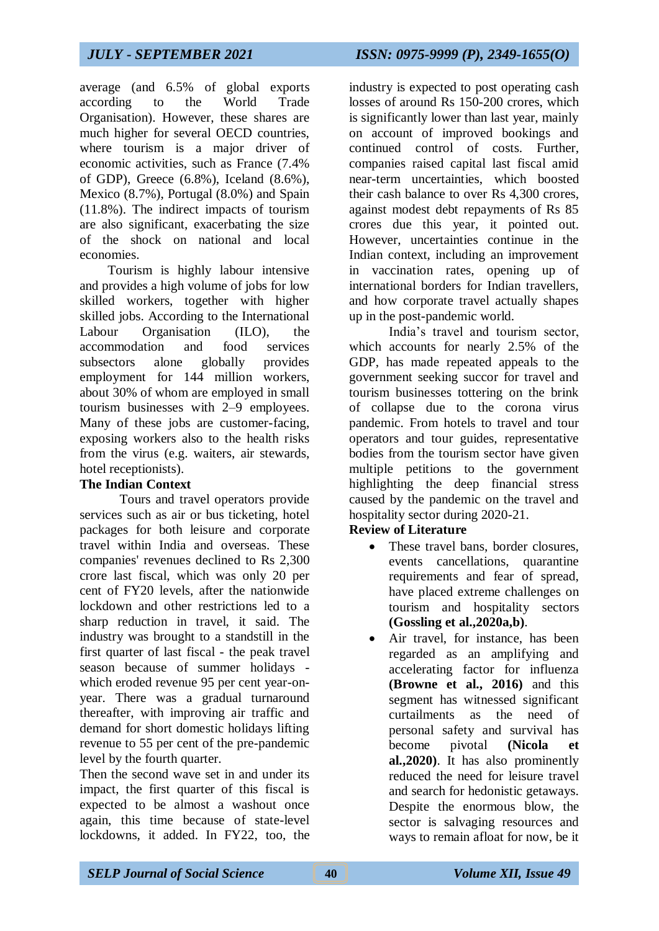average (and 6.5% of global exports according to the World Trade Organisation). However, these shares are much higher for several OECD countries, where tourism is a major driver of economic activities, such as France (7.4% of GDP), Greece (6.8%), Iceland (8.6%), Mexico (8.7%), Portugal (8.0%) and Spain (11.8%). The indirect impacts of tourism are also significant, exacerbating the size of the shock on national and local economies.

Tourism is highly labour intensive and provides a high volume of jobs for low skilled workers, together with higher skilled jobs. According to the International Labour Organisation (ILO), the accommodation and food services subsectors alone globally provides employment for 144 million workers, about 30% of whom are employed in small tourism businesses with 2–9 employees. Many of these jobs are customer-facing, exposing workers also to the health risks from the virus (e.g. waiters, air stewards, hotel receptionists).

## **The Indian Context**

Tours and travel operators provide services such as air or bus ticketing, hotel packages for both leisure and corporate travel within India and overseas. These companies' revenues declined to Rs 2,300 crore last fiscal, which was only 20 per cent of FY20 levels, after the nationwide lockdown and other restrictions led to a sharp reduction in travel, it said. The industry was brought to a standstill in the first quarter of last fiscal - the peak travel season because of summer holidays which eroded revenue 95 per cent year-onyear. There was a gradual turnaround thereafter, with improving air traffic and demand for short domestic holidays lifting revenue to 55 per cent of the pre-pandemic level by the fourth quarter.

Then the second wave set in and under its impact, the first quarter of this fiscal is expected to be almost a washout once again, this time because of state-level lockdowns, it added. In FY22, too, the industry is expected to post operating cash losses of around Rs 150-200 crores, which is significantly lower than last year, mainly on account of improved bookings and continued control of costs. Further, companies raised capital last fiscal amid near-term uncertainties, which boosted their cash balance to over Rs 4,300 crores, against modest debt repayments of Rs 85 crores due this year, it pointed out. However, uncertainties continue in the Indian context, including an improvement in vaccination rates, opening up of international borders for Indian travellers, and how corporate travel actually shapes up in the post-pandemic world.

India's travel and tourism sector, which accounts for nearly 2.5% of the GDP, has made repeated appeals to the government seeking succor for travel and tourism businesses tottering on the brink of collapse due to the corona virus pandemic. From hotels to travel and tour operators and tour guides, representative bodies from the tourism sector have given multiple petitions to the government highlighting the deep financial stress caused by the pandemic on the travel and hospitality sector during 2020-21.

## **Review of Literature**

- These travel bans, border closures, events cancellations, quarantine requirements and fear of spread, have placed extreme challenges on tourism and hospitality sectors **(Gossling et al.,2020a,b)**.
- Air travel, for instance, has been regarded as an amplifying and accelerating factor for influenza **(Browne et al., 2016)** and this segment has witnessed significant curtailments as the need of personal safety and survival has become pivotal **(Nicola et al.,2020)**. It has also prominently reduced the need for leisure travel and search for hedonistic getaways. Despite the enormous blow, the sector is salvaging resources and ways to remain afloat for now, be it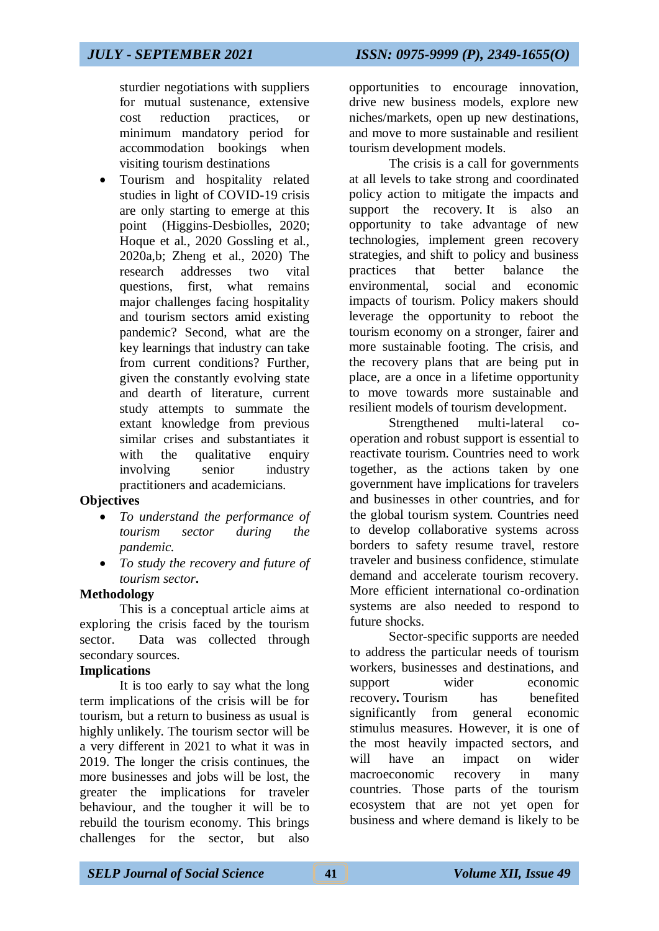sturdier negotiations with suppliers for mutual sustenance, extensive cost reduction practices, or minimum mandatory period for accommodation bookings when visiting tourism destinations

 Tourism and hospitality related studies in light of COVID-19 crisis are only starting to emerge at this point (Higgins-Desbiolles, 2020; Hoque et al., 2020 Gossling et al., 2020a,b; Zheng et al., 2020) The research addresses two vital questions, first, what remains major challenges facing hospitality and tourism sectors amid existing pandemic? Second, what are the key learnings that industry can take from current conditions? Further, given the constantly evolving state and dearth of literature, current study attempts to summate the extant knowledge from previous similar crises and substantiates it with the qualitative enquiry involving senior industry practitioners and academicians.

## **Objectives**

- *To understand the performance of tourism sector during the pandemic.*
- *To study the recovery and future of tourism sector***.**

## **Methodology**

This is a conceptual article aims at exploring the crisis faced by the tourism sector. Data was collected through secondary sources.

## **Implications**

It is too early to say what the long term implications of the crisis will be for tourism, but a return to business as usual is highly unlikely. The tourism sector will be a very different in 2021 to what it was in 2019. The longer the crisis continues, the more businesses and jobs will be lost, the greater the implications for traveler behaviour, and the tougher it will be to rebuild the tourism economy. This brings challenges for the sector, but also

opportunities to encourage innovation, drive new business models, explore new niches/markets, open up new destinations, and move to more sustainable and resilient tourism development models.

The crisis is a call for governments at all levels to take strong and coordinated policy action to mitigate the impacts and support the recovery. It is also an opportunity to take advantage of new technologies, implement green recovery strategies, and shift to policy and business practices that better balance the environmental, social and economic impacts of tourism. Policy makers should leverage the opportunity to reboot the tourism economy on a stronger, fairer and more sustainable footing. The crisis, and the recovery plans that are being put in place, are a once in a lifetime opportunity to move towards more sustainable and resilient models of tourism development.

Strengthened multi-lateral cooperation and robust support is essential to reactivate tourism. Countries need to work together, as the actions taken by one government have implications for travelers and businesses in other countries, and for the global tourism system. Countries need to develop collaborative systems across borders to safety resume travel, restore traveler and business confidence, stimulate demand and accelerate tourism recovery. More efficient international co-ordination systems are also needed to respond to future shocks.

Sector-specific supports are needed to address the particular needs of tourism workers, businesses and destinations, and support wider economic recovery**.** Tourism has benefited significantly from general economic stimulus measures. However, it is one of the most heavily impacted sectors, and will have an impact on wider macroeconomic recovery in many countries. Those parts of the tourism ecosystem that are not yet open for business and where demand is likely to be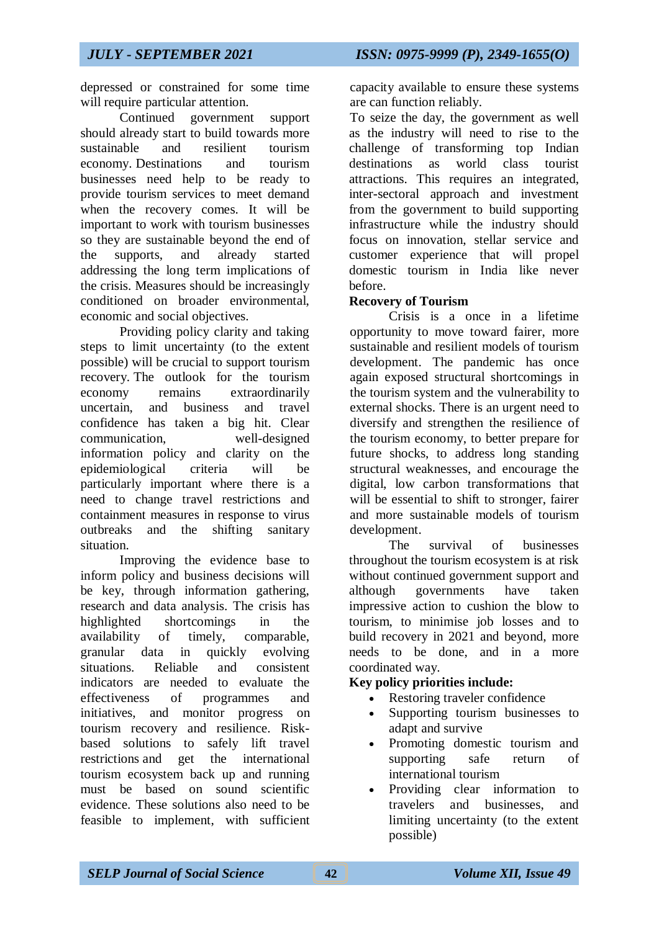depressed or constrained for some time will require particular attention.

Continued government support should already start to build towards more sustainable and resilient tourism economy. Destinations and tourism businesses need help to be ready to provide tourism services to meet demand when the recovery comes. It will be important to work with tourism businesses so they are sustainable beyond the end of the supports, and already started addressing the long term implications of the crisis. Measures should be increasingly conditioned on broader environmental, economic and social objectives.

Providing policy clarity and taking steps to limit uncertainty (to the extent possible) will be crucial to support tourism recovery. The outlook for the tourism economy remains extraordinarily uncertain, and business and travel confidence has taken a big hit. Clear communication, well-designed information policy and clarity on the epidemiological criteria will be particularly important where there is a need to change travel restrictions and containment measures in response to virus outbreaks and the shifting sanitary situation.

Improving the evidence base to inform policy and business decisions will be key, through information gathering, research and data analysis. The crisis has highlighted shortcomings in the availability of timely, comparable, granular data in quickly evolving situations. Reliable and consistent indicators are needed to evaluate the effectiveness of programmes and initiatives, and monitor progress on tourism recovery and resilience. Riskbased solutions to safely lift travel restrictions and get the international tourism ecosystem back up and running must be based on sound scientific evidence. These solutions also need to be feasible to implement, with sufficient capacity available to ensure these systems are can function reliably.

To seize the day, the government as well as the industry will need to rise to the challenge of transforming top Indian destinations as world class tourist attractions. This requires an integrated, inter-sectoral approach and investment from the government to build supporting infrastructure while the industry should focus on innovation, stellar service and customer experience that will propel domestic tourism in India like never before.

## **Recovery of Tourism**

Crisis is a once in a lifetime opportunity to move toward fairer, more sustainable and resilient models of tourism development. The pandemic has once again exposed structural shortcomings in the tourism system and the vulnerability to external shocks. There is an urgent need to diversify and strengthen the resilience of the tourism economy, to better prepare for future shocks, to address long standing structural weaknesses, and encourage the digital, low carbon transformations that will be essential to shift to stronger, fairer and more sustainable models of tourism development.

The survival of businesses throughout the tourism ecosystem is at risk without continued government support and although governments have taken impressive action to cushion the blow to tourism, to minimise job losses and to build recovery in 2021 and beyond, more needs to be done, and in a more coordinated way.

## **Key policy priorities include:**

- Restoring traveler confidence
- Supporting tourism businesses to adapt and survive
- Promoting domestic tourism and supporting safe return of international tourism
- Providing clear information to travelers and businesses, and limiting uncertainty (to the extent possible)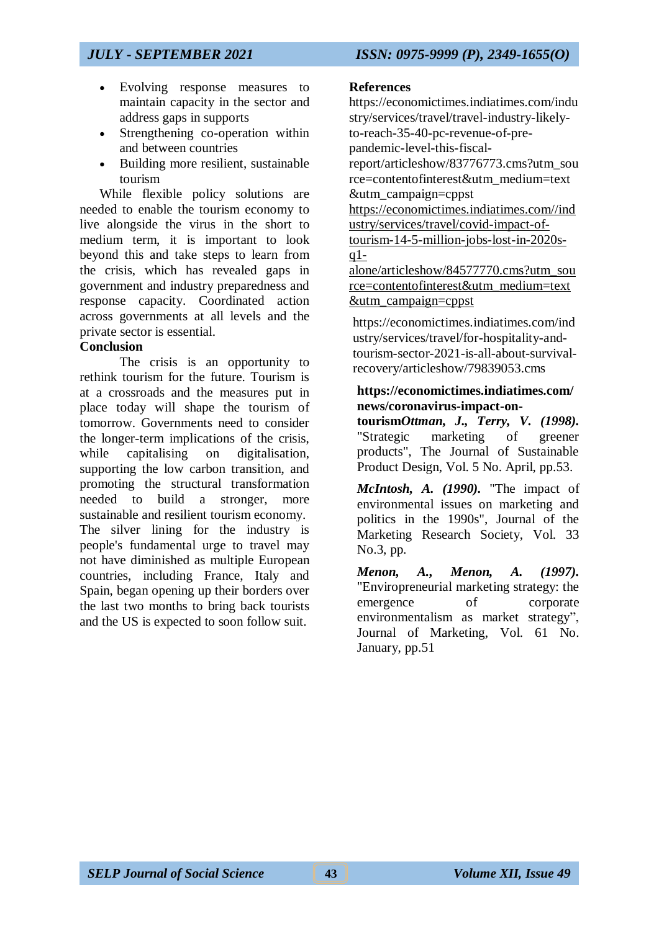- Evolving response measures to maintain capacity in the sector and address gaps in supports
- Strengthening co-operation within and between countries
- Building more resilient, sustainable tourism

While flexible policy solutions are needed to enable the tourism economy to live alongside the virus in the short to medium term, it is important to look beyond this and take steps to learn from the crisis, which has revealed gaps in government and industry preparedness and response capacity. Coordinated action across governments at all levels and the private sector is essential.

## **Conclusion**

The crisis is an opportunity to rethink tourism for the future. Tourism is at a crossroads and the measures put in place today will shape the tourism of tomorrow. Governments need to consider the longer-term implications of the crisis, while capitalising on digitalisation, supporting the low carbon transition, and promoting the structural transformation needed to build a stronger, more sustainable and resilient tourism economy. The silver lining for the industry is people's fundamental urge to travel may not have diminished as multiple European countries, including France, Italy and Spain, began opening up their borders over the last two months to bring back tourists and the US is expected to soon follow suit.

## **References**

[https://economictimes.indiatimes.com/indu](https://economictimes.indiatimes.com/industry/services/travel/travel-industry-likely-to-reach-35-40-pc-revenue-of-pre-pandemic-level-this-fiscal-report/articleshow/83776773.cms?utm_source=contentofinterest&utm_medium=text&utm_campaign=cppst) [stry/services/travel/travel-industry-likely](https://economictimes.indiatimes.com/industry/services/travel/travel-industry-likely-to-reach-35-40-pc-revenue-of-pre-pandemic-level-this-fiscal-report/articleshow/83776773.cms?utm_source=contentofinterest&utm_medium=text&utm_campaign=cppst)[to-reach-35-40-pc-revenue-of-pre](https://economictimes.indiatimes.com/industry/services/travel/travel-industry-likely-to-reach-35-40-pc-revenue-of-pre-pandemic-level-this-fiscal-report/articleshow/83776773.cms?utm_source=contentofinterest&utm_medium=text&utm_campaign=cppst)[pandemic-level-this-fiscal](https://economictimes.indiatimes.com/industry/services/travel/travel-industry-likely-to-reach-35-40-pc-revenue-of-pre-pandemic-level-this-fiscal-report/articleshow/83776773.cms?utm_source=contentofinterest&utm_medium=text&utm_campaign=cppst)[report/articleshow/83776773.cms?utm\\_sou](https://economictimes.indiatimes.com/industry/services/travel/travel-industry-likely-to-reach-35-40-pc-revenue-of-pre-pandemic-level-this-fiscal-report/articleshow/83776773.cms?utm_source=contentofinterest&utm_medium=text&utm_campaign=cppst) [rce=contentofinterest&utm\\_medium=text](https://economictimes.indiatimes.com/industry/services/travel/travel-industry-likely-to-reach-35-40-pc-revenue-of-pre-pandemic-level-this-fiscal-report/articleshow/83776773.cms?utm_source=contentofinterest&utm_medium=text&utm_campaign=cppst) [&utm\\_campaign=cppst](https://economictimes.indiatimes.com/industry/services/travel/travel-industry-likely-to-reach-35-40-pc-revenue-of-pre-pandemic-level-this-fiscal-report/articleshow/83776773.cms?utm_source=contentofinterest&utm_medium=text&utm_campaign=cppst) [https://economictimes.indiatimes.com//ind](https://economictimes.indiatimes.com/industry/services/travel/covid-impact-of-tourism-14-5-million-jobs-lost-in-2020s-q1-alone/articleshow/84577770.cms?utm_source=contentofinterest&utm_medium=text&utm_campaign=cppst) [ustry/services/travel/covid-impact-of](https://economictimes.indiatimes.com/industry/services/travel/covid-impact-of-tourism-14-5-million-jobs-lost-in-2020s-q1-alone/articleshow/84577770.cms?utm_source=contentofinterest&utm_medium=text&utm_campaign=cppst)[tourism-14-5-million-jobs-lost-in-2020s](https://economictimes.indiatimes.com/industry/services/travel/covid-impact-of-tourism-14-5-million-jobs-lost-in-2020s-q1-alone/articleshow/84577770.cms?utm_source=contentofinterest&utm_medium=text&utm_campaign=cppst) $q1$ [alone/articleshow/84577770.cms?utm\\_sou](https://economictimes.indiatimes.com/industry/services/travel/covid-impact-of-tourism-14-5-million-jobs-lost-in-2020s-q1-alone/articleshow/84577770.cms?utm_source=contentofinterest&utm_medium=text&utm_campaign=cppst) [rce=contentofinterest&utm\\_medium=text](https://economictimes.indiatimes.com/industry/services/travel/covid-impact-of-tourism-14-5-million-jobs-lost-in-2020s-q1-alone/articleshow/84577770.cms?utm_source=contentofinterest&utm_medium=text&utm_campaign=cppst) [&utm\\_campaign=cppst](https://economictimes.indiatimes.com/industry/services/travel/covid-impact-of-tourism-14-5-million-jobs-lost-in-2020s-q1-alone/articleshow/84577770.cms?utm_source=contentofinterest&utm_medium=text&utm_campaign=cppst)

[https://economictimes.indiatimes.com/ind](https://economictimes.indiatimes.com/industry/services/travel/for-hospitality-and-tourism-sector-2021-is-all-about-survival-recovery/articleshow/79839053.cms) [ustry/services/travel/for-hospitality-and](https://economictimes.indiatimes.com/industry/services/travel/for-hospitality-and-tourism-sector-2021-is-all-about-survival-recovery/articleshow/79839053.cms)[tourism-sector-2021-is-all-about-survival](https://economictimes.indiatimes.com/industry/services/travel/for-hospitality-and-tourism-sector-2021-is-all-about-survival-recovery/articleshow/79839053.cms)[recovery/articleshow/79839053.cms](https://economictimes.indiatimes.com/industry/services/travel/for-hospitality-and-tourism-sector-2021-is-all-about-survival-recovery/articleshow/79839053.cms)

## **https://economictimes.indiatimes.com/ news/coronavirus-impact-on-**

**tourism***Ottman, J., Terry, V. (1998).* "Strategic marketing of greener products", The Journal of Sustainable Product Design, Vol. 5 No. April, pp.53.

*McIntosh, A. (1990).* "The impact of environmental issues on marketing and politics in the 1990s", Journal of the Marketing Research Society, Vol. 33 No.3, pp.

*Menon, A., Menon, A. (1997).* "Enviropreneurial marketing strategy: the emergence of corporate environmentalism as market strategy", Journal of Marketing, Vol. 61 No. January, pp.51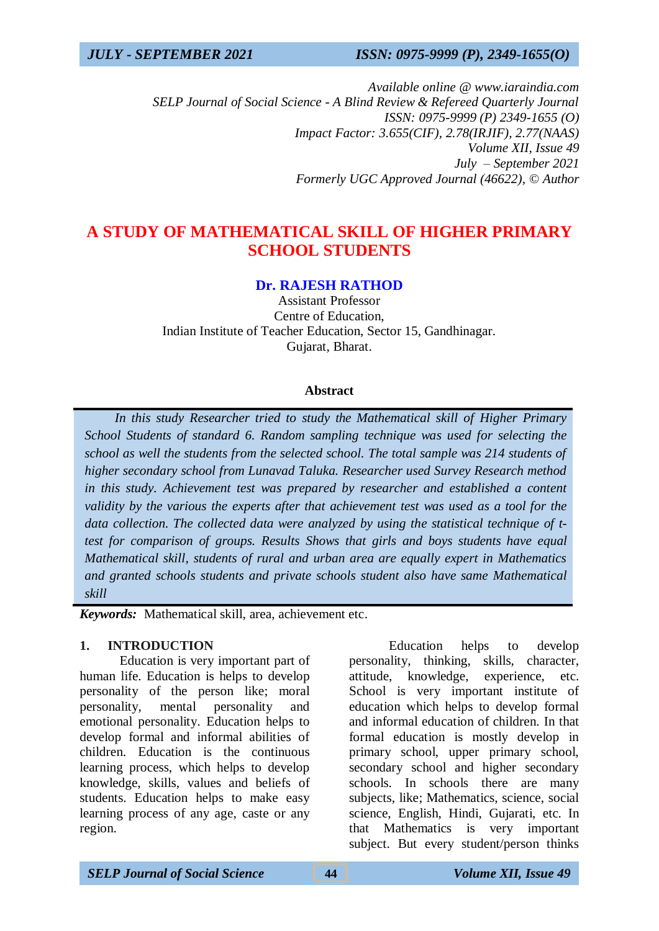*Available online @ www.iaraindia.com SELP Journal of Social Science - A Blind Review & Refereed Quarterly Journal ISSN: 0975-9999 (P) 2349-1655 (O) Impact Factor: 3.655(CIF), 2.78(IRJIF), 2.77(NAAS) Volume XII, Issue 49 July – September 2021 Formerly UGC Approved Journal (46622),* © *Author*

# **A STUDY OF MATHEMATICAL SKILL OF HIGHER PRIMARY SCHOOL STUDENTS**

## **Dr. RAJESH RATHOD**

Assistant Professor Centre of Education, Indian Institute of Teacher Education, Sector 15, Gandhinagar. Gujarat, Bharat.

### **Abstract**

 *In this study Researcher tried to study the Mathematical skill of Higher Primary School Students of standard 6. Random sampling technique was used for selecting the school as well the students from the selected school. The total sample was 214 students of higher secondary school from Lunavad Taluka. Researcher used Survey Research method in this study. Achievement test was prepared by researcher and established a content validity by the various the experts after that achievement test was used as a tool for the data collection. The collected data were analyzed by using the statistical technique of ttest for comparison of groups. Results Shows that girls and boys students have equal Mathematical skill, students of rural and urban area are equally expert in Mathematics and granted schools students and private schools student also have same Mathematical skill*

*Keywords:* Mathematical skill, area, achievement etc.

#### **1. INTRODUCTION**

Education is very important part of human life. Education is helps to develop personality of the person like; moral personality, mental personality and emotional personality. Education helps to develop formal and informal abilities of children. Education is the continuous learning process, which helps to develop knowledge, skills, values and beliefs of students. Education helps to make easy learning process of any age, caste or any region.

Education helps to develop personality, thinking, skills, character, attitude, knowledge, experience, etc. School is very important institute of education which helps to develop formal and informal education of children. In that formal education is mostly develop in primary school, upper primary school, secondary school and higher secondary schools. In schools there are many subjects, like; Mathematics, science, social science, English, Hindi, Gujarati, etc. In that Mathematics is very important subject. But every student/person thinks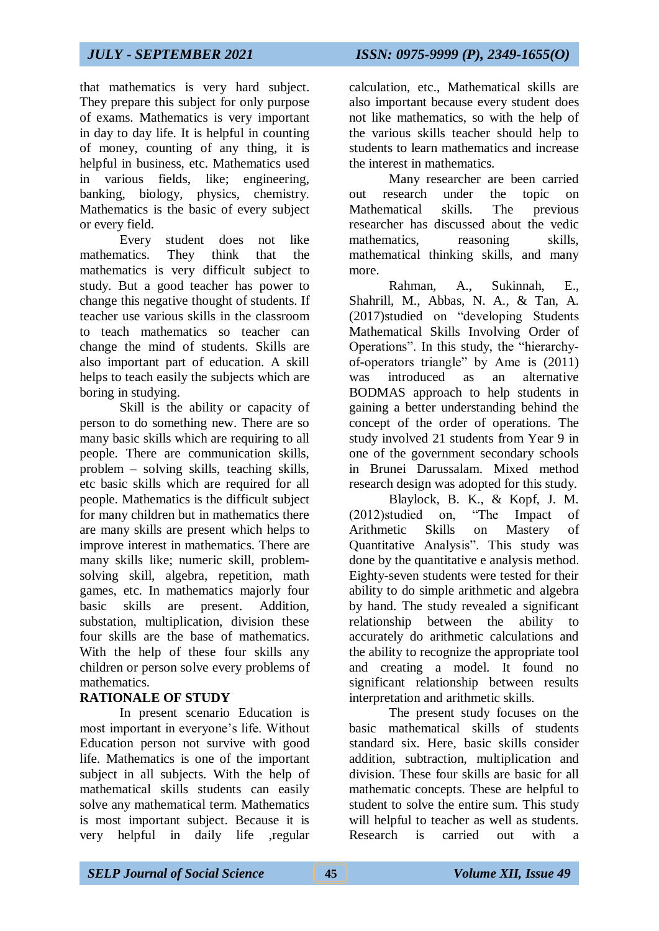that mathematics is very hard subject. They prepare this subject for only purpose of exams. Mathematics is very important in day to day life. It is helpful in counting of money, counting of any thing, it is helpful in business, etc. Mathematics used in various fields, like; engineering, banking, biology, physics, chemistry. Mathematics is the basic of every subject or every field.

Every student does not like mathematics. They think that the mathematics is very difficult subject to study. But a good teacher has power to change this negative thought of students. If teacher use various skills in the classroom to teach mathematics so teacher can change the mind of students. Skills are also important part of education. A skill helps to teach easily the subjects which are boring in studying.

Skill is the ability or capacity of person to do something new. There are so many basic skills which are requiring to all people. There are communication skills, problem – solving skills, teaching skills, etc basic skills which are required for all people. Mathematics is the difficult subject for many children but in mathematics there are many skills are present which helps to improve interest in mathematics. There are many skills like; numeric skill, problemsolving skill, algebra, repetition, math games, etc. In mathematics majorly four basic skills are present. Addition, substation, multiplication, division these four skills are the base of mathematics. With the help of these four skills any children or person solve every problems of mathematics.

## **RATIONALE OF STUDY**

In present scenario Education is most important in everyone's life. Without Education person not survive with good life. Mathematics is one of the important subject in all subjects. With the help of mathematical skills students can easily solve any mathematical term. Mathematics is most important subject. Because it is very helpful in daily life ,regular

calculation, etc., Mathematical skills are also important because every student does not like mathematics, so with the help of the various skills teacher should help to students to learn mathematics and increase the interest in mathematics.

Many researcher are been carried out research under the topic on Mathematical skills. The previous researcher has discussed about the vedic mathematics, reasoning skills, mathematical thinking skills, and many more.

Rahman, A., Sukinnah, E., Shahrill, M., Abbas, N. A., & Tan, A. (2017)studied on "developing Students Mathematical Skills Involving Order of Operations". In this study, the "hierarchyof-operators triangle" by Ame is (2011) was introduced as an alternative BODMAS approach to help students in gaining a better understanding behind the concept of the order of operations. The study involved 21 students from Year 9 in one of the government secondary schools in Brunei Darussalam. Mixed method research design was adopted for this study.

Blaylock, B. K., & Kopf, J. M. (2012)studied on, "The Impact of Arithmetic Skills on Mastery of Quantitative Analysis". This study was done by the quantitative e analysis method. Eighty-seven students were tested for their ability to do simple arithmetic and algebra by hand. The study revealed a significant relationship between the ability to accurately do arithmetic calculations and the ability to recognize the appropriate tool and creating a model. It found no significant relationship between results interpretation and arithmetic skills.

The present study focuses on the basic mathematical skills of students standard six. Here, basic skills consider addition, subtraction, multiplication and division. These four skills are basic for all mathematic concepts. These are helpful to student to solve the entire sum. This study will helpful to teacher as well as students. Research is carried out with a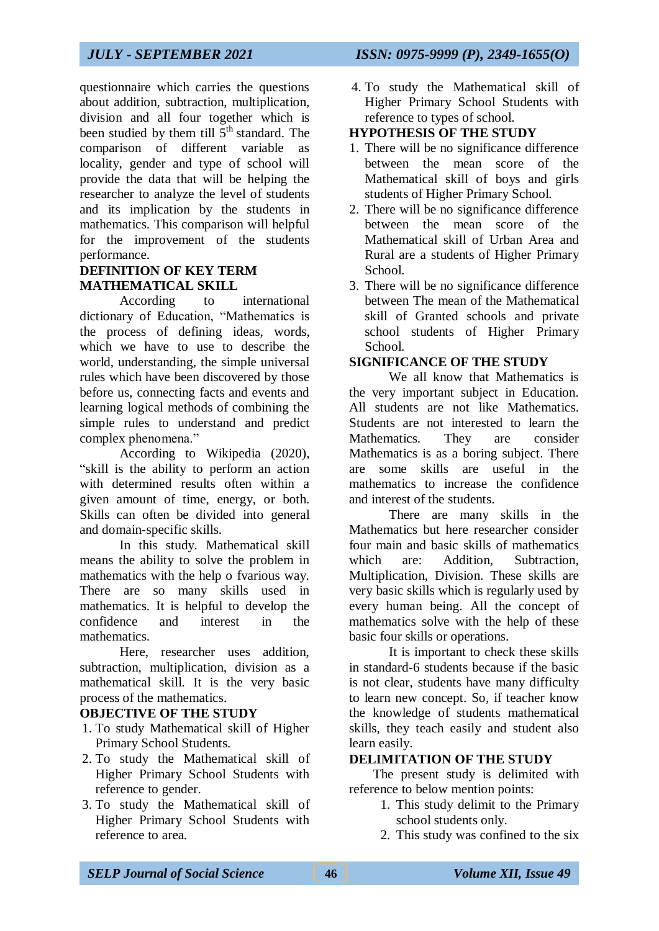questionnaire which carries the questions about addition, subtraction, multiplication, division and all four together which is been studied by them till 5<sup>th</sup> standard. The comparison of different variable as locality, gender and type of school will provide the data that will be helping the researcher to analyze the level of students and its implication by the students in mathematics. This comparison will helpful for the improvement of the students performance.

## **DEFINITION OF KEY TERM MATHEMATICAL SKILL**

According to international dictionary of Education, "Mathematics is the process of defining ideas, words, which we have to use to describe the world, understanding, the simple universal rules which have been discovered by those before us, connecting facts and events and learning logical methods of combining the simple rules to understand and predict complex phenomena."

According to Wikipedia (2020), "skill is the ability to perform an action with determined results often within a given amount of time, energy, or both. Skills can often be divided into general and domain-specific skills.

In this study. Mathematical skill means the ability to solve the problem in mathematics with the help o fvarious way. There are so many skills used in mathematics. It is helpful to develop the confidence and interest in the mathematics.

Here, researcher uses addition, subtraction, multiplication, division as a mathematical skill. It is the very basic process of the mathematics.

## **OBJECTIVE OF THE STUDY**

- 1. To study Mathematical skill of Higher Primary School Students.
- 2. To study the Mathematical skill of Higher Primary School Students with reference to gender.
- 3. To study the Mathematical skill of Higher Primary School Students with reference to area.

4. To study the Mathematical skill of Higher Primary School Students with reference to types of school.

## **HYPOTHESIS OF THE STUDY**

- 1. There will be no significance difference between the mean score of the Mathematical skill of boys and girls students of Higher Primary School.
- 2. There will be no significance difference between the mean score of the Mathematical skill of Urban Area and Rural are a students of Higher Primary School.
- 3. There will be no significance difference between The mean of the Mathematical skill of Granted schools and private school students of Higher Primary School.

## **SIGNIFICANCE OF THE STUDY**

We all know that Mathematics is the very important subject in Education. All students are not like Mathematics. Students are not interested to learn the Mathematics. They are consider Mathematics is as a boring subject. There are some skills are useful in the mathematics to increase the confidence and interest of the students.

There are many skills in the Mathematics but here researcher consider four main and basic skills of mathematics which are: Addition, Subtraction, Multiplication, Division. These skills are very basic skills which is regularly used by every human being. All the concept of mathematics solve with the help of these basic four skills or operations.

It is important to check these skills in standard-6 students because if the basic is not clear, students have many difficulty to learn new concept. So, if teacher know the knowledge of students mathematical skills, they teach easily and student also learn easily.

## **DELIMITATION OF THE STUDY**

The present study is delimited with reference to below mention points:

- 1. This study delimit to the Primary school students only.
- 2. This study was confined to the six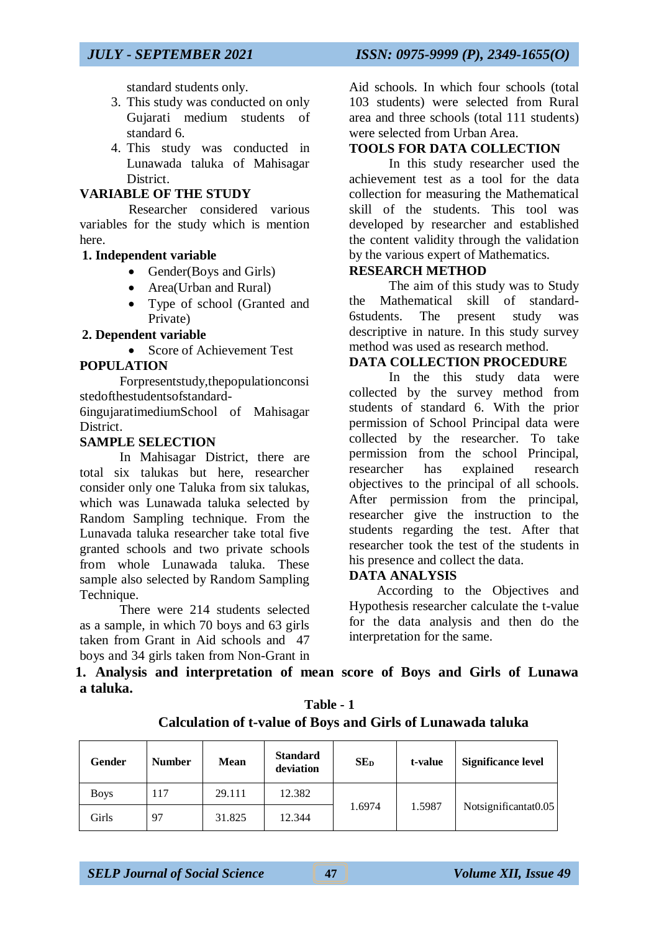standard students only.

- 3. This study was conducted on only Gujarati medium students of standard 6.
- 4. This study was conducted in Lunawada taluka of Mahisagar District.

### **VARIABLE OF THE STUDY**

Researcher considered various variables for the study which is mention here.

## **1. Independent variable**

- Gender(Boys and Girls)
- Area(Urban and Rural)
- Type of school (Granted and Private)

## **2. Dependent variable**

• Score of Achievement Test

## **POPULATION**

Forpresentstudy,thepopulationconsi stedofthestudentsofstandard-

6ingujaratimediumSchool of Mahisagar District.

## **SAMPLE SELECTION**

In Mahisagar District, there are total six talukas but here, researcher consider only one Taluka from six talukas, which was Lunawada taluka selected by Random Sampling technique. From the Lunavada taluka researcher take total five granted schools and two private schools from whole Lunawada taluka. These sample also selected by Random Sampling Technique.

There were 214 students selected as a sample, in which 70 boys and 63 girls taken from Grant in Aid schools and 47 boys and 34 girls taken from Non-Grant in Aid schools. In which four schools (total 103 students) were selected from Rural area and three schools (total 111 students) were selected from Urban Area.

## **TOOLS FOR DATA COLLECTION**

In this study researcher used the achievement test as a tool for the data collection for measuring the Mathematical skill of the students. This tool was developed by researcher and established the content validity through the validation by the various expert of Mathematics.

## **RESEARCH METHOD**

The aim of this study was to Study the Mathematical skill of standard-6students. The present study was descriptive in nature. In this study survey method was used as research method.

## **DATA COLLECTION PROCEDURE**

In the this study data were collected by the survey method from students of standard 6. With the prior permission of School Principal data were collected by the researcher. To take permission from the school Principal, researcher has explained research objectives to the principal of all schools. After permission from the principal, researcher give the instruction to the students regarding the test. After that researcher took the test of the students in his presence and collect the data.

## **DATA ANALYSIS**

According to the Objectives and Hypothesis researcher calculate the t-value for the data analysis and then do the interpretation for the same.

**1. Analysis and interpretation of mean score of Boys and Girls of Lunawa a taluka.**

| Gender      | <b>Number</b> | <b>Mean</b> | <b>Standard</b><br>deviation | SE <sub>D</sub> | t-value | <b>Significance level</b> |
|-------------|---------------|-------------|------------------------------|-----------------|---------|---------------------------|
| <b>Boys</b> | 117           | 29.111      | 12.382                       |                 |         |                           |
| Girls       | 97            | 31.825      | 12.344                       | 1.6974          | 1.5987  | Notsignificantat0.05      |

**Table - 1 Calculation of t-value of Boys and Girls of Lunawada taluka**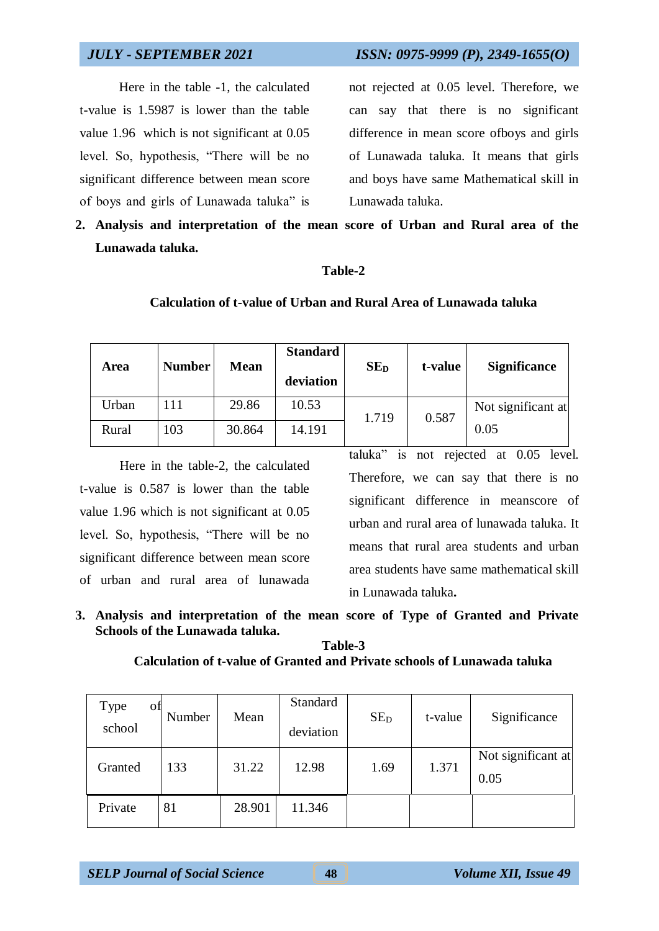Here in the table -1, the calculated t-value is 1.5987 is lower than the table value 1.96 which is not significant at 0.05 level. So, hypothesis, "There will be no significant difference between mean score of boys and girls of Lunawada taluka" is

*JULY - SEPTEMBER 2021 ISSN: 0975-9999 (P), 2349-1655(O)*

not rejected at 0.05 level. Therefore, we can say that there is no significant difference in mean score ofboys and girls of Lunawada taluka. It means that girls and boys have same Mathematical skill in Lunawada taluka.

**2. Analysis and interpretation of the mean score of Urban and Rural area of the Lunawada taluka.**

### **Table-2**

### **Calculation of t-value of Urban and Rural Area of Lunawada taluka**

| Area  | <b>Number</b> | <b>Mean</b> | <b>Standard</b><br>deviation | SE <sub>D</sub> | t-value | <b>Significance</b> |
|-------|---------------|-------------|------------------------------|-----------------|---------|---------------------|
| Urban | 111           | 29.86       | 10.53                        | 1.719           | 0.587   | Not significant at  |
| Rural | 103           | 30.864      | 14.191                       |                 |         | 0.05                |

Here in the table-2, the calculated t-value is 0.587 is lower than the table value 1.96 which is not significant at 0.05 level. So, hypothesis, "There will be no significant difference between mean score of urban and rural area of lunawada

taluka" is not rejected at 0.05 level. Therefore, we can say that there is no significant difference in meanscore of urban and rural area of lunawada taluka. It means that rural area students and urban area students have same mathematical skill in Lunawada taluka**.**

**3. Analysis and interpretation of the mean score of Type of Granted and Private Schools of the Lunawada taluka.**

**Table-3 Calculation of t-value of Granted and Private schools of Lunawada taluka**

| Type<br>ОĦ<br>school | Number | Mean   | Standard<br>deviation | SE <sub>D</sub> | t-value | Significance               |
|----------------------|--------|--------|-----------------------|-----------------|---------|----------------------------|
| Granted              | 133    | 31.22  | 12.98                 | 1.69            | 1.371   | Not significant at<br>0.05 |
| Private              | 81     | 28.901 | 11.346                |                 |         |                            |